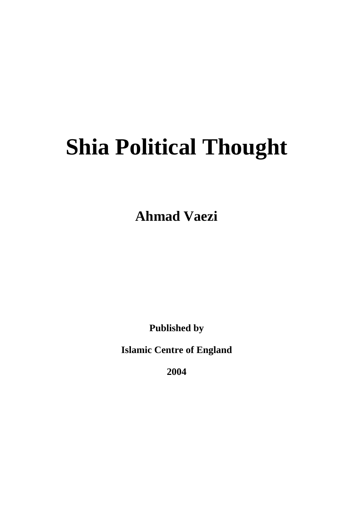# **Shia Political Thought**

**Ahmad Vaezi**

**Published by**

**Islamic Centre of England**

**2004**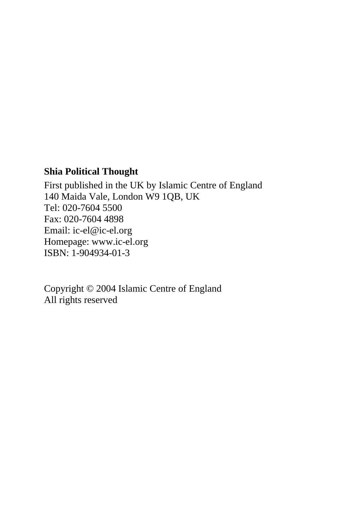#### **Shia Political Thought**

First published in the UK by Islamic Centre of England 140 Maida Vale, London W9 1QB, UK Tel: 020-7604 5500 Fax: 020-7604 4898 Email: ic-el@ic-el.org Homepage: www.ic-el.org ISBN: 1-904934-01-3

Copyright © 2004 Islamic Centre of England All rights reserved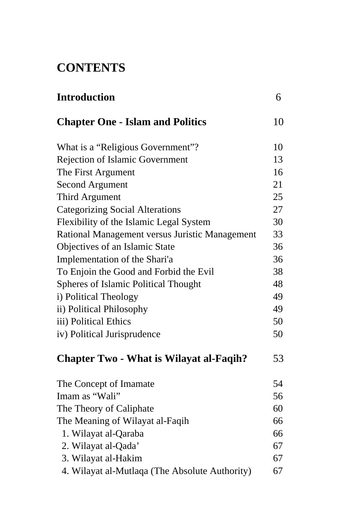### **CONTENTS**

| <b>Introduction</b>                            | 6  |
|------------------------------------------------|----|
| <b>Chapter One - Islam and Politics</b>        | 10 |
| What is a "Religious Government"?              | 10 |
| Rejection of Islamic Government                | 13 |
| The First Argument                             | 16 |
| Second Argument                                | 21 |
| Third Argument                                 | 25 |
| <b>Categorizing Social Alterations</b>         | 27 |
| Flexibility of the Islamic Legal System        | 30 |
| Rational Management versus Juristic Management | 33 |
| Objectives of an Islamic State                 | 36 |
| Implementation of the Shari'a                  | 36 |
| To Enjoin the Good and Forbid the Evil         | 38 |
| Spheres of Islamic Political Thought           | 48 |
| i) Political Theology                          | 49 |
| ii) Political Philosophy                       | 49 |
| iii) Political Ethics                          | 50 |
| iv) Political Jurisprudence                    | 50 |
| <b>Chapter Two - What is Wilayat al-Faqih?</b> | 53 |
| The Concept of Imamate                         | 54 |
| Imam as "Wali"                                 | 56 |
| The Theory of Caliphate                        | 60 |
| The Meaning of Wilayat al-Faqih                | 66 |
| 1. Wilayat al-Qaraba                           | 66 |
| 2. Wilayat al-Qada'                            | 67 |
| 3. Wilayat al-Hakim                            | 67 |
| 4. Wilayat al-Mutlaqa (The Absolute Authority) | 67 |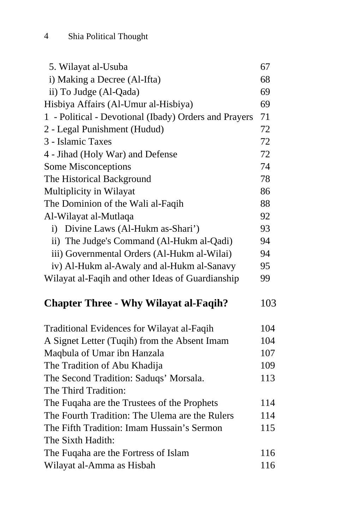| 5. Wilayat al-Usuba                                   | 67  |
|-------------------------------------------------------|-----|
| i) Making a Decree (Al-Ifta)                          | 68  |
| ii) To Judge (Al-Qada)                                | 69  |
| Hisbiya Affairs (Al-Umur al-Hisbiya)                  | 69  |
| 1 - Political - Devotional (Ibady) Orders and Prayers | 71  |
| 2 - Legal Punishment (Hudud)                          | 72  |
| 3 - Islamic Taxes                                     | 72  |
| 4 - Jihad (Holy War) and Defense                      | 72  |
| Some Misconceptions                                   | 74  |
| The Historical Background                             | 78  |
| Multiplicity in Wilayat                               | 86  |
| The Dominion of the Wali al-Faqih                     | 88  |
| Al-Wilayat al-Mutlaqa                                 | 92  |
| i) Divine Laws (Al-Hukm as-Shari')                    | 93  |
| ii) The Judge's Command (Al-Hukm al-Qadi)             | 94  |
| iii) Governmental Orders (Al-Hukm al-Wilai)           | 94  |
| iv) Al-Hukm al-Awaly and al-Hukm al-Sanavy            | 95  |
| Wilayat al-Faqih and other Ideas of Guardianship      | 99  |
| <b>Chapter Three - Why Wilayat al-Faqih?</b>          | 103 |
| Traditional Evidences for Wilayat al-Faqih            | 104 |
| A Signet Letter (Tuqih) from the Absent Imam          | 104 |
| Maqbula of Umar ibn Hanzala                           | 107 |
| The Tradition of Abu Khadija                          | 109 |
| The Second Tradition: Saduqs' Morsala.                | 113 |
| The Third Tradition:                                  |     |
| The Fuqaha are the Trustees of the Prophets           | 114 |
| The Fourth Tradition: The Ulema are the Rulers        | 114 |
| The Fifth Tradition: Imam Hussain's Sermon            | 115 |
| The Sixth Hadith:                                     |     |
| The Fuqaha are the Fortress of Islam                  | 116 |
| Wilayat al-Amma as Hisbah                             | 116 |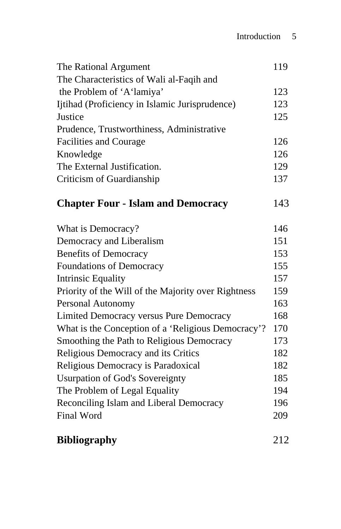| The Rational Argument                               | 119 |
|-----------------------------------------------------|-----|
| The Characteristics of Wali al-Faqih and            |     |
| the Problem of 'A'lamiya'                           | 123 |
| Ijtihad (Proficiency in Islamic Jurisprudence)      | 123 |
| Justice                                             | 125 |
| Prudence, Trustworthiness, Administrative           |     |
| Facilities and Courage                              | 126 |
| Knowledge                                           | 126 |
| The External Justification.                         | 129 |
| Criticism of Guardianship                           | 137 |
| <b>Chapter Four - Islam and Democracy</b>           | 143 |
| What is Democracy?                                  | 146 |
| Democracy and Liberalism                            | 151 |
| <b>Benefits of Democracy</b>                        | 153 |
| Foundations of Democracy                            | 155 |
| <b>Intrinsic Equality</b>                           | 157 |
| Priority of the Will of the Majority over Rightness | 159 |
| <b>Personal Autonomy</b>                            | 163 |
| Limited Democracy versus Pure Democracy             | 168 |
| What is the Conception of a 'Religious Democracy'?  | 170 |
| Smoothing the Path to Religious Democracy           | 173 |
| Religious Democracy and its Critics                 | 182 |
| Religious Democracy is Paradoxical                  | 182 |
| <b>Usurpation of God's Sovereignty</b>              | 185 |
| The Problem of Legal Equality                       | 194 |
| Reconciling Islam and Liberal Democracy             | 196 |
| <b>Final Word</b>                                   | 209 |
| <b>Bibliography</b>                                 | 212 |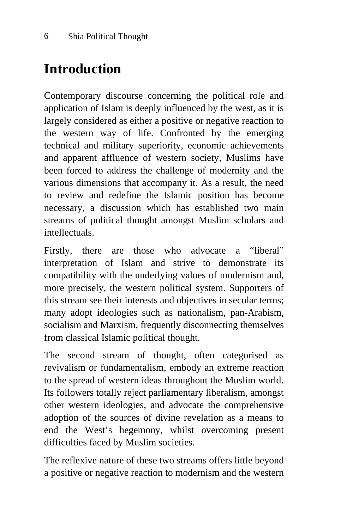# **Introduction**

Contemporary discourse concerning the political role and application of Islam is deeply influenced by the west, as it is largely considered as either a positive or negative reaction to the western way of life. Confronted by the emerging technical and military superiority, economic achievements and apparent affluence of western society, Muslims have been forced to address the challenge of modernity and the various dimensions that accompany it. As a result, the need to review and redefine the Islamic position has become necessary, a discussion which has established two main streams of political thought amongst Muslim scholars and intellectuals.

Firstly, there are those who advocate a "liberal" interpretation of Islam and strive to demonstrate its compatibility with the underlying values of modernism and, more precisely, the western political system. Supporters of this stream see their interests and objectives in secular terms; many adopt ideologies such as nationalism, pan-Arabism, socialism and Marxism, frequently disconnecting themselves from classical Islamic political thought.

The second stream of thought, often categorised as revivalism or fundamentalism, embody an extreme reaction to the spread of western ideas throughout the Muslim world. Its followers totally reject parliamentary liberalism, amongst other western ideologies, and advocate the comprehensive adoption of the sources of divine revelation as a means to end the West's hegemony, whilst overcoming present difficulties faced by Muslim societies.

The reflexive nature of these two streams offers little beyond a positive or negative reaction to modernism and the western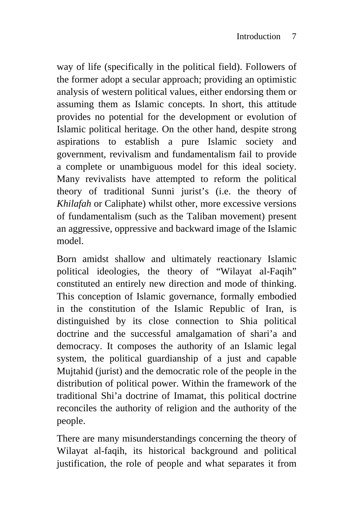way of life (specifically in the political field). Followers of the former adopt a secular approach; providing an optimistic analysis of western political values, either endorsing them or assuming them as Islamic concepts. In short, this attitude provides no potential for the development or evolution of Islamic political heritage. On the other hand, despite strong aspirations to establish a pure Islamic society and government, revivalism and fundamentalism fail to provide a complete or unambiguous model for this ideal society. Many revivalists have attempted to reform the political theory of traditional Sunni jurist's (i.e. the theory of *Khilafah* or Caliphate) whilst other, more excessive versions of fundamentalism (such as the Taliban movement) present an aggressive, oppressive and backward image of the Islamic model.

Born amidst shallow and ultimately reactionary Islamic political ideologies, the theory of "Wilayat al-Faqih" constituted an entirely new direction and mode of thinking. This conception of Islamic governance, formally embodied in the constitution of the Islamic Republic of Iran, is distinguished by its close connection to Shia political doctrine and the successful amalgamation of shari'a and democracy. It composes the authority of an Islamic legal system, the political guardianship of a just and capable Mujtahid (jurist) and the democratic role of the people in the distribution of political power. Within the framework of the traditional Shi'a doctrine of Imamat, this political doctrine reconciles the authority of religion and the authority of the people.

There are many misunderstandings concerning the theory of Wilayat al-faqih, its historical background and political justification, the role of people and what separates it from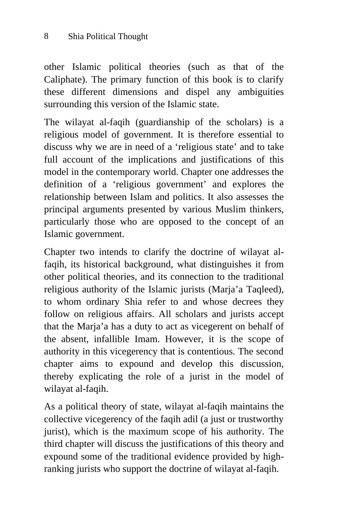other Islamic political theories (such as that of the Caliphate). The primary function of this book is to clarify these different dimensions and dispel any ambiguities surrounding this version of the Islamic state.

The wilayat al-faqih (guardianship of the scholars) is a religious model of government. It is therefore essential to discuss why we are in need of a 'religious state' and to take full account of the implications and justifications of this model in the contemporary world. Chapter one addresses the definition of a 'religious government' and explores the relationship between Islam and politics. It also assesses the principal arguments presented by various Muslim thinkers, particularly those who are opposed to the concept of an Islamic government.

Chapter two intends to clarify the doctrine of wilayat alfaqih, its historical background, what distinguishes it from other political theories, and its connection to the traditional religious authority of the Islamic jurists (Marja'a Taqleed), to whom ordinary Shia refer to and whose decrees they follow on religious affairs. All scholars and jurists accept that the Marja'a has a duty to act as vicegerent on behalf of the absent, infallible Imam. However, it is the scope of authority in this vicegerency that is contentious. The second chapter aims to expound and develop this discussion, thereby explicating the role of a jurist in the model of wilayat al-faqih.

As a political theory of state, wilayat al-faqih maintains the collective vicegerency of the faqih adil (a just or trustworthy jurist), which is the maximum scope of his authority. The third chapter will discuss the justifications of this theory and expound some of the traditional evidence provided by highranking jurists who support the doctrine of wilayat al-faqih.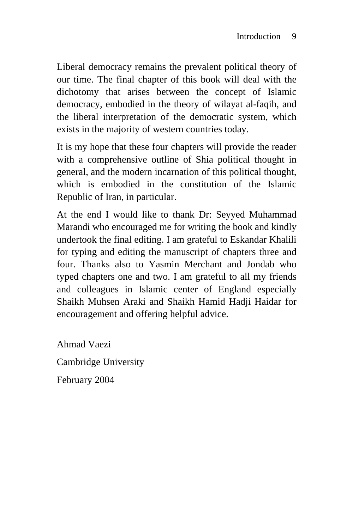Liberal democracy remains the prevalent political theory of our time. The final chapter of this book will deal with the dichotomy that arises between the concept of Islamic democracy, embodied in the theory of wilayat al-faqih, and the liberal interpretation of the democratic system, which exists in the majority of western countries today.

It is my hope that these four chapters will provide the reader with a comprehensive outline of Shia political thought in general, and the modern incarnation of this political thought, which is embodied in the constitution of the Islamic Republic of Iran, in particular.

At the end I would like to thank Dr: Seyyed Muhammad Marandi who encouraged me for writing the book and kindly undertook the final editing. I am grateful to Eskandar Khalili for typing and editing the manuscript of chapters three and four. Thanks also to Yasmin Merchant and Jondab who typed chapters one and two. I am grateful to all my friends and colleagues in Islamic center of England especially Shaikh Muhsen Araki and Shaikh Hamid Hadji Haidar for encouragement and offering helpful advice.

Ahmad Vaezi Cambridge University February 2004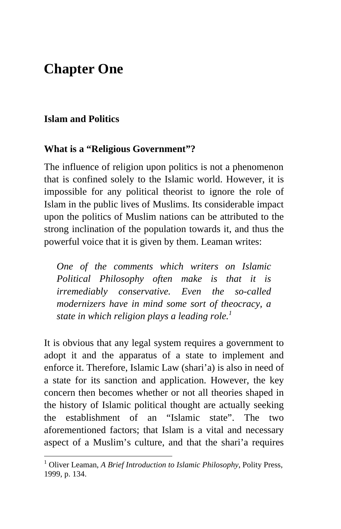## **Chapter One**

#### **Islam and Politics**

l

#### **What is a "Religious Government"?**

The influence of religion upon politics is not a phenomenon that is confined solely to the Islamic world. However, it is impossible for any political theorist to ignore the role of Islam in the public lives of Muslims. Its considerable impact upon the politics of Muslim nations can be attributed to the strong inclination of the population towards it, and thus the powerful voice that it is given by them. Leaman writes:

*One of the comments which writers on Islamic Political Philosophy often make is that it is irremediably conservative. Even the so-called modernizers have in mind some sort of theocracy, a state in which religion plays a leading role.<sup>1</sup>*

It is obvious that any legal system requires a government to adopt it and the apparatus of a state to implement and enforce it. Therefore, Islamic Law (shari'a) is also in need of a state for its sanction and application. However, the key concern then becomes whether or not all theories shaped in the history of Islamic political thought are actually seeking the establishment of an "Islamic state". The two aforementioned factors; that Islam is a vital and necessary aspect of a Muslim's culture, and that the shari'a requires

<sup>&</sup>lt;sup>1</sup> Oliver Leaman, *A Brief Introduction to Islamic Philosophy*, Polity Press, 1999, p. 134.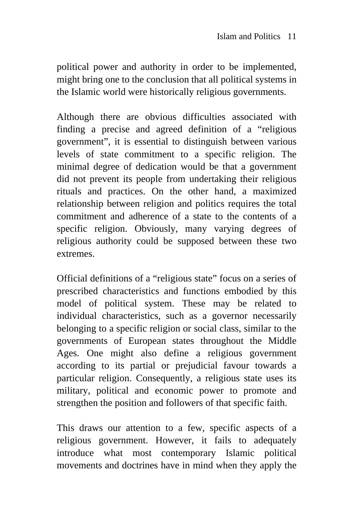political power and authority in order to be implemented, might bring one to the conclusion that all political systems in the Islamic world were historically religious governments.

Although there are obvious difficulties associated with finding a precise and agreed definition of a "religious government", it is essential to distinguish between various levels of state commitment to a specific religion. The minimal degree of dedication would be that a government did not prevent its people from undertaking their religious rituals and practices. On the other hand, a maximized relationship between religion and politics requires the total commitment and adherence of a state to the contents of a specific religion. Obviously, many varying degrees of religious authority could be supposed between these two extremes.

Official definitions of a "religious state" focus on a series of prescribed characteristics and functions embodied by this model of political system. These may be related to individual characteristics, such as a governor necessarily belonging to a specific religion or social class, similar to the governments of European states throughout the Middle Ages. One might also define a religious government according to its partial or prejudicial favour towards a particular religion. Consequently, a religious state uses its military, political and economic power to promote and strengthen the position and followers of that specific faith.

This draws our attention to a few, specific aspects of a religious government. However, it fails to adequately introduce what most contemporary Islamic political movements and doctrines have in mind when they apply the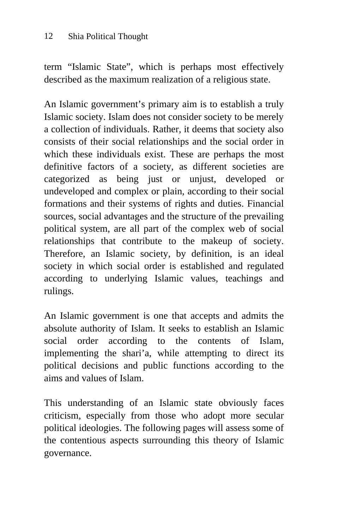term "Islamic State", which is perhaps most effectively described as the maximum realization of a religious state.

An Islamic government's primary aim is to establish a truly Islamic society. Islam does not consider society to be merely a collection of individuals. Rather, it deems that society also consists of their social relationships and the social order in which these individuals exist. These are perhaps the most definitive factors of a society, as different societies are categorized as being just or unjust, developed or undeveloped and complex or plain, according to their social formations and their systems of rights and duties. Financial sources, social advantages and the structure of the prevailing political system, are all part of the complex web of social relationships that contribute to the makeup of society. Therefore, an Islamic society, by definition, is an ideal society in which social order is established and regulated according to underlying Islamic values, teachings and rulings.

An Islamic government is one that accepts and admits the absolute authority of Islam. It seeks to establish an Islamic social order according to the contents of Islam, implementing the shari'a, while attempting to direct its political decisions and public functions according to the aims and values of Islam.

This understanding of an Islamic state obviously faces criticism, especially from those who adopt more secular political ideologies. The following pages will assess some of the contentious aspects surrounding this theory of Islamic governance.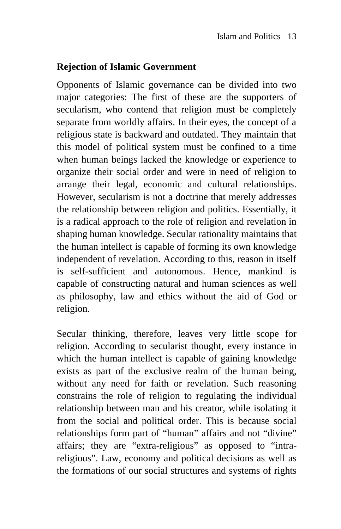#### **Rejection of Islamic Government**

Opponents of Islamic governance can be divided into two major categories: The first of these are the supporters of secularism, who contend that religion must be completely separate from worldly affairs. In their eyes, the concept of a religious state is backward and outdated. They maintain that this model of political system must be confined to a time when human beings lacked the knowledge or experience to organize their social order and were in need of religion to arrange their legal, economic and cultural relationships. However, secularism is not a doctrine that merely addresses the relationship between religion and politics. Essentially, it is a radical approach to the role of religion and revelation in shaping human knowledge. Secular rationality maintains that the human intellect is capable of forming its own knowledge independent of revelation. According to this, reason in itself is self-sufficient and autonomous. Hence, mankind is capable of constructing natural and human sciences as well as philosophy, law and ethics without the aid of God or religion.

Secular thinking, therefore, leaves very little scope for religion. According to secularist thought, every instance in which the human intellect is capable of gaining knowledge exists as part of the exclusive realm of the human being, without any need for faith or revelation. Such reasoning constrains the role of religion to regulating the individual relationship between man and his creator, while isolating it from the social and political order. This is because social relationships form part of "human" affairs and not "divine" affairs; they are "extra-religious" as opposed to "intrareligious". Law, economy and political decisions as well as the formations of our social structures and systems of rights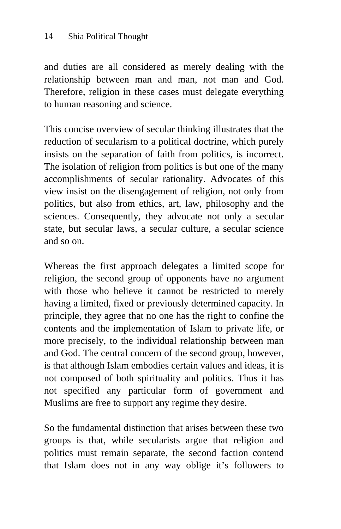and duties are all considered as merely dealing with the relationship between man and man, not man and God. Therefore, religion in these cases must delegate everything to human reasoning and science.

This concise overview of secular thinking illustrates that the reduction of secularism to a political doctrine, which purely insists on the separation of faith from politics, is incorrect. The isolation of religion from politics is but one of the many accomplishments of secular rationality. Advocates of this view insist on the disengagement of religion, not only from politics, but also from ethics, art, law, philosophy and the sciences. Consequently, they advocate not only a secular state, but secular laws, a secular culture, a secular science and so on.

Whereas the first approach delegates a limited scope for religion, the second group of opponents have no argument with those who believe it cannot be restricted to merely having a limited, fixed or previously determined capacity. In principle, they agree that no one has the right to confine the contents and the implementation of Islam to private life, or more precisely, to the individual relationship between man and God. The central concern of the second group, however, is that although Islam embodies certain values and ideas, it is not composed of both spirituality and politics. Thus it has not specified any particular form of government and Muslims are free to support any regime they desire.

So the fundamental distinction that arises between these two groups is that, while secularists argue that religion and politics must remain separate, the second faction contend that Islam does not in any way oblige it's followers to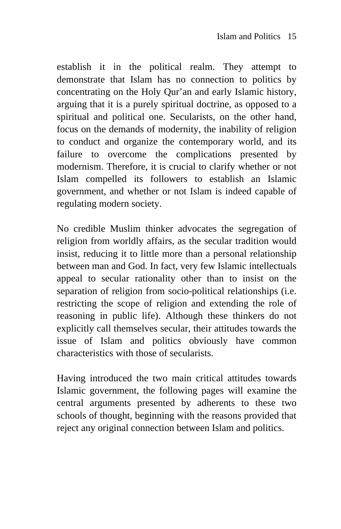establish it in the political realm. They attempt to demonstrate that Islam has no connection to politics by concentrating on the Holy Qur'an and early Islamic history, arguing that it is a purely spiritual doctrine, as opposed to a spiritual and political one. Secularists, on the other hand, focus on the demands of modernity, the inability of religion to conduct and organize the contemporary world, and its failure to overcome the complications presented by modernism. Therefore, it is crucial to clarify whether or not Islam compelled its followers to establish an Islamic government, and whether or not Islam is indeed capable of regulating modern society.

No credible Muslim thinker advocates the segregation of religion from worldly affairs, as the secular tradition would insist, reducing it to little more than a personal relationship between man and God. In fact, very few Islamic intellectuals appeal to secular rationality other than to insist on the separation of religion from socio-political relationships (i.e. restricting the scope of religion and extending the role of reasoning in public life). Although these thinkers do not explicitly call themselves secular, their attitudes towards the issue of Islam and politics obviously have common characteristics with those of secularists.

Having introduced the two main critical attitudes towards Islamic government, the following pages will examine the central arguments presented by adherents to these two schools of thought, beginning with the reasons provided that reject any original connection between Islam and politics.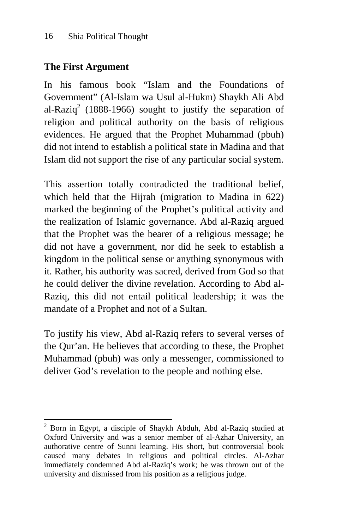#### **The First Argument**

l

In his famous book "Islam and the Foundations of Government" (Al-Islam wa Usul al-Hukm) Shaykh Ali Abd al-Raziq<sup>2</sup> (1888-1966) sought to justify the separation of religion and political authority on the basis of religious evidences. He argued that the Prophet Muhammad (pbuh) did not intend to establish a political state in Madina and that Islam did not support the rise of any particular social system.

This assertion totally contradicted the traditional belief, which held that the Hijrah (migration to Madina in 622) marked the beginning of the Prophet's political activity and the realization of Islamic governance. Abd al-Raziq argued that the Prophet was the bearer of a religious message; he did not have a government, nor did he seek to establish a kingdom in the political sense or anything synonymous with it. Rather, his authority was sacred, derived from God so that he could deliver the divine revelation. According to Abd al-Raziq, this did not entail political leadership; it was the mandate of a Prophet and not of a Sultan.

To justify his view, Abd al-Raziq refers to several verses of the Qur'an. He believes that according to these, the Prophet Muhammad (pbuh) was only a messenger, commissioned to deliver God's revelation to the people and nothing else.

 $2$  Born in Egypt, a disciple of Shaykh Abduh, Abd al-Raziq studied at Oxford University and was a senior member of al-Azhar University, an authorative centre of Sunni learning. His short, but controversial book caused many debates in religious and political circles. Al-Azhar immediately condemned Abd al-Raziq's work; he was thrown out of the university and dismissed from his position as a religious judge.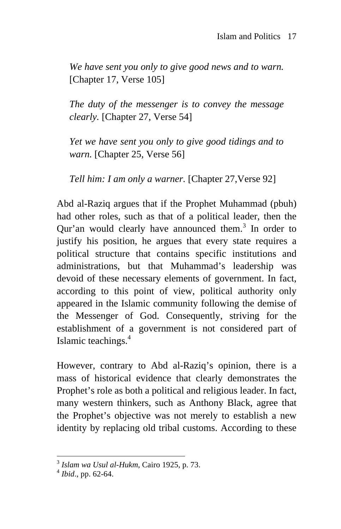*We have sent you only to give good news and to warn.*  [Chapter 17, Verse 105]

*The duty of the messenger is to convey the message clearly.* [Chapter 27, Verse 54]

*Yet we have sent you only to give good tidings and to warn.* [Chapter 25, Verse 56]

*Tell him: I am only a warner.* [Chapter 27,Verse 92]

Abd al-Raziq argues that if the Prophet Muhammad (pbuh) had other roles, such as that of a political leader, then the Qur'an would clearly have announced them.<sup>3</sup> In order to justify his position, he argues that every state requires a political structure that contains specific institutions and administrations, but that Muhammad's leadership was devoid of these necessary elements of government. In fact, according to this point of view, political authority only appeared in the Islamic community following the demise of the Messenger of God. Consequently, striving for the establishment of a government is not considered part of Islamic teachings.<sup>4</sup>

However, contrary to Abd al-Raziq's opinion, there is a mass of historical evidence that clearly demonstrates the Prophet's role as both a political and religious leader. In fact, many western thinkers, such as Anthony Black, agree that the Prophet's objective was not merely to establish a new identity by replacing old tribal customs. According to these

<sup>3</sup> *Islam wa Usul al-Hukm*, Cairo 1925, p. 73.

<sup>4</sup> *Ibid*., pp. 62-64.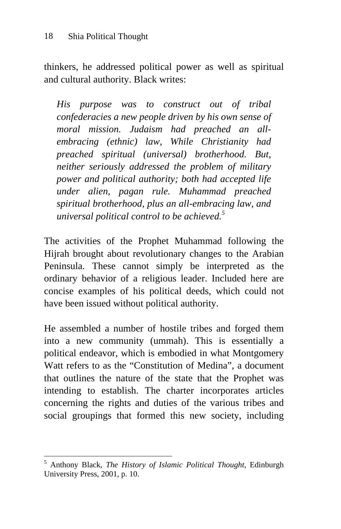thinkers, he addressed political power as well as spiritual and cultural authority. Black writes:

*His purpose was to construct out of tribal confederacies a new people driven by his own sense of moral mission. Judaism had preached an allembracing (ethnic) law, While Christianity had preached spiritual (universal) brotherhood. But, neither seriously addressed the problem of military power and political authority; both had accepted life under alien, pagan rule. Muhammad preached spiritual brotherhood, plus an all-embracing law, and universal political control to be achieved.<sup>5</sup>*

The activities of the Prophet Muhammad following the Hijrah brought about revolutionary changes to the Arabian Peninsula. These cannot simply be interpreted as the ordinary behavior of a religious leader. Included here are concise examples of his political deeds, which could not have been issued without political authority.

He assembled a number of hostile tribes and forged them into a new community (ummah). This is essentially a political endeavor, which is embodied in what Montgomery Watt refers to as the "Constitution of Medina", a document that outlines the nature of the state that the Prophet was intending to establish. The charter incorporates articles concerning the rights and duties of the various tribes and social groupings that formed this new society, including

<sup>5</sup> Anthony Black, *The History of Islamic Political Thought*, Edinburgh University Press, 2001, p. 10.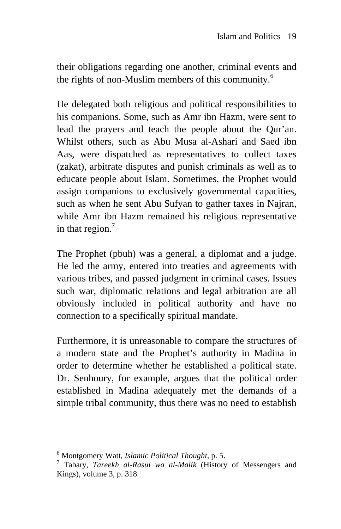their obligations regarding one another, criminal events and the rights of non-Muslim members of this community.<sup>6</sup>

He delegated both religious and political responsibilities to his companions. Some, such as Amr ibn Hazm, were sent to lead the prayers and teach the people about the Qur'an. Whilst others, such as Abu Musa al-Ashari and Saed ibn Aas, were dispatched as representatives to collect taxes (zakat), arbitrate disputes and punish criminals as well as to educate people about Islam. Sometimes, the Prophet would assign companions to exclusively governmental capacities, such as when he sent Abu Sufyan to gather taxes in Najran, while Amr ibn Hazm remained his religious representative in that region. $7$ 

The Prophet (pbuh) was a general, a diplomat and a judge. He led the army, entered into treaties and agreements with various tribes, and passed judgment in criminal cases. Issues such war, diplomatic relations and legal arbitration are all obviously included in political authority and have no connection to a specifically spiritual mandate.

Furthermore, it is unreasonable to compare the structures of a modern state and the Prophet's authority in Madina in order to determine whether he established a political state. Dr. Senhoury, for example, argues that the political order established in Madina adequately met the demands of a simple tribal community, thus there was no need to establish

<sup>6</sup> Montgomery Watt, *Islamic Political Thought*, p. 5.

<sup>7</sup> Tabary, *Tareekh al-Rasul wa al-Malik* (History of Messengers and Kings), volume 3, p. 318.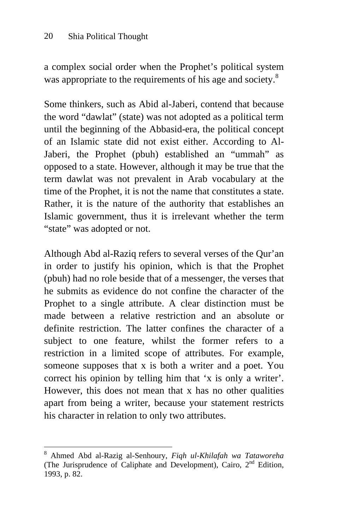a complex social order when the Prophet's political system was appropriate to the requirements of his age and society.<sup>8</sup>

Some thinkers, such as Abid al-Jaberi, contend that because the word "dawlat" (state) was not adopted as a political term until the beginning of the Abbasid-era, the political concept of an Islamic state did not exist either. According to Al-Jaberi, the Prophet (pbuh) established an "ummah" as opposed to a state. However, although it may be true that the term dawlat was not prevalent in Arab vocabulary at the time of the Prophet, it is not the name that constitutes a state. Rather, it is the nature of the authority that establishes an Islamic government, thus it is irrelevant whether the term "state" was adopted or not.

Although Abd al-Raziq refers to several verses of the Qur'an in order to justify his opinion, which is that the Prophet (pbuh) had no role beside that of a messenger, the verses that he submits as evidence do not confine the character of the Prophet to a single attribute. A clear distinction must be made between a relative restriction and an absolute or definite restriction. The latter confines the character of a subject to one feature, whilst the former refers to a restriction in a limited scope of attributes. For example, someone supposes that x is both a writer and a poet. You correct his opinion by telling him that 'x is only a writer'. However, this does not mean that x has no other qualities apart from being a writer, because your statement restricts his character in relation to only two attributes.

 8 Ahmed Abd al-Razig al-Senhoury, *Fiqh ul-Khilafah wa Tataworeha* (The Jurisprudence of Caliphate and Development), Cairo, 2 nd Edition, 1993, p. 82.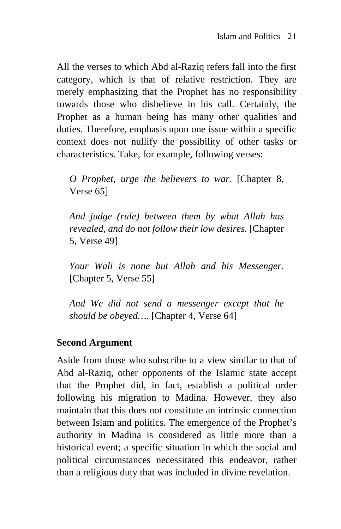All the verses to which Abd al-Raziq refers fall into the first category, which is that of relative restriction. They are merely emphasizing that the Prophet has no responsibility towards those who disbelieve in his call. Certainly, the Prophet as a human being has many other qualities and duties. Therefore, emphasis upon one issue within a specific context does not nullify the possibility of other tasks or characteristics. Take, for example, following verses:

*O Prophet, urge the believers to war.* [Chapter 8, Verse 65]

*And judge (rule) between them by what Allah has revealed, and do not follow their low desires.* [Chapter 5, Verse 49]

*Your Wali is none but Allah and his Messenger.* [Chapter 5, Verse 55]

*And We did not send a messenger except that he should be obeyed….* [Chapter 4, Verse 64]

#### **Second Argument**

Aside from those who subscribe to a view similar to that of Abd al-Raziq, other opponents of the Islamic state accept that the Prophet did, in fact, establish a political order following his migration to Madina. However, they also maintain that this does not constitute an intrinsic connection between Islam and politics. The emergence of the Prophet's authority in Madina is considered as little more than a historical event; a specific situation in which the social and political circumstances necessitated this endeavor, rather than a religious duty that was included in divine revelation.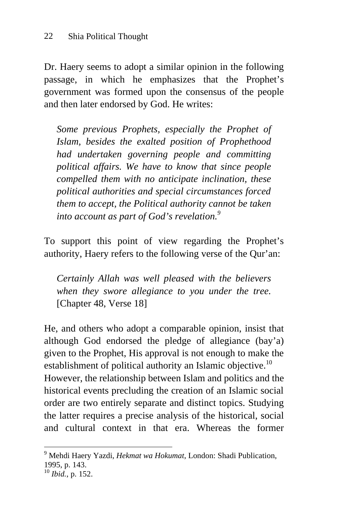Dr. Haery seems to adopt a similar opinion in the following passage, in which he emphasizes that the Prophet's government was formed upon the consensus of the people and then later endorsed by God. He writes:

*Some previous Prophets, especially the Prophet of Islam, besides the exalted position of Prophethood had undertaken governing people and committing political affairs. We have to know that since people compelled them with no anticipate inclination, these political authorities and special circumstances forced them to accept, the Political authority cannot be taken into account as part of God's revelation.<sup>9</sup>*

To support this point of view regarding the Prophet's authority, Haery refers to the following verse of the Qur'an:

*Certainly Allah was well pleased with the believers when they swore allegiance to you under the tree.* [Chapter 48, Verse 18]

He, and others who adopt a comparable opinion, insist that although God endorsed the pledge of allegiance (bay'a) given to the Prophet, His approval is not enough to make the establishment of political authority an Islamic objective.<sup>10</sup> However, the relationship between Islam and politics and the historical events precluding the creation of an Islamic social order are two entirely separate and distinct topics. Studying the latter requires a precise analysis of the historical, social and cultural context in that era. Whereas the former

 9 Mehdi Haery Yazdi, *Hekmat wa Hokumat*, London: Shadi Publication, 1995, p. 143.

<sup>10</sup> *Ibid.*, p. 152.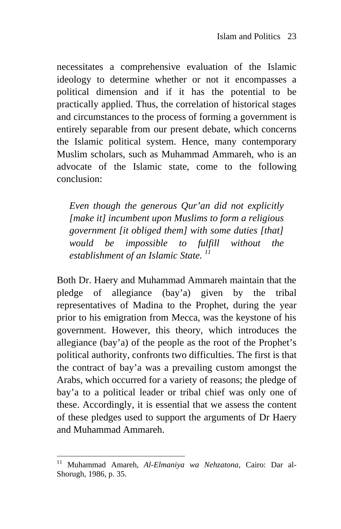necessitates a comprehensive evaluation of the Islamic ideology to determine whether or not it encompasses a political dimension and if it has the potential to be practically applied. Thus, the correlation of historical stages and circumstances to the process of forming a government is entirely separable from our present debate, which concerns the Islamic political system. Hence, many contemporary Muslim scholars, such as Muhammad Ammareh, who is an advocate of the Islamic state, come to the following conclusion:

*Even though the generous Qur'an did not explicitly [make it] incumbent upon Muslims to form a religious government [it obliged them] with some duties [that] would be impossible to fulfill without the establishment of an Islamic State. <sup>11</sup>*

Both Dr. Haery and Muhammad Ammareh maintain that the pledge of allegiance (bay'a) given by the tribal representatives of Madina to the Prophet, during the year prior to his emigration from Mecca, was the keystone of his government. However, this theory, which introduces the allegiance (bay'a) of the people as the root of the Prophet's political authority, confronts two difficulties. The first is that the contract of bay'a was a prevailing custom amongst the Arabs, which occurred for a variety of reasons; the pledge of bay'a to a political leader or tribal chief was only one of these. Accordingly, it is essential that we assess the content of these pledges used to support the arguments of Dr Haery and Muhammad Ammareh.

<sup>11</sup> Muhammad Amareh, *Al-Elmaniya wa Nehzatona*, Cairo: Dar al-Shorugh, 1986, p. 35.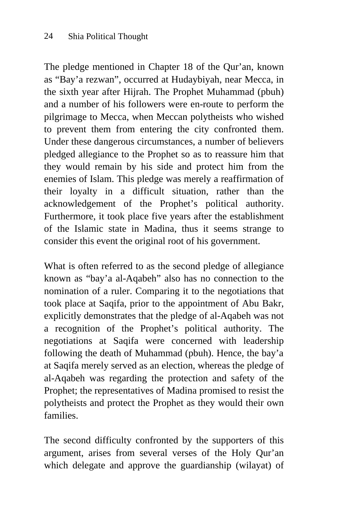The pledge mentioned in Chapter 18 of the Qur'an, known as "Bay'a rezwan", occurred at Hudaybiyah, near Mecca, in the sixth year after Hijrah. The Prophet Muhammad (pbuh) and a number of his followers were en-route to perform the pilgrimage to Mecca, when Meccan polytheists who wished to prevent them from entering the city confronted them. Under these dangerous circumstances, a number of believers pledged allegiance to the Prophet so as to reassure him that they would remain by his side and protect him from the enemies of Islam. This pledge was merely a reaffirmation of their loyalty in a difficult situation, rather than the acknowledgement of the Prophet's political authority. Furthermore, it took place five years after the establishment of the Islamic state in Madina, thus it seems strange to consider this event the original root of his government.

What is often referred to as the second pledge of allegiance known as "bay'a al-Aqabeh" also has no connection to the nomination of a ruler. Comparing it to the negotiations that took place at Saqifa, prior to the appointment of Abu Bakr, explicitly demonstrates that the pledge of al-Aqabeh was not a recognition of the Prophet's political authority. The negotiations at Saqifa were concerned with leadership following the death of Muhammad (pbuh). Hence, the bay'a at Saqifa merely served as an election, whereas the pledge of al-Aqabeh was regarding the protection and safety of the Prophet; the representatives of Madina promised to resist the polytheists and protect the Prophet as they would their own families.

The second difficulty confronted by the supporters of this argument, arises from several verses of the Holy Qur'an which delegate and approve the guardianship (wilayat) of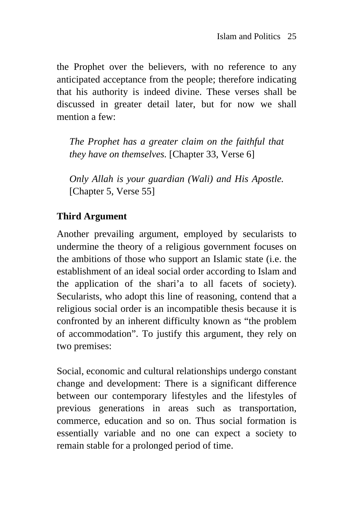the Prophet over the believers, with no reference to any anticipated acceptance from the people; therefore indicating that his authority is indeed divine. These verses shall be discussed in greater detail later, but for now we shall mention a few:

*The Prophet has a greater claim on the faithful that they have on themselves.* [Chapter 33, Verse 6]

*Only Allah is your guardian (Wali) and His Apostle.* [Chapter 5, Verse 55]

#### **Third Argument**

Another prevailing argument, employed by secularists to undermine the theory of a religious government focuses on the ambitions of those who support an Islamic state (i.e. the establishment of an ideal social order according to Islam and the application of the shari'a to all facets of society). Secularists, who adopt this line of reasoning, contend that a religious social order is an incompatible thesis because it is confronted by an inherent difficulty known as "the problem of accommodation". To justify this argument, they rely on two premises:

Social, economic and cultural relationships undergo constant change and development: There is a significant difference between our contemporary lifestyles and the lifestyles of previous generations in areas such as transportation, commerce, education and so on. Thus social formation is essentially variable and no one can expect a society to remain stable for a prolonged period of time.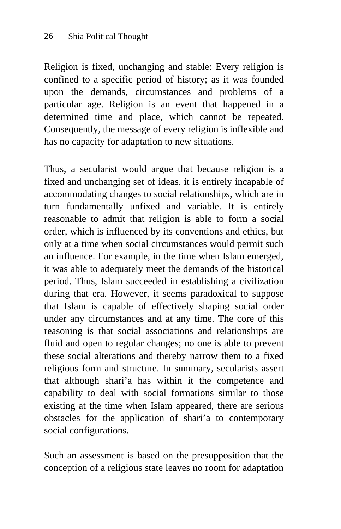Religion is fixed, unchanging and stable: Every religion is confined to a specific period of history; as it was founded upon the demands, circumstances and problems of a particular age. Religion is an event that happened in a determined time and place, which cannot be repeated. Consequently, the message of every religion is inflexible and has no capacity for adaptation to new situations.

Thus, a secularist would argue that because religion is a fixed and unchanging set of ideas, it is entirely incapable of accommodating changes to social relationships, which are in turn fundamentally unfixed and variable. It is entirely reasonable to admit that religion is able to form a social order, which is influenced by its conventions and ethics, but only at a time when social circumstances would permit such an influence. For example, in the time when Islam emerged, it was able to adequately meet the demands of the historical period. Thus, Islam succeeded in establishing a civilization during that era. However, it seems paradoxical to suppose that Islam is capable of effectively shaping social order under any circumstances and at any time. The core of this reasoning is that social associations and relationships are fluid and open to regular changes; no one is able to prevent these social alterations and thereby narrow them to a fixed religious form and structure. In summary, secularists assert that although shari'a has within it the competence and capability to deal with social formations similar to those existing at the time when Islam appeared, there are serious obstacles for the application of shari'a to contemporary social configurations.

Such an assessment is based on the presupposition that the conception of a religious state leaves no room for adaptation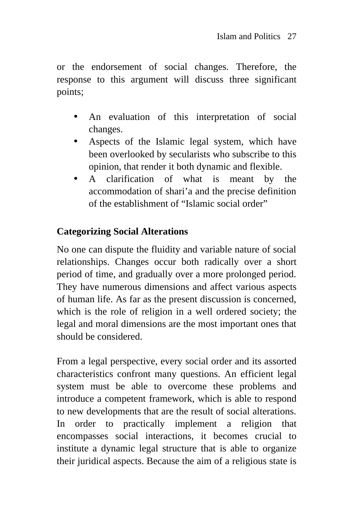or the endorsement of social changes. Therefore, the response to this argument will discuss three significant points;

- An evaluation of this interpretation of social changes.
- Aspects of the Islamic legal system, which have been overlooked by secularists who subscribe to this opinion, that render it both dynamic and flexible.
- A clarification of what is meant by the accommodation of shari'a and the precise definition of the establishment of "Islamic social order"

#### **Categorizing Social Alterations**

No one can dispute the fluidity and variable nature of social relationships. Changes occur both radically over a short period of time, and gradually over a more prolonged period. They have numerous dimensions and affect various aspects of human life. As far as the present discussion is concerned, which is the role of religion in a well ordered society; the legal and moral dimensions are the most important ones that should be considered.

From a legal perspective, every social order and its assorted characteristics confront many questions. An efficient legal system must be able to overcome these problems and introduce a competent framework, which is able to respond to new developments that are the result of social alterations. In order to practically implement a religion that encompasses social interactions, it becomes crucial to institute a dynamic legal structure that is able to organize their juridical aspects. Because the aim of a religious state is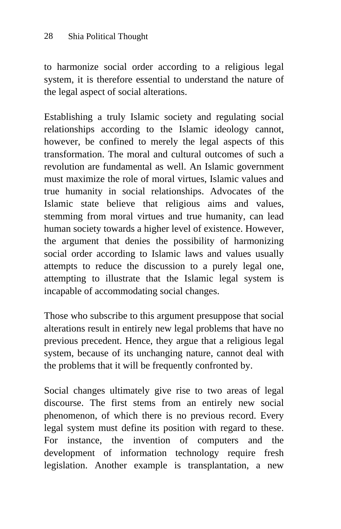to harmonize social order according to a religious legal system, it is therefore essential to understand the nature of the legal aspect of social alterations.

Establishing a truly Islamic society and regulating social relationships according to the Islamic ideology cannot, however, be confined to merely the legal aspects of this transformation. The moral and cultural outcomes of such a revolution are fundamental as well. An Islamic government must maximize the role of moral virtues, Islamic values and true humanity in social relationships. Advocates of the Islamic state believe that religious aims and values, stemming from moral virtues and true humanity, can lead human society towards a higher level of existence. However, the argument that denies the possibility of harmonizing social order according to Islamic laws and values usually attempts to reduce the discussion to a purely legal one, attempting to illustrate that the Islamic legal system is incapable of accommodating social changes.

Those who subscribe to this argument presuppose that social alterations result in entirely new legal problems that have no previous precedent. Hence, they argue that a religious legal system, because of its unchanging nature, cannot deal with the problems that it will be frequently confronted by.

Social changes ultimately give rise to two areas of legal discourse. The first stems from an entirely new social phenomenon, of which there is no previous record. Every legal system must define its position with regard to these. For instance, the invention of computers and the development of information technology require fresh legislation. Another example is transplantation, a new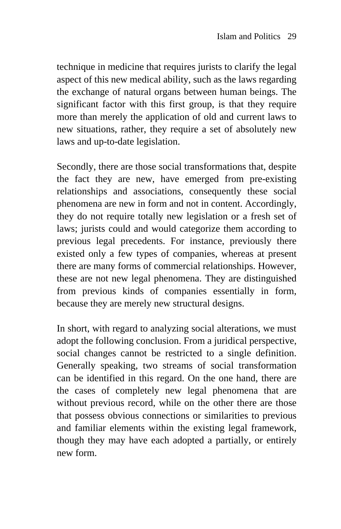technique in medicine that requires jurists to clarify the legal aspect of this new medical ability, such as the laws regarding the exchange of natural organs between human beings. The significant factor with this first group, is that they require more than merely the application of old and current laws to new situations, rather, they require a set of absolutely new laws and up-to-date legislation.

Secondly, there are those social transformations that, despite the fact they are new, have emerged from pre-existing relationships and associations, consequently these social phenomena are new in form and not in content. Accordingly, they do not require totally new legislation or a fresh set of laws; jurists could and would categorize them according to previous legal precedents. For instance, previously there existed only a few types of companies, whereas at present there are many forms of commercial relationships. However, these are not new legal phenomena. They are distinguished from previous kinds of companies essentially in form, because they are merely new structural designs.

In short, with regard to analyzing social alterations, we must adopt the following conclusion. From a juridical perspective, social changes cannot be restricted to a single definition. Generally speaking, two streams of social transformation can be identified in this regard. On the one hand, there are the cases of completely new legal phenomena that are without previous record, while on the other there are those that possess obvious connections or similarities to previous and familiar elements within the existing legal framework, though they may have each adopted a partially, or entirely new form.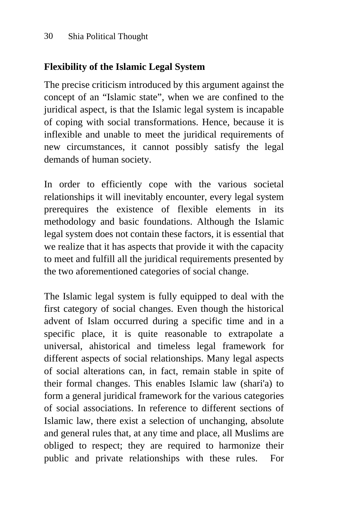#### **Flexibility of the Islamic Legal System**

The precise criticism introduced by this argument against the concept of an "Islamic state", when we are confined to the juridical aspect, is that the Islamic legal system is incapable of coping with social transformations. Hence, because it is inflexible and unable to meet the juridical requirements of new circumstances, it cannot possibly satisfy the legal demands of human society.

In order to efficiently cope with the various societal relationships it will inevitably encounter, every legal system prerequires the existence of flexible elements in its methodology and basic foundations. Although the Islamic legal system does not contain these factors, it is essential that we realize that it has aspects that provide it with the capacity to meet and fulfill all the juridical requirements presented by the two aforementioned categories of social change.

The Islamic legal system is fully equipped to deal with the first category of social changes. Even though the historical advent of Islam occurred during a specific time and in a specific place, it is quite reasonable to extrapolate a universal, ahistorical and timeless legal framework for different aspects of social relationships. Many legal aspects of social alterations can, in fact, remain stable in spite of their formal changes. This enables Islamic law (shari'a) to form a general juridical framework for the various categories of social associations. In reference to different sections of Islamic law, there exist a selection of unchanging, absolute and general rules that, at any time and place, all Muslims are obliged to respect; they are required to harmonize their public and private relationships with these rules. For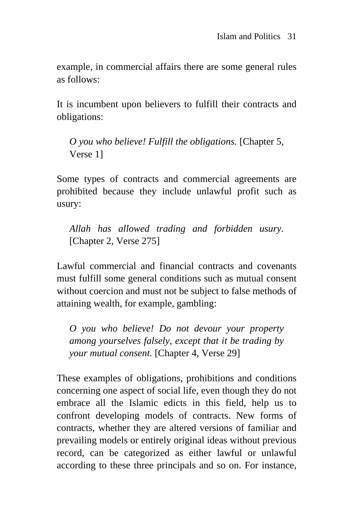example, in commercial affairs there are some general rules as follows:

It is incumbent upon believers to fulfill their contracts and obligations:

*O you who believe! Fulfill the obligations.* [Chapter 5, Verse 1]

Some types of contracts and commercial agreements are prohibited because they include unlawful profit such as usury:

*Allah has allowed trading and forbidden usury.* [Chapter 2, Verse 275]

Lawful commercial and financial contracts and covenants must fulfill some general conditions such as mutual consent without coercion and must not be subject to false methods of attaining wealth, for example, gambling:

*O you who believe! Do not devour your property among yourselves falsely, except that it be trading by your mutual consent.* [Chapter 4, Verse 29]

These examples of obligations, prohibitions and conditions concerning one aspect of social life, even though they do not embrace all the Islamic edicts in this field, help us to confront developing models of contracts. New forms of contracts, whether they are altered versions of familiar and prevailing models or entirely original ideas without previous record, can be categorized as either lawful or unlawful according to these three principals and so on. For instance,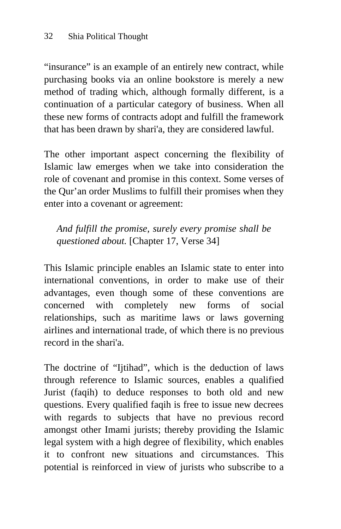"insurance" is an example of an entirely new contract, while purchasing books via an online bookstore is merely a new method of trading which, although formally different, is a continuation of a particular category of business. When all these new forms of contracts adopt and fulfill the framework that has been drawn by shari'a, they are considered lawful.

The other important aspect concerning the flexibility of Islamic law emerges when we take into consideration the role of covenant and promise in this context. Some verses of the Qur'an order Muslims to fulfill their promises when they enter into a covenant or agreement:

*And fulfill the promise, surely every promise shall be questioned about.* [Chapter 17, Verse 34]

This Islamic principle enables an Islamic state to enter into international conventions, in order to make use of their advantages, even though some of these conventions are concerned with completely new forms of social relationships, such as maritime laws or laws governing airlines and international trade, of which there is no previous record in the shari'a.

The doctrine of "Ijtihad", which is the deduction of laws through reference to Islamic sources, enables a qualified Jurist (faqih) to deduce responses to both old and new questions. Every qualified faqih is free to issue new decrees with regards to subjects that have no previous record amongst other Imami jurists; thereby providing the Islamic legal system with a high degree of flexibility, which enables it to confront new situations and circumstances. This potential is reinforced in view of jurists who subscribe to a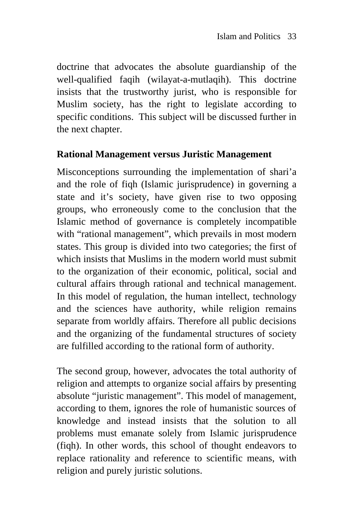doctrine that advocates the absolute guardianship of the well-qualified faqih (wilayat-a-mutlaqih). This doctrine insists that the trustworthy jurist, who is responsible for Muslim society, has the right to legislate according to specific conditions. This subject will be discussed further in the next chapter.

#### **Rational Management versus Juristic Management**

Misconceptions surrounding the implementation of shari'a and the role of fiqh (Islamic jurisprudence) in governing a state and it's society, have given rise to two opposing groups, who erroneously come to the conclusion that the Islamic method of governance is completely incompatible with "rational management", which prevails in most modern states. This group is divided into two categories; the first of which insists that Muslims in the modern world must submit to the organization of their economic, political, social and cultural affairs through rational and technical management. In this model of regulation, the human intellect, technology and the sciences have authority, while religion remains separate from worldly affairs. Therefore all public decisions and the organizing of the fundamental structures of society are fulfilled according to the rational form of authority.

The second group, however, advocates the total authority of religion and attempts to organize social affairs by presenting absolute "juristic management". This model of management, according to them, ignores the role of humanistic sources of knowledge and instead insists that the solution to all problems must emanate solely from Islamic jurisprudence (fiqh). In other words, this school of thought endeavors to replace rationality and reference to scientific means, with religion and purely juristic solutions.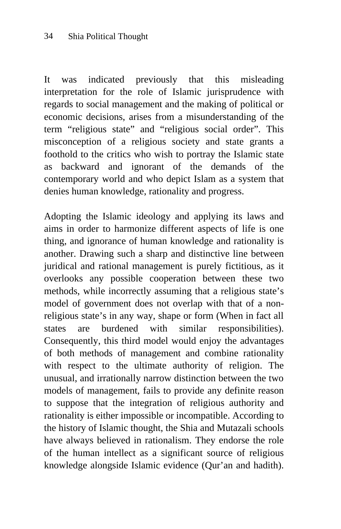It was indicated previously that this misleading interpretation for the role of Islamic jurisprudence with regards to social management and the making of political or economic decisions, arises from a misunderstanding of the term "religious state" and "religious social order". This misconception of a religious society and state grants a foothold to the critics who wish to portray the Islamic state as backward and ignorant of the demands of the contemporary world and who depict Islam as a system that denies human knowledge, rationality and progress.

Adopting the Islamic ideology and applying its laws and aims in order to harmonize different aspects of life is one thing, and ignorance of human knowledge and rationality is another. Drawing such a sharp and distinctive line between juridical and rational management is purely fictitious, as it overlooks any possible cooperation between these two methods, while incorrectly assuming that a religious state's model of government does not overlap with that of a nonreligious state's in any way, shape or form (When in fact all states are burdened with similar responsibilities). Consequently, this third model would enjoy the advantages of both methods of management and combine rationality with respect to the ultimate authority of religion. The unusual, and irrationally narrow distinction between the two models of management, fails to provide any definite reason to suppose that the integration of religious authority and rationality is either impossible or incompatible. According to the history of Islamic thought, the Shia and Mutazali schools have always believed in rationalism. They endorse the role of the human intellect as a significant source of religious knowledge alongside Islamic evidence (Qur'an and hadith).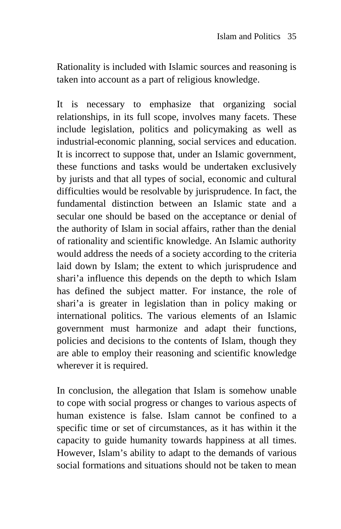Rationality is included with Islamic sources and reasoning is taken into account as a part of religious knowledge.

It is necessary to emphasize that organizing social relationships, in its full scope, involves many facets. These include legislation, politics and policymaking as well as industrial-economic planning, social services and education. It is incorrect to suppose that, under an Islamic government, these functions and tasks would be undertaken exclusively by jurists and that all types of social, economic and cultural difficulties would be resolvable by jurisprudence. In fact, the fundamental distinction between an Islamic state and a secular one should be based on the acceptance or denial of the authority of Islam in social affairs, rather than the denial of rationality and scientific knowledge. An Islamic authority would address the needs of a society according to the criteria laid down by Islam; the extent to which jurisprudence and shari'a influence this depends on the depth to which Islam has defined the subject matter. For instance, the role of shari'a is greater in legislation than in policy making or international politics. The various elements of an Islamic government must harmonize and adapt their functions, policies and decisions to the contents of Islam, though they are able to employ their reasoning and scientific knowledge wherever it is required.

In conclusion, the allegation that Islam is somehow unable to cope with social progress or changes to various aspects of human existence is false. Islam cannot be confined to a specific time or set of circumstances, as it has within it the capacity to guide humanity towards happiness at all times. However, Islam's ability to adapt to the demands of various social formations and situations should not be taken to mean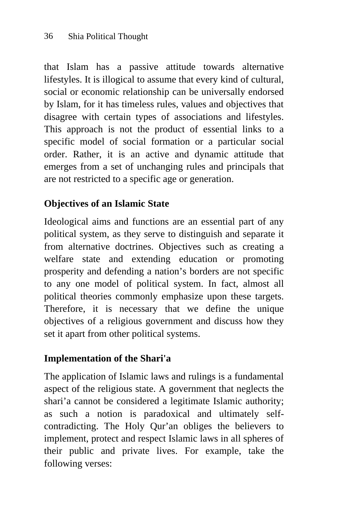that Islam has a passive attitude towards alternative lifestyles. It is illogical to assume that every kind of cultural, social or economic relationship can be universally endorsed by Islam, for it has timeless rules, values and objectives that disagree with certain types of associations and lifestyles. This approach is not the product of essential links to a specific model of social formation or a particular social order. Rather, it is an active and dynamic attitude that emerges from a set of unchanging rules and principals that are not restricted to a specific age or generation.

#### **Objectives of an Islamic State**

Ideological aims and functions are an essential part of any political system, as they serve to distinguish and separate it from alternative doctrines. Objectives such as creating a welfare state and extending education or promoting prosperity and defending a nation's borders are not specific to any one model of political system. In fact, almost all political theories commonly emphasize upon these targets. Therefore, it is necessary that we define the unique objectives of a religious government and discuss how they set it apart from other political systems.

#### **Implementation of the Shari'a**

The application of Islamic laws and rulings is a fundamental aspect of the religious state. A government that neglects the shari'a cannot be considered a legitimate Islamic authority; as such a notion is paradoxical and ultimately selfcontradicting. The Holy Qur'an obliges the believers to implement, protect and respect Islamic laws in all spheres of their public and private lives. For example, take the following verses: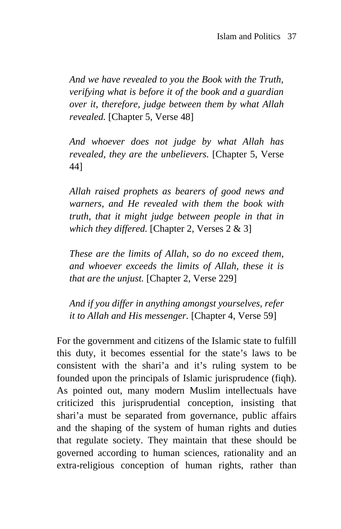*And we have revealed to you the Book with the Truth, verifying what is before it of the book and a guardian over it, therefore, judge between them by what Allah revealed.* [Chapter 5, Verse 48]

*And whoever does not judge by what Allah has revealed, they are the unbelievers.* [Chapter 5, Verse 44]

*Allah raised prophets as bearers of good news and warners, and He revealed with them the book with truth, that it might judge between people in that in which they differed.* [Chapter 2, Verses 2 & 3]

*These are the limits of Allah, so do no exceed them, and whoever exceeds the limits of Allah, these it is that are the unjust.* [Chapter 2, Verse 229]

*And if you differ in anything amongst yourselves, refer it to Allah and His messenger.* [Chapter 4, Verse 59]

For the government and citizens of the Islamic state to fulfill this duty, it becomes essential for the state's laws to be consistent with the shari'a and it's ruling system to be founded upon the principals of Islamic jurisprudence (fiqh). As pointed out, many modern Muslim intellectuals have criticized this jurisprudential conception, insisting that shari'a must be separated from governance, public affairs and the shaping of the system of human rights and duties that regulate society. They maintain that these should be governed according to human sciences, rationality and an extra-religious conception of human rights, rather than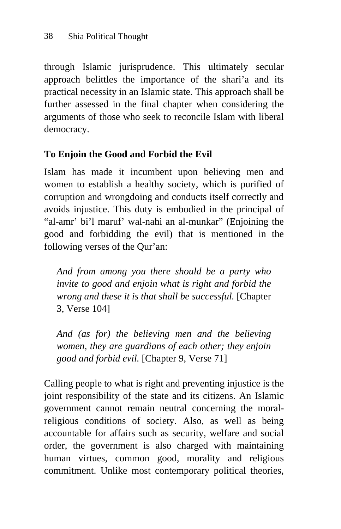through Islamic jurisprudence. This ultimately secular approach belittles the importance of the shari'a and its practical necessity in an Islamic state. This approach shall be further assessed in the final chapter when considering the arguments of those who seek to reconcile Islam with liberal democracy.

## **To Enjoin the Good and Forbid the Evil**

Islam has made it incumbent upon believing men and women to establish a healthy society, which is purified of corruption and wrongdoing and conducts itself correctly and avoids injustice. This duty is embodied in the principal of "al-amr' bi'l maruf' wal-nahi an al-munkar" (Enjoining the good and forbidding the evil) that is mentioned in the following verses of the Qur'an:

*And from among you there should be a party who invite to good and enjoin what is right and forbid the wrong and these it is that shall be successful.* [Chapter 3, Verse 104]

*And (as for) the believing men and the believing women, they are guardians of each other; they enjoin good and forbid evil.* [Chapter 9, Verse 71]

Calling people to what is right and preventing injustice is the joint responsibility of the state and its citizens. An Islamic government cannot remain neutral concerning the moralreligious conditions of society. Also, as well as being accountable for affairs such as security, welfare and social order, the government is also charged with maintaining human virtues, common good, morality and religious commitment. Unlike most contemporary political theories,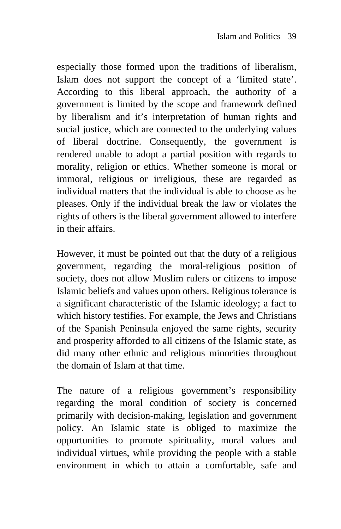especially those formed upon the traditions of liberalism, Islam does not support the concept of a 'limited state'. According to this liberal approach, the authority of a government is limited by the scope and framework defined by liberalism and it's interpretation of human rights and social justice, which are connected to the underlying values of liberal doctrine. Consequently, the government is rendered unable to adopt a partial position with regards to morality, religion or ethics. Whether someone is moral or immoral, religious or irreligious, these are regarded as individual matters that the individual is able to choose as he pleases. Only if the individual break the law or violates the rights of others is the liberal government allowed to interfere in their affairs.

However, it must be pointed out that the duty of a religious government, regarding the moral-religious position of society, does not allow Muslim rulers or citizens to impose Islamic beliefs and values upon others. Religious tolerance is a significant characteristic of the Islamic ideology; a fact to which history testifies. For example, the Jews and Christians of the Spanish Peninsula enjoyed the same rights, security and prosperity afforded to all citizens of the Islamic state, as did many other ethnic and religious minorities throughout the domain of Islam at that time.

The nature of a religious government's responsibility regarding the moral condition of society is concerned primarily with decision-making, legislation and government policy. An Islamic state is obliged to maximize the opportunities to promote spirituality, moral values and individual virtues, while providing the people with a stable environment in which to attain a comfortable, safe and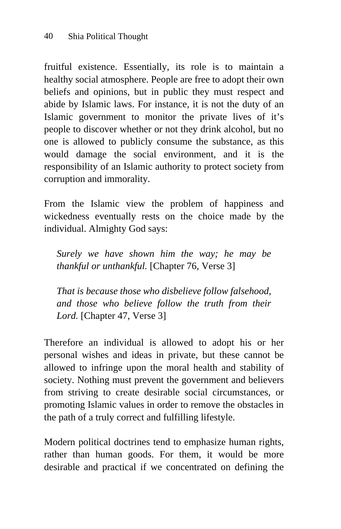fruitful existence. Essentially, its role is to maintain a healthy social atmosphere. People are free to adopt their own beliefs and opinions, but in public they must respect and abide by Islamic laws. For instance, it is not the duty of an Islamic government to monitor the private lives of it's people to discover whether or not they drink alcohol, but no one is allowed to publicly consume the substance, as this would damage the social environment, and it is the responsibility of an Islamic authority to protect society from corruption and immorality.

From the Islamic view the problem of happiness and wickedness eventually rests on the choice made by the individual. Almighty God says:

*Surely we have shown him the way; he may be thankful or unthankful.* [Chapter 76, Verse 3]

*That is because those who disbelieve follow falsehood, and those who believe follow the truth from their Lord.* [Chapter 47, Verse 3]

Therefore an individual is allowed to adopt his or her personal wishes and ideas in private, but these cannot be allowed to infringe upon the moral health and stability of society. Nothing must prevent the government and believers from striving to create desirable social circumstances, or promoting Islamic values in order to remove the obstacles in the path of a truly correct and fulfilling lifestyle.

Modern political doctrines tend to emphasize human rights, rather than human goods. For them, it would be more desirable and practical if we concentrated on defining the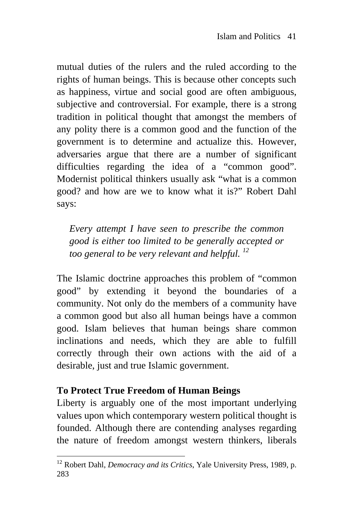mutual duties of the rulers and the ruled according to the rights of human beings. This is because other concepts such as happiness, virtue and social good are often ambiguous, subjective and controversial. For example, there is a strong tradition in political thought that amongst the members of any polity there is a common good and the function of the government is to determine and actualize this. However, adversaries argue that there are a number of significant difficulties regarding the idea of a "common good". Modernist political thinkers usually ask "what is a common good? and how are we to know what it is?" Robert Dahl says:

*Every attempt I have seen to prescribe the common good is either too limited to be generally accepted or too general to be very relevant and helpful. <sup>12</sup>*

The Islamic doctrine approaches this problem of "common good" by extending it beyond the boundaries of a community. Not only do the members of a community have a common good but also all human beings have a common good. Islam believes that human beings share common inclinations and needs, which they are able to fulfill correctly through their own actions with the aid of a desirable, just and true Islamic government.

## **To Protect True Freedom of Human Beings**

l

Liberty is arguably one of the most important underlying values upon which contemporary western political thought is founded. Although there are contending analyses regarding the nature of freedom amongst western thinkers, liberals

<sup>&</sup>lt;sup>12</sup> Robert Dahl, *Democracy and its Critics*, Yale University Press, 1989, p. 283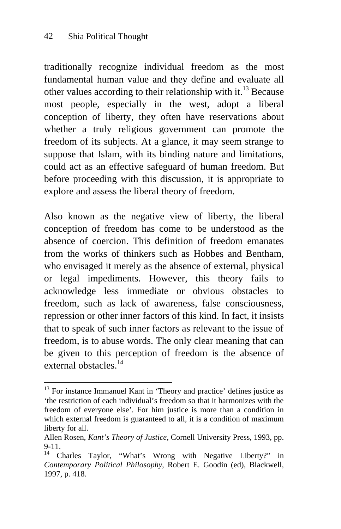l

traditionally recognize individual freedom as the most fundamental human value and they define and evaluate all other values according to their relationship with it.<sup>13</sup> Because most people, especially in the west, adopt a liberal conception of liberty, they often have reservations about whether a truly religious government can promote the freedom of its subjects. At a glance, it may seem strange to suppose that Islam, with its binding nature and limitations, could act as an effective safeguard of human freedom. But before proceeding with this discussion, it is appropriate to explore and assess the liberal theory of freedom.

Also known as the negative view of liberty, the liberal conception of freedom has come to be understood as the absence of coercion. This definition of freedom emanates from the works of thinkers such as Hobbes and Bentham, who envisaged it merely as the absence of external, physical or legal impediments. However, this theory fails to acknowledge less immediate or obvious obstacles to freedom, such as lack of awareness, false consciousness, repression or other inner factors of this kind. In fact, it insists that to speak of such inner factors as relevant to the issue of freedom, is to abuse words. The only clear meaning that can be given to this perception of freedom is the absence of external obstacles<sup>14</sup>

<sup>&</sup>lt;sup>13</sup> For instance Immanuel Kant in 'Theory and practice' defines justice as 'the restriction of each individual's freedom so that it harmonizes with the freedom of everyone else'. For him justice is more than a condition in which external freedom is guaranteed to all, it is a condition of maximum liberty for all.

Allen Rosen, *Kant's Theory of Justice*, Cornell University Press, 1993, pp.  $\frac{9-11}{14}$ .

<sup>14</sup> Charles Taylor, "What's Wrong with Negative Liberty?" in *Contemporary Political Philosophy*, Robert E. Goodin (ed), Blackwell, 1997, p. 418.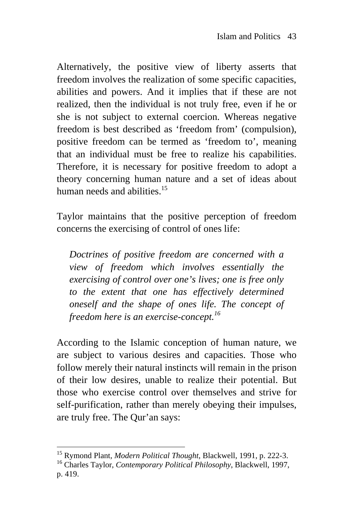Alternatively, the positive view of liberty asserts that freedom involves the realization of some specific capacities, abilities and powers. And it implies that if these are not realized, then the individual is not truly free, even if he or she is not subject to external coercion. Whereas negative freedom is best described as 'freedom from' (compulsion), positive freedom can be termed as 'freedom to', meaning that an individual must be free to realize his capabilities. Therefore, it is necessary for positive freedom to adopt a theory concerning human nature and a set of ideas about human needs and abilities.<sup>15</sup>

Taylor maintains that the positive perception of freedom concerns the exercising of control of ones life:

*Doctrines of positive freedom are concerned with a view of freedom which involves essentially the exercising of control over one's lives; one is free only to the extent that one has effectively determined oneself and the shape of ones life. The concept of freedom here is an exercise-concept.<sup>16</sup>*

According to the Islamic conception of human nature, we are subject to various desires and capacities. Those who follow merely their natural instincts will remain in the prison of their low desires, unable to realize their potential. But those who exercise control over themselves and strive for self-purification, rather than merely obeying their impulses, are truly free. The Qur'an says:

<sup>15</sup> Rymond Plant, *Modern Political Thought*, Blackwell, 1991, p. 222-3.

<sup>16</sup> Charles Taylor, *Contemporary Political Philosophy*, Blackwell, 1997, p. 419.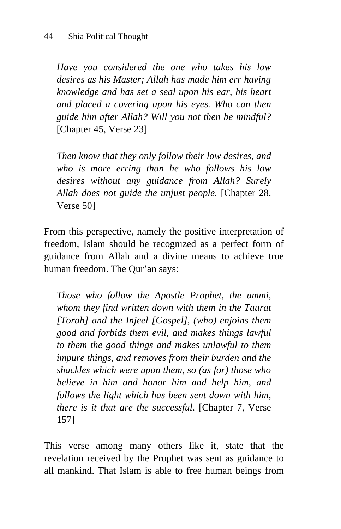*Have you considered the one who takes his low desires as his Master; Allah has made him err having knowledge and has set a seal upon his ear, his heart and placed a covering upon his eyes. Who can then guide him after Allah? Will you not then be mindful?* [Chapter 45, Verse 23]

*Then know that they only follow their low desires, and who is more erring than he who follows his low desires without any guidance from Allah? Surely Allah does not guide the unjust people.* [Chapter 28, Verse 50]

From this perspective, namely the positive interpretation of freedom, Islam should be recognized as a perfect form of guidance from Allah and a divine means to achieve true human freedom. The Qur'an says:

*Those who follow the Apostle Prophet, the ummi, whom they find written down with them in the Taurat [Torah] and the Injeel [Gospel], (who) enjoins them good and forbids them evil, and makes things lawful to them the good things and makes unlawful to them impure things, and removes from their burden and the shackles which were upon them, so (as for) those who believe in him and honor him and help him, and follows the light which has been sent down with him, there is it that are the successful*. [Chapter 7, Verse 157]

This verse among many others like it, state that the revelation received by the Prophet was sent as guidance to all mankind. That Islam is able to free human beings from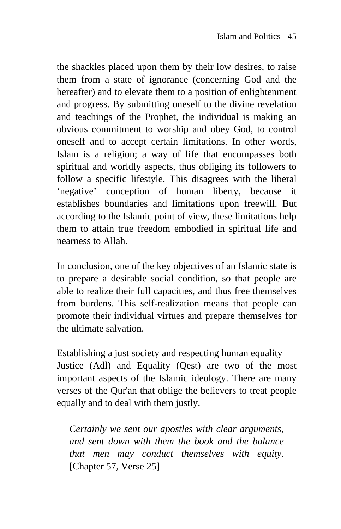the shackles placed upon them by their low desires, to raise them from a state of ignorance (concerning God and the hereafter) and to elevate them to a position of enlightenment and progress. By submitting oneself to the divine revelation and teachings of the Prophet, the individual is making an obvious commitment to worship and obey God, to control oneself and to accept certain limitations. In other words, Islam is a religion; a way of life that encompasses both spiritual and worldly aspects, thus obliging its followers to follow a specific lifestyle. This disagrees with the liberal 'negative' conception of human liberty, because it establishes boundaries and limitations upon freewill. But according to the Islamic point of view, these limitations help them to attain true freedom embodied in spiritual life and nearness to Allah.

In conclusion, one of the key objectives of an Islamic state is to prepare a desirable social condition, so that people are able to realize their full capacities, and thus free themselves from burdens. This self-realization means that people can promote their individual virtues and prepare themselves for the ultimate salvation.

Establishing a just society and respecting human equality Justice (Adl) and Equality (Qest) are two of the most important aspects of the Islamic ideology. There are many verses of the Qur'an that oblige the believers to treat people equally and to deal with them justly.

*Certainly we sent our apostles with clear arguments, and sent down with them the book and the balance that men may conduct themselves with equity.* [Chapter 57, Verse 25]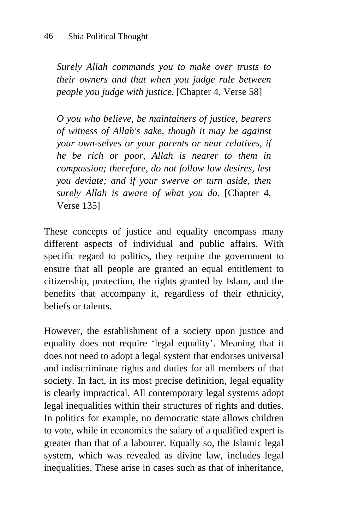*Surely Allah commands you to make over trusts to their owners and that when you judge rule between people you judge with justice.* [Chapter 4, Verse 58]

*O you who believe, be maintainers of justice, bearers of witness of Allah's sake, though it may be against your own-selves or your parents or near relatives, if he be rich or poor, Allah is nearer to them in compassion; therefore, do not follow low desires, lest you deviate; and if your swerve or turn aside, then surely Allah is aware of what you do.* [Chapter 4, Verse 135]

These concepts of justice and equality encompass many different aspects of individual and public affairs. With specific regard to politics, they require the government to ensure that all people are granted an equal entitlement to citizenship, protection, the rights granted by Islam, and the benefits that accompany it, regardless of their ethnicity, beliefs or talents.

However, the establishment of a society upon justice and equality does not require 'legal equality'. Meaning that it does not need to adopt a legal system that endorses universal and indiscriminate rights and duties for all members of that society. In fact, in its most precise definition, legal equality is clearly impractical. All contemporary legal systems adopt legal inequalities within their structures of rights and duties. In politics for example, no democratic state allows children to vote, while in economics the salary of a qualified expert is greater than that of a labourer. Equally so, the Islamic legal system, which was revealed as divine law, includes legal inequalities. These arise in cases such as that of inheritance,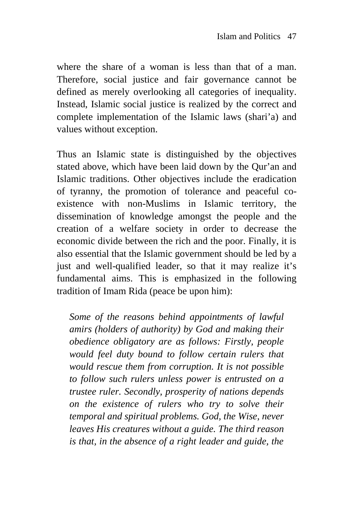where the share of a woman is less than that of a man. Therefore, social justice and fair governance cannot be defined as merely overlooking all categories of inequality. Instead, Islamic social justice is realized by the correct and complete implementation of the Islamic laws (shari'a) and values without exception.

Thus an Islamic state is distinguished by the objectives stated above, which have been laid down by the Qur'an and Islamic traditions. Other objectives include the eradication of tyranny, the promotion of tolerance and peaceful coexistence with non-Muslims in Islamic territory, the dissemination of knowledge amongst the people and the creation of a welfare society in order to decrease the economic divide between the rich and the poor. Finally, it is also essential that the Islamic government should be led by a just and well-qualified leader, so that it may realize it's fundamental aims. This is emphasized in the following tradition of Imam Rida (peace be upon him):

*Some of the reasons behind appointments of lawful amirs (holders of authority) by God and making their obedience obligatory are as follows: Firstly, people would feel duty bound to follow certain rulers that would rescue them from corruption. It is not possible to follow such rulers unless power is entrusted on a trustee ruler. Secondly, prosperity of nations depends on the existence of rulers who try to solve their temporal and spiritual problems. God, the Wise, never leaves His creatures without a guide. The third reason is that, in the absence of a right leader and guide, the*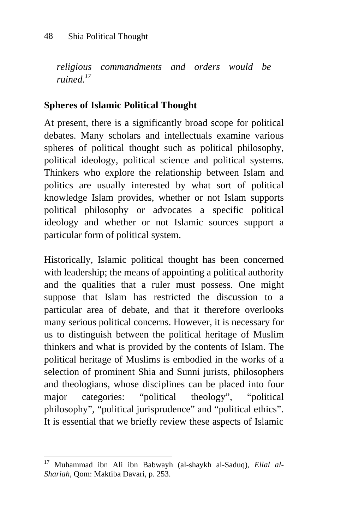*religious commandments and orders would be ruined.<sup>17</sup>* 

#### **Spheres of Islamic Political Thought**

At present, there is a significantly broad scope for political debates. Many scholars and intellectuals examine various spheres of political thought such as political philosophy, political ideology, political science and political systems. Thinkers who explore the relationship between Islam and politics are usually interested by what sort of political knowledge Islam provides, whether or not Islam supports political philosophy or advocates a specific political ideology and whether or not Islamic sources support a particular form of political system.

Historically, Islamic political thought has been concerned with leadership; the means of appointing a political authority and the qualities that a ruler must possess. One might suppose that Islam has restricted the discussion to a particular area of debate, and that it therefore overlooks many serious political concerns. However, it is necessary for us to distinguish between the political heritage of Muslim thinkers and what is provided by the contents of Islam. The political heritage of Muslims is embodied in the works of a selection of prominent Shia and Sunni jurists, philosophers and theologians, whose disciplines can be placed into four major categories: "political theology", "political philosophy", "political jurisprudence" and "political ethics". It is essential that we briefly review these aspects of Islamic

<sup>17</sup> Muhammad ibn Ali ibn Babwayh (al-shaykh al-Saduq), *Ellal al-Shariah*, Qom: Maktiba Davari, p. 253.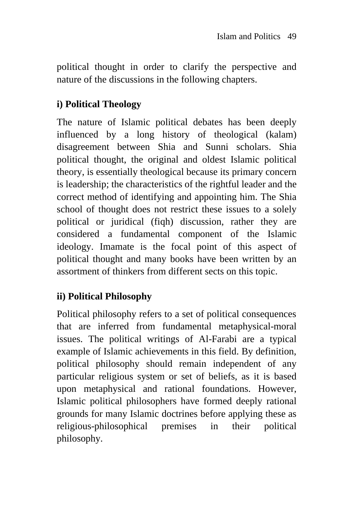political thought in order to clarify the perspective and nature of the discussions in the following chapters.

## **i) Political Theology**

The nature of Islamic political debates has been deeply influenced by a long history of theological (kalam) disagreement between Shia and Sunni scholars. Shia political thought, the original and oldest Islamic political theory, is essentially theological because its primary concern is leadership; the characteristics of the rightful leader and the correct method of identifying and appointing him. The Shia school of thought does not restrict these issues to a solely political or juridical (fiqh) discussion, rather they are considered a fundamental component of the Islamic ideology. Imamate is the focal point of this aspect of political thought and many books have been written by an assortment of thinkers from different sects on this topic.

## **ii) Political Philosophy**

Political philosophy refers to a set of political consequences that are inferred from fundamental metaphysical-moral issues. The political writings of Al-Farabi are a typical example of Islamic achievements in this field. By definition, political philosophy should remain independent of any particular religious system or set of beliefs, as it is based upon metaphysical and rational foundations. However, Islamic political philosophers have formed deeply rational grounds for many Islamic doctrines before applying these as religious-philosophical premises in their political philosophy.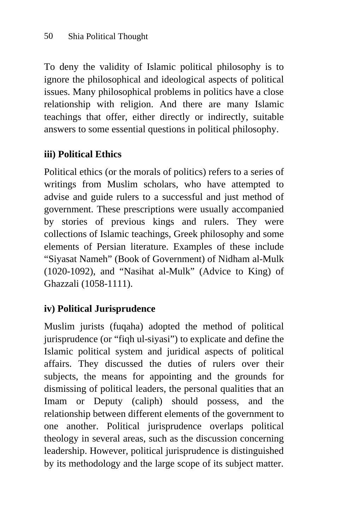To deny the validity of Islamic political philosophy is to ignore the philosophical and ideological aspects of political issues. Many philosophical problems in politics have a close relationship with religion. And there are many Islamic teachings that offer, either directly or indirectly, suitable answers to some essential questions in political philosophy.

## **iii) Political Ethics**

Political ethics (or the morals of politics) refers to a series of writings from Muslim scholars, who have attempted to advise and guide rulers to a successful and just method of government. These prescriptions were usually accompanied by stories of previous kings and rulers. They were collections of Islamic teachings, Greek philosophy and some elements of Persian literature. Examples of these include "Siyasat Nameh" (Book of Government) of Nidham al-Mulk (1020-1092), and "Nasihat al-Mulk" (Advice to King) of Ghazzali (1058-1111).

## **iv) Political Jurisprudence**

Muslim jurists (fuqaha) adopted the method of political jurisprudence (or "fiqh ul-siyasi") to explicate and define the Islamic political system and juridical aspects of political affairs. They discussed the duties of rulers over their subjects, the means for appointing and the grounds for dismissing of political leaders, the personal qualities that an Imam or Deputy (caliph) should possess, and the relationship between different elements of the government to one another. Political jurisprudence overlaps political theology in several areas, such as the discussion concerning leadership. However, political jurisprudence is distinguished by its methodology and the large scope of its subject matter.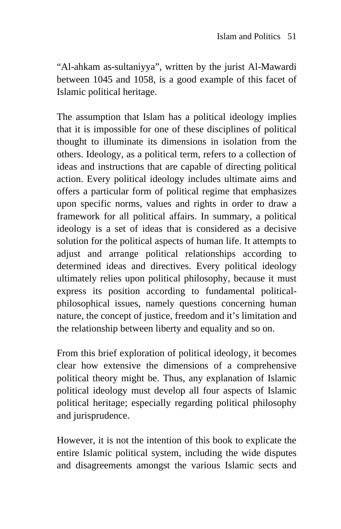"Al-ahkam as-sultaniyya", written by the jurist Al-Mawardi between 1045 and 1058, is a good example of this facet of Islamic political heritage.

The assumption that Islam has a political ideology implies that it is impossible for one of these disciplines of political thought to illuminate its dimensions in isolation from the others. Ideology, as a political term, refers to a collection of ideas and instructions that are capable of directing political action. Every political ideology includes ultimate aims and offers a particular form of political regime that emphasizes upon specific norms, values and rights in order to draw a framework for all political affairs. In summary, a political ideology is a set of ideas that is considered as a decisive solution for the political aspects of human life. It attempts to adjust and arrange political relationships according to determined ideas and directives. Every political ideology ultimately relies upon political philosophy, because it must express its position according to fundamental politicalphilosophical issues, namely questions concerning human nature, the concept of justice, freedom and it's limitation and the relationship between liberty and equality and so on.

From this brief exploration of political ideology, it becomes clear how extensive the dimensions of a comprehensive political theory might be. Thus, any explanation of Islamic political ideology must develop all four aspects of Islamic political heritage; especially regarding political philosophy and jurisprudence.

However, it is not the intention of this book to explicate the entire Islamic political system, including the wide disputes and disagreements amongst the various Islamic sects and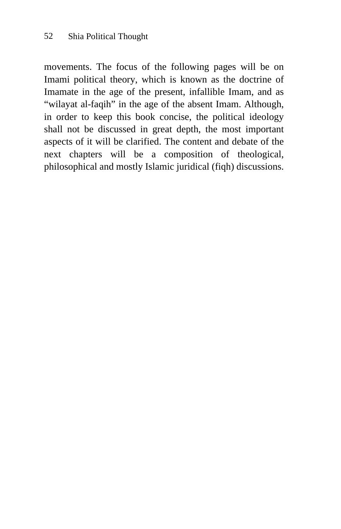movements. The focus of the following pages will be on Imami political theory, which is known as the doctrine of Imamate in the age of the present, infallible Imam, and as "wilayat al-faqih" in the age of the absent Imam. Although, in order to keep this book concise, the political ideology shall not be discussed in great depth, the most important aspects of it will be clarified. The content and debate of the next chapters will be a composition of theological, philosophical and mostly Islamic juridical (fiqh) discussions.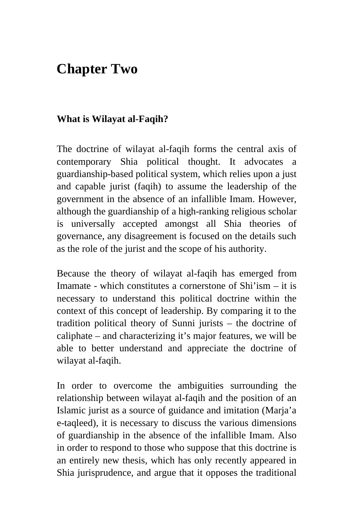# **Chapter Two**

#### **What is Wilayat al-Faqih?**

The doctrine of wilayat al-faqih forms the central axis of contemporary Shia political thought. It advocates a guardianship-based political system, which relies upon a just and capable jurist (faqih) to assume the leadership of the government in the absence of an infallible Imam. However, although the guardianship of a high-ranking religious scholar is universally accepted amongst all Shia theories of governance, any disagreement is focused on the details such as the role of the jurist and the scope of his authority.

Because the theory of wilayat al-faqih has emerged from Imamate - which constitutes a cornerstone of Shi'ism – it is necessary to understand this political doctrine within the context of this concept of leadership. By comparing it to the tradition political theory of Sunni jurists – the doctrine of caliphate – and characterizing it's major features, we will be able to better understand and appreciate the doctrine of wilayat al-faqih.

In order to overcome the ambiguities surrounding the relationship between wilayat al-faqih and the position of an Islamic jurist as a source of guidance and imitation (Marja'a e-taqleed), it is necessary to discuss the various dimensions of guardianship in the absence of the infallible Imam. Also in order to respond to those who suppose that this doctrine is an entirely new thesis, which has only recently appeared in Shia jurisprudence, and argue that it opposes the traditional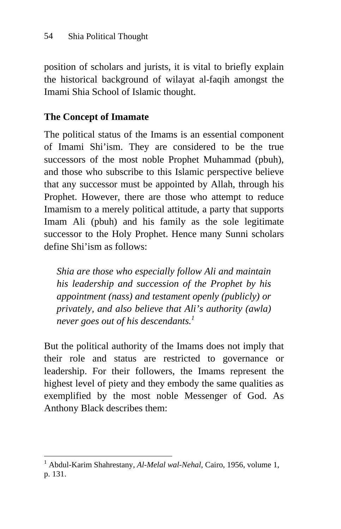position of scholars and jurists, it is vital to briefly explain the historical background of wilayat al-faqih amongst the Imami Shia School of Islamic thought.

### **The Concept of Imamate**

l

The political status of the Imams is an essential component of Imami Shi'ism. They are considered to be the true successors of the most noble Prophet Muhammad (pbuh), and those who subscribe to this Islamic perspective believe that any successor must be appointed by Allah, through his Prophet. However, there are those who attempt to reduce Imamism to a merely political attitude, a party that supports Imam Ali (pbuh) and his family as the sole legitimate successor to the Holy Prophet. Hence many Sunni scholars define Shi'ism as follows:

*Shia are those who especially follow Ali and maintain his leadership and succession of the Prophet by his appointment (nass) and testament openly (publicly) or privately, and also believe that Ali's authority (awla) never goes out of his descendants.<sup>1</sup>*

But the political authority of the Imams does not imply that their role and status are restricted to governance or leadership. For their followers, the Imams represent the highest level of piety and they embody the same qualities as exemplified by the most noble Messenger of God. As Anthony Black describes them:

<sup>1</sup> Abdul-Karim Shahrestany, *Al-Melal wal-Nehal*, Cairo, 1956, volume 1, p. 131.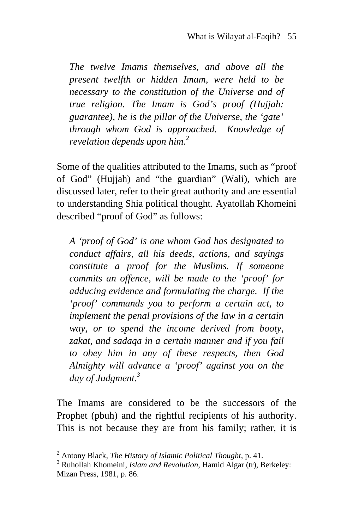*The twelve Imams themselves, and above all the present twelfth or hidden Imam, were held to be necessary to the constitution of the Universe and of true religion. The Imam is God's proof (Hujjah: guarantee), he is the pillar of the Universe, the 'gate' through whom God is approached. Knowledge of revelation depends upon him.<sup>2</sup>*

Some of the qualities attributed to the Imams, such as "proof of God" (Hujjah) and "the guardian" (Wali), which are discussed later, refer to their great authority and are essential to understanding Shia political thought. Ayatollah Khomeini described "proof of God" as follows:

*A 'proof of God' is one whom God has designated to conduct affairs, all his deeds, actions, and sayings constitute a proof for the Muslims. If someone commits an offence, will be made to the 'proof' for adducing evidence and formulating the charge. If the 'proof' commands you to perform a certain act, to implement the penal provisions of the law in a certain way, or to spend the income derived from booty, zakat, and sadaqa in a certain manner and if you fail to obey him in any of these respects, then God Almighty will advance a 'proof' against you on the day of Judgment.<sup>3</sup>*

The Imams are considered to be the successors of the Prophet (pbuh) and the rightful recipients of his authority. This is not because they are from his family; rather, it is

 2 Antony Black, *The History of Islamic Political Thought*, p. 41.

<sup>3</sup> Ruhollah Khomeini, *Islam and Revolution*, Hamid Algar (tr), Berkeley: Mizan Press, 1981, p. 86.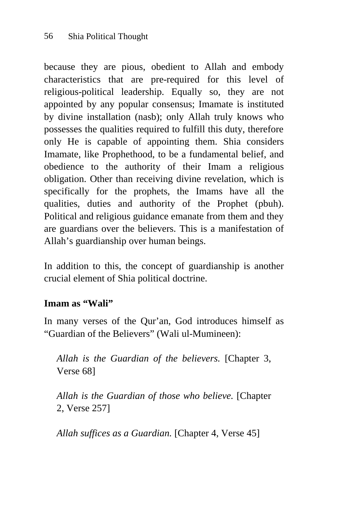because they are pious, obedient to Allah and embody characteristics that are pre-required for this level of religious-political leadership. Equally so, they are not appointed by any popular consensus; Imamate is instituted by divine installation (nasb); only Allah truly knows who possesses the qualities required to fulfill this duty, therefore only He is capable of appointing them. Shia considers Imamate, like Prophethood, to be a fundamental belief, and obedience to the authority of their Imam a religious obligation. Other than receiving divine revelation, which is specifically for the prophets, the Imams have all the qualities, duties and authority of the Prophet (pbuh). Political and religious guidance emanate from them and they are guardians over the believers. This is a manifestation of Allah's guardianship over human beings.

In addition to this, the concept of guardianship is another crucial element of Shia political doctrine.

#### **Imam as "Wali"**

In many verses of the Qur'an, God introduces himself as "Guardian of the Believers" (Wali ul-Mumineen):

*Allah is the Guardian of the believers.* [Chapter 3, Verse 68]

*Allah is the Guardian of those who believe.* [Chapter 2, Verse 257]

*Allah suffices as a Guardian.* [Chapter 4, Verse 45]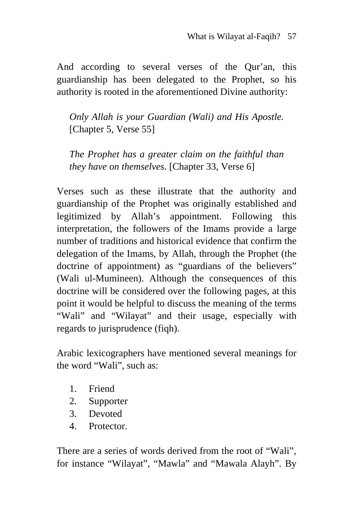And according to several verses of the Qur'an, this guardianship has been delegated to the Prophet, so his authority is rooted in the aforementioned Divine authority:

*Only Allah is your Guardian (Wali) and His Apostle.* [Chapter 5, Verse 55]

*The Prophet has a greater claim on the faithful than they have on themselves.* [Chapter 33, Verse 6]

Verses such as these illustrate that the authority and guardianship of the Prophet was originally established and legitimized by Allah's appointment. Following this interpretation, the followers of the Imams provide a large number of traditions and historical evidence that confirm the delegation of the Imams, by Allah, through the Prophet (the doctrine of appointment) as "guardians of the believers" (Wali ul-Mumineen). Although the consequences of this doctrine will be considered over the following pages, at this point it would be helpful to discuss the meaning of the terms "Wali" and "Wilayat" and their usage, especially with regards to jurisprudence (fiqh).

Arabic lexicographers have mentioned several meanings for the word "Wali", such as:

- 1. Friend
- 2. Supporter
- 3. Devoted
- 4. Protector.

There are a series of words derived from the root of "Wali", for instance "Wilayat", "Mawla" and "Mawala Alayh". By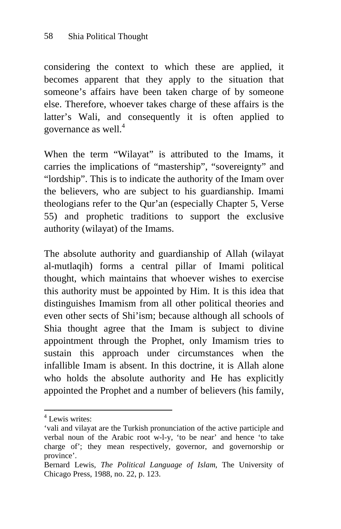considering the context to which these are applied, it becomes apparent that they apply to the situation that someone's affairs have been taken charge of by someone else. Therefore, whoever takes charge of these affairs is the latter's Wali, and consequently it is often applied to governance as well.<sup>4</sup>

When the term "Wilayat" is attributed to the Imams, it carries the implications of "mastership", "sovereignty" and "lordship". This is to indicate the authority of the Imam over the believers, who are subject to his guardianship. Imami theologians refer to the Qur'an (especially Chapter 5, Verse 55) and prophetic traditions to support the exclusive authority (wilayat) of the Imams.

The absolute authority and guardianship of Allah (wilayat al-mutlaqih) forms a central pillar of Imami political thought, which maintains that whoever wishes to exercise this authority must be appointed by Him. It is this idea that distinguishes Imamism from all other political theories and even other sects of Shi'ism; because although all schools of Shia thought agree that the Imam is subject to divine appointment through the Prophet, only Imamism tries to sustain this approach under circumstances when the infallible Imam is absent. In this doctrine, it is Allah alone who holds the absolute authority and He has explicitly appointed the Prophet and a number of believers (his family,

<sup>4</sup> Lewis writes:

<sup>&#</sup>x27;vali and vilayat are the Turkish pronunciation of the active participle and verbal noun of the Arabic root w-l-y, 'to be near' and hence 'to take charge of'; they mean respectively, governor, and governorship or province'.

Bernard Lewis, *The Political Language of Islam*, The University of Chicago Press, 1988, no. 22, p. 123.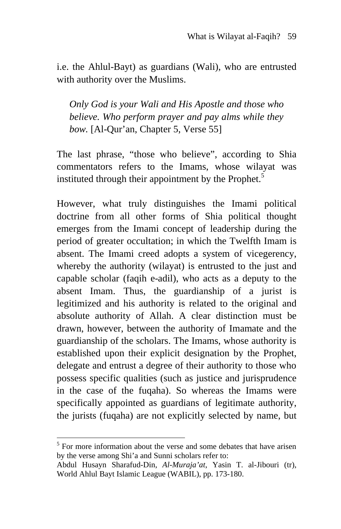i.e. the Ahlul-Bayt) as guardians (Wali), who are entrusted with authority over the Muslims.

*Only God is your Wali and His Apostle and those who believe. Who perform prayer and pay alms while they bow.* [Al-Qur'an, Chapter 5, Verse 55]

The last phrase, "those who believe", according to Shia commentators refers to the Imams, whose wilayat was instituted through their appointment by the Prophet.<sup>5</sup>

However, what truly distinguishes the Imami political doctrine from all other forms of Shia political thought emerges from the Imami concept of leadership during the period of greater occultation; in which the Twelfth Imam is absent. The Imami creed adopts a system of vicegerency, whereby the authority (wilayat) is entrusted to the just and capable scholar (faqih e-adil), who acts as a deputy to the absent Imam. Thus, the guardianship of a jurist is legitimized and his authority is related to the original and absolute authority of Allah. A clear distinction must be drawn, however, between the authority of Imamate and the guardianship of the scholars. The Imams, whose authority is established upon their explicit designation by the Prophet, delegate and entrust a degree of their authority to those who possess specific qualities (such as justice and jurisprudence in the case of the fuqaha). So whereas the Imams were specifically appointed as guardians of legitimate authority, the jurists (fuqaha) are not explicitly selected by name, but

<sup>&</sup>lt;sup>5</sup> For more information about the verse and some debates that have arisen by the verse among Shi'a and Sunni scholars refer to:

Abdul Husayn Sharafud-Din, *Al-Muraja'at*, Yasin T. al-Jibouri (tr), World Ahlul Bayt Islamic League (WABIL), pp. 173-180.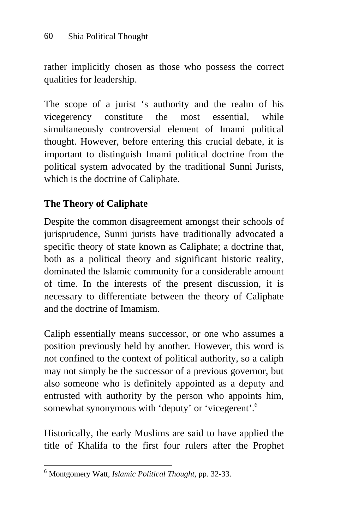rather implicitly chosen as those who possess the correct qualities for leadership.

The scope of a jurist 's authority and the realm of his vicegerency constitute the most essential, while simultaneously controversial element of Imami political thought. However, before entering this crucial debate, it is important to distinguish Imami political doctrine from the political system advocated by the traditional Sunni Jurists, which is the doctrine of Caliphate.

### **The Theory of Caliphate**

Despite the common disagreement amongst their schools of jurisprudence, Sunni jurists have traditionally advocated a specific theory of state known as Caliphate; a doctrine that, both as a political theory and significant historic reality, dominated the Islamic community for a considerable amount of time. In the interests of the present discussion, it is necessary to differentiate between the theory of Caliphate and the doctrine of Imamism.

Caliph essentially means successor, or one who assumes a position previously held by another. However, this word is not confined to the context of political authority, so a caliph may not simply be the successor of a previous governor, but also someone who is definitely appointed as a deputy and entrusted with authority by the person who appoints him, somewhat synonymous with 'deputy' or 'vicegerent'.<sup>6</sup>

Historically, the early Muslims are said to have applied the title of Khalifa to the first four rulers after the Prophet

 6 Montgomery Watt, *Islamic Political Thought*, pp. 32-33.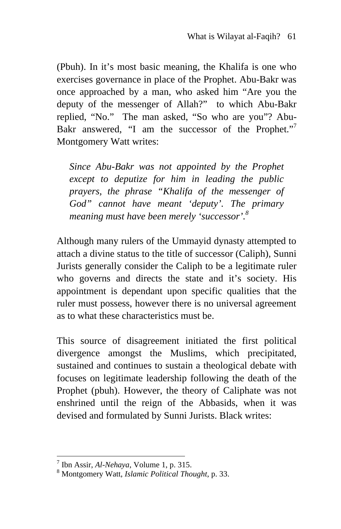(Pbuh). In it's most basic meaning, the Khalifa is one who exercises governance in place of the Prophet. Abu-Bakr was once approached by a man, who asked him "Are you the deputy of the messenger of Allah?" to which Abu-Bakr replied, "No." The man asked, "So who are you"? Abu-Bakr answered, "I am the successor of the Prophet."<sup>7</sup> Montgomery Watt writes:

*Since Abu-Bakr was not appointed by the Prophet except to deputize for him in leading the public prayers, the phrase "Khalifa of the messenger of God" cannot have meant 'deputy'. The primary meaning must have been merely 'successor'.<sup>8</sup>*

Although many rulers of the Ummayid dynasty attempted to attach a divine status to the title of successor (Caliph), Sunni Jurists generally consider the Caliph to be a legitimate ruler who governs and directs the state and it's society. His appointment is dependant upon specific qualities that the ruler must possess, however there is no universal agreement as to what these characteristics must be.

This source of disagreement initiated the first political divergence amongst the Muslims, which precipitated, sustained and continues to sustain a theological debate with focuses on legitimate leadership following the death of the Prophet (pbuh). However, the theory of Caliphate was not enshrined until the reign of the Abbasids, when it was devised and formulated by Sunni Jurists. Black writes:

<sup>7</sup> Ibn Assir, *Al-Nehaya*, Volume 1, p. 315.

<sup>8</sup> Montgomery Watt, *Islamic Political Thought*, p. 33.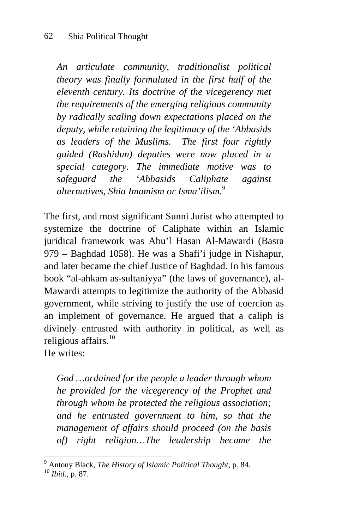*An articulate community, traditionalist political theory was finally formulated in the first half of the eleventh century. Its doctrine of the vicegerency met the requirements of the emerging religious community by radically scaling down expectations placed on the deputy, while retaining the legitimacy of the 'Abbasids as leaders of the Muslims. The first four rightly guided (Rashidun) deputies were now placed in a special category. The immediate motive was to safeguard the 'Abbasids Caliphate against alternatives, Shia Imamism or Isma'ilism. 9*

The first, and most significant Sunni Jurist who attempted to systemize the doctrine of Caliphate within an Islamic juridical framework was Abu'l Hasan Al-Mawardi (Basra 979 – Baghdad 1058). He was a Shafi'i judge in Nishapur, and later became the chief Justice of Baghdad. In his famous book "al-ahkam as-sultaniyya" (the laws of governance), al-Mawardi attempts to legitimize the authority of the Abbasid government, while striving to justify the use of coercion as an implement of governance. He argued that a caliph is divinely entrusted with authority in political, as well as religious affairs.<sup>10</sup>

He writes:

*God …ordained for the people a leader through whom he provided for the vicegerency of the Prophet and through whom he protected the religious association; and he entrusted government to him, so that the management of affairs should proceed (on the basis of) right religion…The leadership became the*

l 9 Antony Black, *The History of Islamic Political Thought*, p. 84. <sup>10</sup> *Ibid*., p. 87.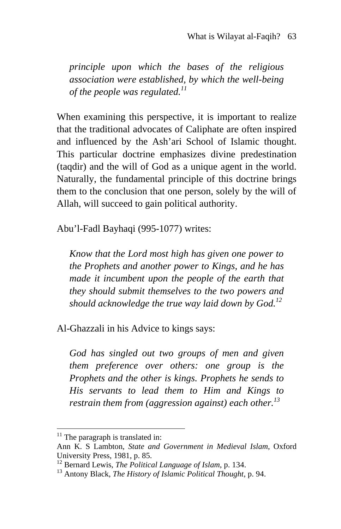*principle upon which the bases of the religious association were established, by which the well-being of the people was regulated.<sup>11</sup>*

When examining this perspective, it is important to realize that the traditional advocates of Caliphate are often inspired and influenced by the Ash'ari School of Islamic thought. This particular doctrine emphasizes divine predestination (taqdir) and the will of God as a unique agent in the world. Naturally, the fundamental principle of this doctrine brings them to the conclusion that one person, solely by the will of Allah, will succeed to gain political authority.

Abu'l-Fadl Bayhaqi (995-1077) writes:

*Know that the Lord most high has given one power to the Prophets and another power to Kings, and he has made it incumbent upon the people of the earth that they should submit themselves to the two powers and should acknowledge the true way laid down by God.<sup>12</sup>* 

Al-Ghazzali in his Advice to kings says:

*God has singled out two groups of men and given them preference over others: one group is the Prophets and the other is kings. Prophets he sends to His servants to lead them to Him and Kings to restrain them from (aggression against) each other.<sup>13</sup>*

 $11$  The paragraph is translated in:

Ann K. S Lambton, *State and Government in Medieval Islam*, Oxford University Press, 1981, p. 85.

<sup>12</sup> Bernard Lewis, *The Political Language of Islam*, p. 134.

<sup>13</sup> Antony Black, *The History of Islamic Political Thought*, p. 94.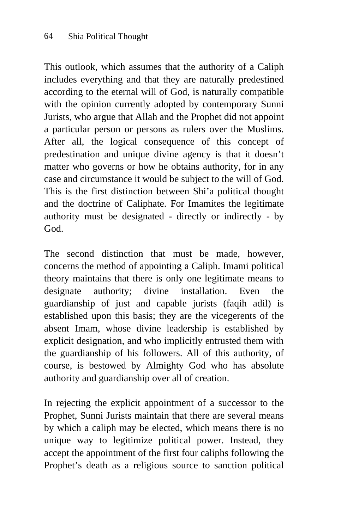This outlook, which assumes that the authority of a Caliph includes everything and that they are naturally predestined according to the eternal will of God, is naturally compatible with the opinion currently adopted by contemporary Sunni Jurists, who argue that Allah and the Prophet did not appoint a particular person or persons as rulers over the Muslims. After all, the logical consequence of this concept of predestination and unique divine agency is that it doesn't matter who governs or how he obtains authority, for in any case and circumstance it would be subject to the will of God. This is the first distinction between Shi'a political thought and the doctrine of Caliphate. For Imamites the legitimate authority must be designated - directly or indirectly - by God.

The second distinction that must be made, however, concerns the method of appointing a Caliph. Imami political theory maintains that there is only one legitimate means to designate authority; divine installation. Even the guardianship of just and capable jurists (faqih adil) is established upon this basis; they are the vicegerents of the absent Imam, whose divine leadership is established by explicit designation, and who implicitly entrusted them with the guardianship of his followers. All of this authority, of course, is bestowed by Almighty God who has absolute authority and guardianship over all of creation.

In rejecting the explicit appointment of a successor to the Prophet, Sunni Jurists maintain that there are several means by which a caliph may be elected, which means there is no unique way to legitimize political power. Instead, they accept the appointment of the first four caliphs following the Prophet's death as a religious source to sanction political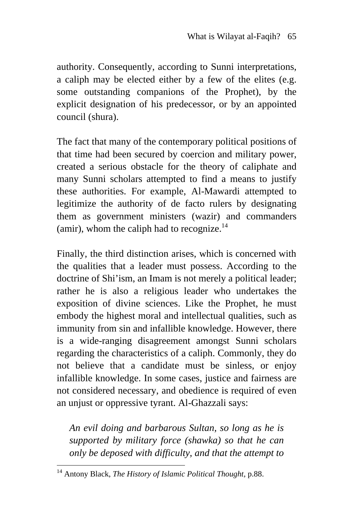authority. Consequently, according to Sunni interpretations, a caliph may be elected either by a few of the elites (e.g. some outstanding companions of the Prophet), by the explicit designation of his predecessor, or by an appointed council (shura).

The fact that many of the contemporary political positions of that time had been secured by coercion and military power, created a serious obstacle for the theory of caliphate and many Sunni scholars attempted to find a means to justify these authorities. For example, Al-Mawardi attempted to legitimize the authority of de facto rulers by designating them as government ministers (wazir) and commanders (amir), whom the caliph had to recognize. $^{14}$ 

Finally, the third distinction arises, which is concerned with the qualities that a leader must possess. According to the doctrine of Shi'ism, an Imam is not merely a political leader; rather he is also a religious leader who undertakes the exposition of divine sciences. Like the Prophet, he must embody the highest moral and intellectual qualities, such as immunity from sin and infallible knowledge. However, there is a wide-ranging disagreement amongst Sunni scholars regarding the characteristics of a caliph. Commonly, they do not believe that a candidate must be sinless, or enjoy infallible knowledge. In some cases, justice and fairness are not considered necessary, and obedience is required of even an unjust or oppressive tyrant. Al-Ghazzali says:

*An evil doing and barbarous Sultan, so long as he is supported by military force (shawka) so that he can only be deposed with difficulty, and that the attempt to* 

<sup>14</sup> Antony Black, *The History of Islamic Political Thought*, p.88.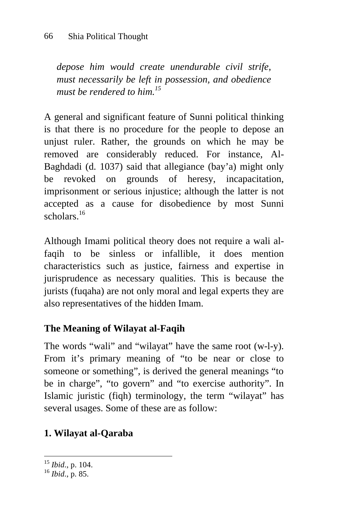*depose him would create unendurable civil strife, must necessarily be left in possession, and obedience must be rendered to him.<sup>15</sup>*

A general and significant feature of Sunni political thinking is that there is no procedure for the people to depose an unjust ruler. Rather, the grounds on which he may be removed are considerably reduced. For instance, Al-Baghdadi (d. 1037) said that allegiance (bay'a) might only be revoked on grounds of heresy, incapacitation, imprisonment or serious injustice; although the latter is not accepted as a cause for disobedience by most Sunni scholars $16$ 

Although Imami political theory does not require a wali alfaqih to be sinless or infallible, it does mention characteristics such as justice, fairness and expertise in jurisprudence as necessary qualities. This is because the jurists (fuqaha) are not only moral and legal experts they are also representatives of the hidden Imam.

#### **The Meaning of Wilayat al-Faqih**

The words "wali" and "wilayat" have the same root (w-l-y). From it's primary meaning of "to be near or close to someone or something", is derived the general meanings "to be in charge", "to govern" and "to exercise authority". In Islamic juristic (fiqh) terminology, the term "wilayat" has several usages. Some of these are as follow:

#### **1. Wilayat al-Qaraba**

l <sup>15</sup> *Ibid*., p. 104.

<sup>16</sup> *Ibid*., p. 85.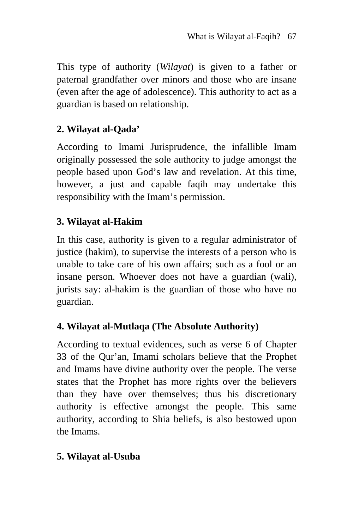This type of authority (*Wilayat*) is given to a father or paternal grandfather over minors and those who are insane (even after the age of adolescence). This authority to act as a guardian is based on relationship.

## **2. Wilayat al-Qada'**

According to Imami Jurisprudence, the infallible Imam originally possessed the sole authority to judge amongst the people based upon God's law and revelation. At this time, however, a just and capable faqih may undertake this responsibility with the Imam's permission.

## **3. Wilayat al-Hakim**

In this case, authority is given to a regular administrator of justice (hakim), to supervise the interests of a person who is unable to take care of his own affairs; such as a fool or an insane person. Whoever does not have a guardian (wali), jurists say: al-hakim is the guardian of those who have no guardian.

## **4. Wilayat al-Mutlaqa (The Absolute Authority)**

According to textual evidences, such as verse 6 of Chapter 33 of the Qur'an, Imami scholars believe that the Prophet and Imams have divine authority over the people. The verse states that the Prophet has more rights over the believers than they have over themselves; thus his discretionary authority is effective amongst the people. This same authority, according to Shia beliefs, is also bestowed upon the Imams.

#### **5. Wilayat al-Usuba**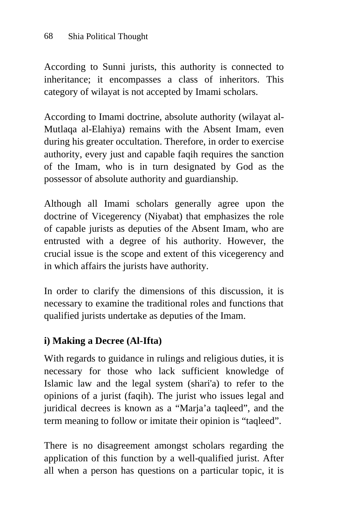According to Sunni jurists, this authority is connected to inheritance; it encompasses a class of inheritors. This category of wilayat is not accepted by Imami scholars.

According to Imami doctrine, absolute authority (wilayat al-Mutlaqa al-Elahiya) remains with the Absent Imam, even during his greater occultation. Therefore, in order to exercise authority, every just and capable faqih requires the sanction of the Imam, who is in turn designated by God as the possessor of absolute authority and guardianship.

Although all Imami scholars generally agree upon the doctrine of Vicegerency (Niyabat) that emphasizes the role of capable jurists as deputies of the Absent Imam, who are entrusted with a degree of his authority. However, the crucial issue is the scope and extent of this vicegerency and in which affairs the jurists have authority.

In order to clarify the dimensions of this discussion, it is necessary to examine the traditional roles and functions that qualified jurists undertake as deputies of the Imam.

## **i) Making a Decree (Al-Ifta)**

With regards to guidance in rulings and religious duties, it is necessary for those who lack sufficient knowledge of Islamic law and the legal system (shari'a) to refer to the opinions of a jurist (faqih). The jurist who issues legal and juridical decrees is known as a "Marja'a taqleed", and the term meaning to follow or imitate their opinion is "taqleed".

There is no disagreement amongst scholars regarding the application of this function by a well-qualified jurist. After all when a person has questions on a particular topic, it is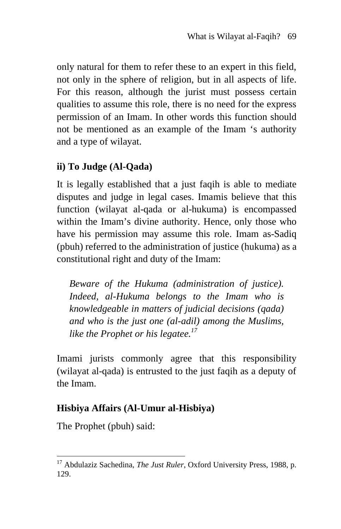only natural for them to refer these to an expert in this field, not only in the sphere of religion, but in all aspects of life. For this reason, although the jurist must possess certain qualities to assume this role, there is no need for the express permission of an Imam. In other words this function should not be mentioned as an example of the Imam 's authority and a type of wilayat.

## **ii) To Judge (Al-Qada)**

It is legally established that a just faqih is able to mediate disputes and judge in legal cases. Imamis believe that this function (wilayat al-qada or al-hukuma) is encompassed within the Imam's divine authority. Hence, only those who have his permission may assume this role. Imam as-Sadiq (pbuh) referred to the administration of justice (hukuma) as a constitutional right and duty of the Imam:

*Beware of the Hukuma (administration of justice). Indeed, al-Hukuma belongs to the Imam who is knowledgeable in matters of judicial decisions (qada) and who is the just one (al-adil) among the Muslims, like the Prophet or his legatee.<sup>17</sup>*

Imami jurists commonly agree that this responsibility (wilayat al-qada) is entrusted to the just faqih as a deputy of the Imam.

## **Hisbiya Affairs (Al-Umur al-Hisbiya)**

The Prophet (pbuh) said:

l <sup>17</sup> Abdulaziz Sachedina, *The Just Ruler*, Oxford University Press, 1988, p. 129.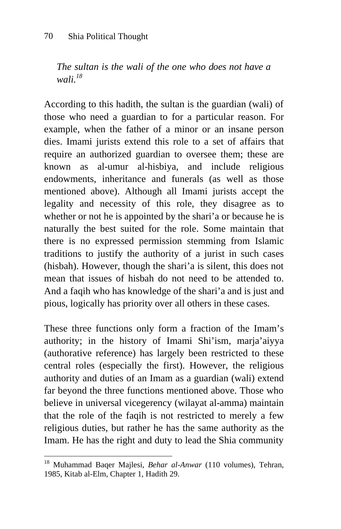*The sultan is the wali of the one who does not have a wali.<sup>18</sup>*

According to this hadith, the sultan is the guardian (wali) of those who need a guardian to for a particular reason. For example, when the father of a minor or an insane person dies. Imami jurists extend this role to a set of affairs that require an authorized guardian to oversee them; these are known as al-umur al-hisbiya, and include religious endowments, inheritance and funerals (as well as those mentioned above). Although all Imami jurists accept the legality and necessity of this role, they disagree as to whether or not he is appointed by the shari'a or because he is naturally the best suited for the role. Some maintain that there is no expressed permission stemming from Islamic traditions to justify the authority of a jurist in such cases (hisbah). However, though the shari'a is silent, this does not mean that issues of hisbah do not need to be attended to. And a faqih who has knowledge of the shari'a and is just and pious, logically has priority over all others in these cases.

These three functions only form a fraction of the Imam's authority; in the history of Imami Shi'ism, marja'aiyya (authorative reference) has largely been restricted to these central roles (especially the first). However, the religious authority and duties of an Imam as a guardian (wali) extend far beyond the three functions mentioned above. Those who believe in universal vicegerency (wilayat al-amma) maintain that the role of the faqih is not restricted to merely a few religious duties, but rather he has the same authority as the Imam. He has the right and duty to lead the Shia community

<sup>18</sup> Muhammad Baqer Majlesi, *Behar al-Anwar* (110 volumes), Tehran, 1985, Kitab al-Elm, Chapter 1, Hadith 29.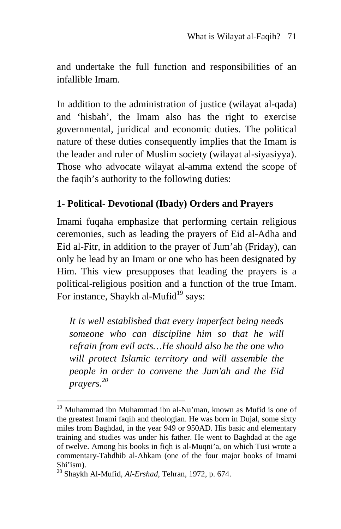and undertake the full function and responsibilities of an infallible Imam.

In addition to the administration of justice (wilayat al-qada) and 'hisbah', the Imam also has the right to exercise governmental, juridical and economic duties. The political nature of these duties consequently implies that the Imam is the leader and ruler of Muslim society (wilayat al-siyasiyya). Those who advocate wilayat al-amma extend the scope of the faqih's authority to the following duties:

#### **1- Political- Devotional (Ibady) Orders and Prayers**

Imami fuqaha emphasize that performing certain religious ceremonies, such as leading the prayers of Eid al-Adha and Eid al-Fitr, in addition to the prayer of Jum'ah (Friday), can only be lead by an Imam or one who has been designated by Him. This view presupposes that leading the prayers is a political-religious position and a function of the true Imam. For instance, Shaykh al-Mufid $19$  says:

*It is well established that every imperfect being needs someone who can discipline him so that he will refrain from evil acts…He should also be the one who will protect Islamic territory and will assemble the people in order to convene the Jum'ah and the Eid prayers. 20*

<sup>&</sup>lt;sup>19</sup> Muhammad ibn Muhammad ibn al-Nu'man, known as Mufid is one of the greatest Imami faqih and theologian. He was born in Dujal, some sixty miles from Baghdad, in the year 949 or 950AD. His basic and elementary training and studies was under his father. He went to Baghdad at the age of twelve. Among his books in fiqh is al-Muqni'a, on which Tusi wrote a commentary-Tahdhib al-Ahkam (one of the four major books of Imami Shi'ism).

<sup>20</sup> Shaykh Al-Mufid, *Al-Ershad*, Tehran, 1972, p. 674.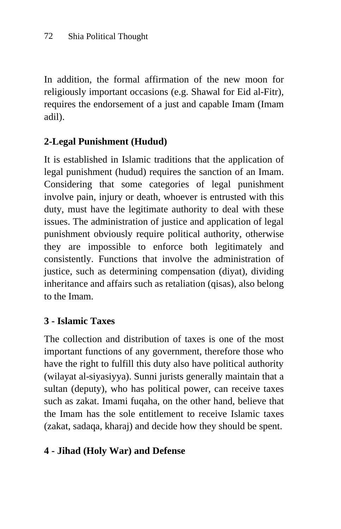In addition, the formal affirmation of the new moon for religiously important occasions (e.g. Shawal for Eid al-Fitr), requires the endorsement of a just and capable Imam (Imam adil).

### **2-Legal Punishment (Hudud)**

It is established in Islamic traditions that the application of legal punishment (hudud) requires the sanction of an Imam. Considering that some categories of legal punishment involve pain, injury or death, whoever is entrusted with this duty, must have the legitimate authority to deal with these issues. The administration of justice and application of legal punishment obviously require political authority, otherwise they are impossible to enforce both legitimately and consistently. Functions that involve the administration of justice, such as determining compensation (diyat), dividing inheritance and affairs such as retaliation (qisas), also belong to the Imam.

#### **3 - Islamic Taxes**

The collection and distribution of taxes is one of the most important functions of any government, therefore those who have the right to fulfill this duty also have political authority (wilayat al-siyasiyya). Sunni jurists generally maintain that a sultan (deputy), who has political power, can receive taxes such as zakat. Imami fuqaha, on the other hand, believe that the Imam has the sole entitlement to receive Islamic taxes (zakat, sadaqa, kharaj) and decide how they should be spent.

#### **4 - Jihad (Holy War) and Defense**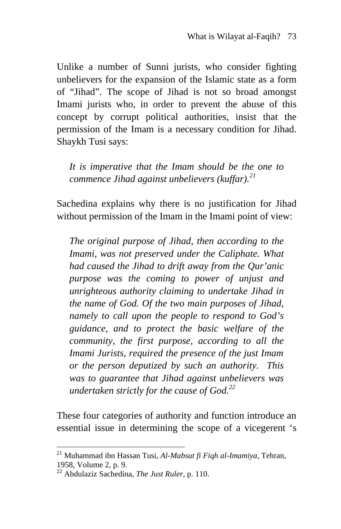Unlike a number of Sunni jurists, who consider fighting unbelievers for the expansion of the Islamic state as a form of "Jihad". The scope of Jihad is not so broad amongst Imami jurists who, in order to prevent the abuse of this concept by corrupt political authorities, insist that the permission of the Imam is a necessary condition for Jihad. Shaykh Tusi says:

*It is imperative that the Imam should be the one to commence Jihad against unbelievers (kuffar).<sup>21</sup>*

Sachedina explains why there is no justification for Jihad without permission of the Imam in the Imami point of view:

*The original purpose of Jihad, then according to the Imami, was not preserved under the Caliphate. What had caused the Jihad to drift away from the Qur'anic purpose was the coming to power of unjust and unrighteous authority claiming to undertake Jihad in the name of God. Of the two main purposes of Jihad, namely to call upon the people to respond to God's guidance, and to protect the basic welfare of the community, the first purpose, according to all the Imami Jurists, required the presence of the just Imam or the person deputized by such an authority. This was to guarantee that Jihad against unbelievers was undertaken strictly for the cause of God.<sup>22</sup>*

These four categories of authority and function introduce an essential issue in determining the scope of a vicegerent 's

<sup>21</sup> Muhammad ibn Hassan Tusi, *Al-Mabsut fi Fiqh al-Imamiya*, Tehran, 1958, Volume 2, p. 9.

<sup>22</sup> Abdulaziz Sachedina, *The Just Ruler*, p. 110.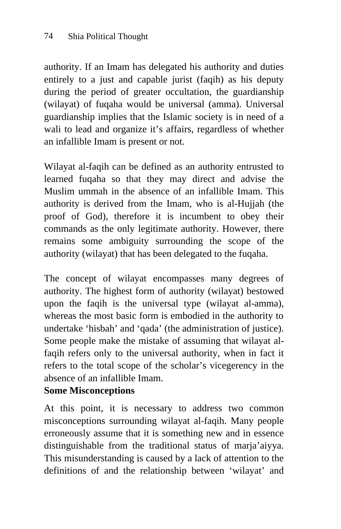authority. If an Imam has delegated his authority and duties entirely to a just and capable jurist (faqih) as his deputy during the period of greater occultation, the guardianship (wilayat) of fuqaha would be universal (amma). Universal guardianship implies that the Islamic society is in need of a wali to lead and organize it's affairs, regardless of whether an infallible Imam is present or not.

Wilayat al-faqih can be defined as an authority entrusted to learned fuqaha so that they may direct and advise the Muslim ummah in the absence of an infallible Imam. This authority is derived from the Imam, who is al-Hujjah (the proof of God), therefore it is incumbent to obey their commands as the only legitimate authority. However, there remains some ambiguity surrounding the scope of the authority (wilayat) that has been delegated to the fuqaha.

The concept of wilayat encompasses many degrees of authority. The highest form of authority (wilayat) bestowed upon the faqih is the universal type (wilayat al-amma), whereas the most basic form is embodied in the authority to undertake 'hisbah' and 'qada' (the administration of justice). Some people make the mistake of assuming that wilayat alfaqih refers only to the universal authority, when in fact it refers to the total scope of the scholar's vicegerency in the absence of an infallible Imam.

# **Some Misconceptions**

At this point, it is necessary to address two common misconceptions surrounding wilayat al-faqih. Many people erroneously assume that it is something new and in essence distinguishable from the traditional status of marja'aiyya. This misunderstanding is caused by a lack of attention to the definitions of and the relationship between 'wilayat' and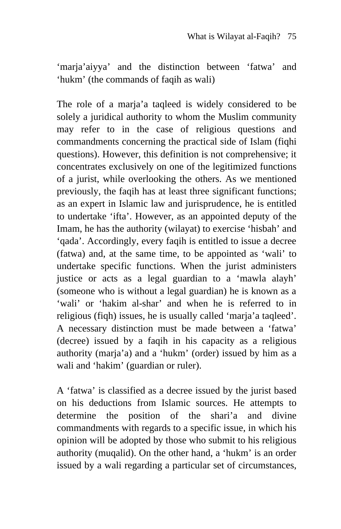'marja'aiyya' and the distinction between 'fatwa' and 'hukm' (the commands of faqih as wali)

The role of a marja'a taqleed is widely considered to be solely a juridical authority to whom the Muslim community may refer to in the case of religious questions and commandments concerning the practical side of Islam (fiqhi questions). However, this definition is not comprehensive; it concentrates exclusively on one of the legitimized functions of a jurist, while overlooking the others. As we mentioned previously, the faqih has at least three significant functions; as an expert in Islamic law and jurisprudence, he is entitled to undertake 'ifta'. However, as an appointed deputy of the Imam, he has the authority (wilayat) to exercise 'hisbah' and 'qada'. Accordingly, every faqih is entitled to issue a decree (fatwa) and, at the same time, to be appointed as 'wali' to undertake specific functions. When the jurist administers justice or acts as a legal guardian to a 'mawla alayh' (someone who is without a legal guardian) he is known as a 'wali' or 'hakim al-shar' and when he is referred to in religious (fiqh) issues, he is usually called 'marja'a taqleed'. A necessary distinction must be made between a 'fatwa' (decree) issued by a faqih in his capacity as a religious authority (marja'a) and a 'hukm' (order) issued by him as a wali and 'hakim' (guardian or ruler).

A 'fatwa' is classified as a decree issued by the jurist based on his deductions from Islamic sources. He attempts to determine the position of the shari'a and divine commandments with regards to a specific issue, in which his opinion will be adopted by those who submit to his religious authority (muqalid). On the other hand, a 'hukm' is an order issued by a wali regarding a particular set of circumstances,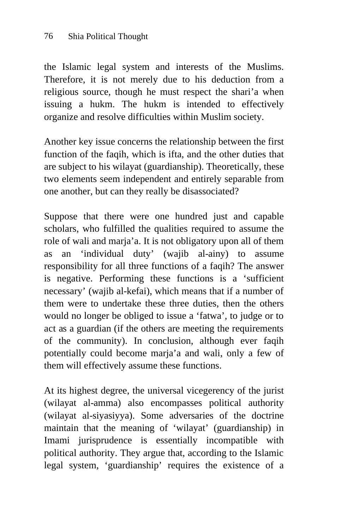the Islamic legal system and interests of the Muslims. Therefore, it is not merely due to his deduction from a religious source, though he must respect the shari'a when issuing a hukm. The hukm is intended to effectively organize and resolve difficulties within Muslim society.

Another key issue concerns the relationship between the first function of the faqih, which is ifta, and the other duties that are subject to his wilayat (guardianship). Theoretically, these two elements seem independent and entirely separable from one another, but can they really be disassociated?

Suppose that there were one hundred just and capable scholars, who fulfilled the qualities required to assume the role of wali and marja'a. It is not obligatory upon all of them as an 'individual duty' (wajib al-ainy) to assume responsibility for all three functions of a faqih? The answer is negative. Performing these functions is a 'sufficient necessary' (wajib al-kefai), which means that if a number of them were to undertake these three duties, then the others would no longer be obliged to issue a 'fatwa', to judge or to act as a guardian (if the others are meeting the requirements of the community). In conclusion, although ever faqih potentially could become marja'a and wali, only a few of them will effectively assume these functions.

At its highest degree, the universal vicegerency of the jurist (wilayat al-amma) also encompasses political authority (wilayat al-siyasiyya). Some adversaries of the doctrine maintain that the meaning of 'wilayat' (guardianship) in Imami jurisprudence is essentially incompatible with political authority. They argue that, according to the Islamic legal system, 'guardianship' requires the existence of a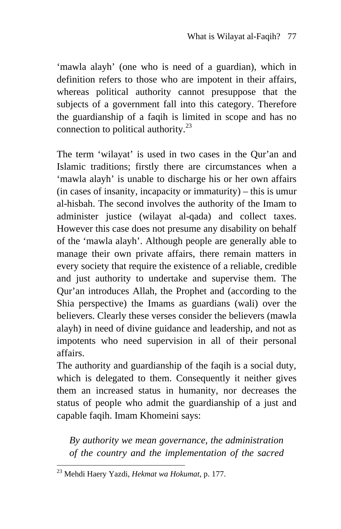'mawla alayh' (one who is need of a guardian), which in definition refers to those who are impotent in their affairs, whereas political authority cannot presuppose that the subjects of a government fall into this category. Therefore the guardianship of a faqih is limited in scope and has no connection to political authority. $^{23}$ 

The term 'wilayat' is used in two cases in the Qur'an and Islamic traditions; firstly there are circumstances when a 'mawla alayh' is unable to discharge his or her own affairs (in cases of insanity, incapacity or immaturity) – this is umur al-hisbah. The second involves the authority of the Imam to administer justice (wilayat al-qada) and collect taxes. However this case does not presume any disability on behalf of the 'mawla alayh'. Although people are generally able to manage their own private affairs, there remain matters in every society that require the existence of a reliable, credible and just authority to undertake and supervise them. The Qur'an introduces Allah, the Prophet and (according to the Shia perspective) the Imams as guardians (wali) over the believers. Clearly these verses consider the believers (mawla alayh) in need of divine guidance and leadership, and not as impotents who need supervision in all of their personal affairs.

The authority and guardianship of the faqih is a social duty, which is delegated to them. Consequently it neither gives them an increased status in humanity, nor decreases the status of people who admit the guardianship of a just and capable faqih. Imam Khomeini says:

*By authority we mean governance, the administration of the country and the implementation of the sacred*

<sup>23</sup> Mehdi Haery Yazdi, *Hekmat wa Hokumat*, p. 177.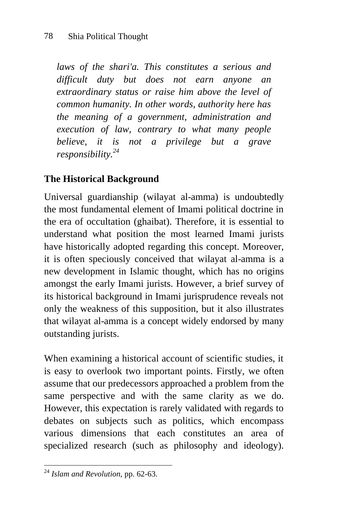*laws of the shari'a. This constitutes a serious and difficult duty but does not earn anyone an extraordinary status or raise him above the level of common humanity. In other words, authority here has the meaning of a government, administration and execution of law, contrary to what many people believe, it is not a privilege but a grave responsibility.<sup>24</sup>*

## **The Historical Background**

Universal guardianship (wilayat al-amma) is undoubtedly the most fundamental element of Imami political doctrine in the era of occultation (ghaibat). Therefore, it is essential to understand what position the most learned Imami jurists have historically adopted regarding this concept. Moreover, it is often speciously conceived that wilayat al-amma is a new development in Islamic thought, which has no origins amongst the early Imami jurists. However, a brief survey of its historical background in Imami jurisprudence reveals not only the weakness of this supposition, but it also illustrates that wilayat al-amma is a concept widely endorsed by many outstanding jurists.

When examining a historical account of scientific studies, it is easy to overlook two important points. Firstly, we often assume that our predecessors approached a problem from the same perspective and with the same clarity as we do. However, this expectation is rarely validated with regards to debates on subjects such as politics, which encompass various dimensions that each constitutes an area of specialized research (such as philosophy and ideology).

<sup>24</sup> *Islam and Revolution*, pp. 62-63.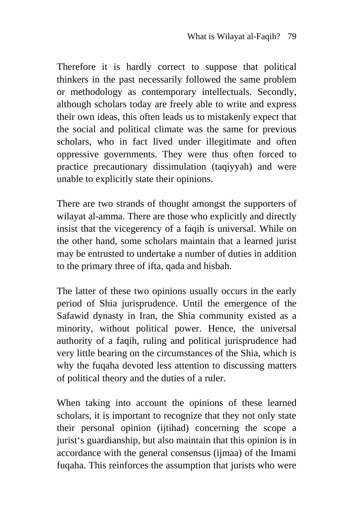Therefore it is hardly correct to suppose that political thinkers in the past necessarily followed the same problem or methodology as contemporary intellectuals. Secondly, although scholars today are freely able to write and express their own ideas, this often leads us to mistakenly expect that the social and political climate was the same for previous scholars, who in fact lived under illegitimate and often oppressive governments. They were thus often forced to practice precautionary dissimulation (taqiyyah) and were unable to explicitly state their opinions.

There are two strands of thought amongst the supporters of wilayat al-amma. There are those who explicitly and directly insist that the vicegerency of a faqih is universal. While on the other hand, some scholars maintain that a learned jurist may be entrusted to undertake a number of duties in addition to the primary three of ifta, qada and hisbah.

The latter of these two opinions usually occurs in the early period of Shia jurisprudence. Until the emergence of the Safawid dynasty in Iran, the Shia community existed as a minority, without political power. Hence, the universal authority of a faqih, ruling and political jurisprudence had very little bearing on the circumstances of the Shia, which is why the fuqaha devoted less attention to discussing matters of political theory and the duties of a ruler.

When taking into account the opinions of these learned scholars, it is important to recognize that they not only state their personal opinion (ijtihad) concerning the scope a jurist's guardianship, but also maintain that this opinion is in accordance with the general consensus (ijmaa) of the Imami fuqaha. This reinforces the assumption that jurists who were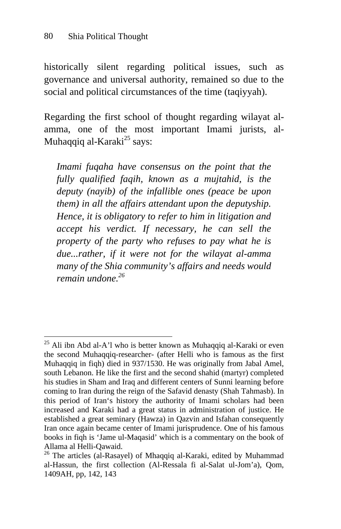l

historically silent regarding political issues, such as governance and universal authority, remained so due to the social and political circumstances of the time (taqiyyah).

Regarding the first school of thought regarding wilayat alamma, one of the most important Imami jurists, al-Muhaqqiq al-Karaki $^{25}$  says:

*Imami fuqaha have consensus on the point that the fully qualified faqih, known as a mujtahid, is the deputy (nayib) of the infallible ones (peace be upon them) in all the affairs attendant upon the deputyship. Hence, it is obligatory to refer to him in litigation and accept his verdict. If necessary, he can sell the property of the party who refuses to pay what he is due...rather, if it were not for the wilayat al-amma many of the Shia community's affairs and needs would remain undone.<sup>26</sup>*

 $^{25}$  Ali ibn Abd al-A'l who is better known as Muhaqqiq al-Karaki or even the second Muhaqqiq-researcher- (after Helli who is famous as the first Muhaqqiq in fiqh) died in 937/1530. He was originally from Jabal Amel, south Lebanon. He like the first and the second shahid (martyr) completed his studies in Sham and Iraq and different centers of Sunni learning before coming to Iran during the reign of the Safavid denasty (Shah Tahmasb). In this period of Iran's history the authority of Imami scholars had been increased and Karaki had a great status in administration of justice. He established a great seminary (Hawza) in Qazvin and Isfahan consequently Iran once again became center of Imami jurisprudence. One of his famous books in fiqh is 'Jame ul-Maqasid' which is a commentary on the book of Allama al Helli-Qawaid.

<sup>&</sup>lt;sup>26</sup> The articles (al-Rasayel) of Mhaqqiq al-Karaki, edited by Muhammad al-Hassun, the first collection (Al-Ressala fi al-Salat ul-Jom'a), Qom, 1409AH, pp, 142, 143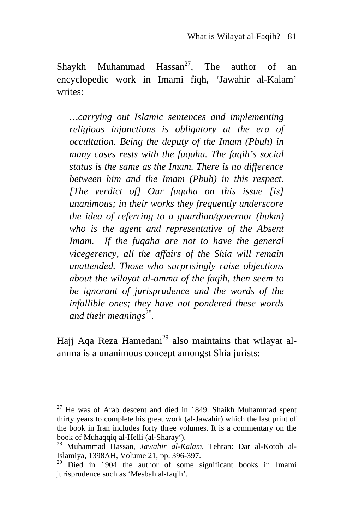Shaykh Muhammad Hassan<sup>27</sup>. The author of an encyclopedic work in Imami fiqh, 'Jawahir al-Kalam' writes:

*…carrying out Islamic sentences and implementing religious injunctions is obligatory at the era of occultation. Being the deputy of the Imam (Pbuh) in many cases rests with the fuqaha. The faqih's social status is the same as the Imam. There is no difference between him and the Imam (Pbuh) in this respect. [The verdict of] Our fuqaha on this issue [is] unanimous; in their works they frequently underscore the idea of referring to a guardian/governor (hukm) who is the agent and representative of the Absent Imam. If the fuqaha are not to have the general vicegerency, all the affairs of the Shia will remain unattended. Those who surprisingly raise objections about the wilayat al-amma of the faqih, then seem to be ignorant of jurisprudence and the words of the infallible ones; they have not pondered these words* and their meanings<sup>28</sup>.

Hajj Aqa Reza Hamedani<sup>29</sup> also maintains that wilayat alamma is a unanimous concept amongst Shia jurists:

 $27$  He was of Arab descent and died in 1849. Shaikh Muhammad spent thirty years to complete his great work (al-Jawahir) which the last print of the book in Iran includes forty three volumes. It is a commentary on the book of Muhaqqiq al-Helli (al-Sharay').

<sup>28</sup> Muhammad Hassan, *Jawahir al-Kalam*, Tehran: Dar al-Kotob al-Islamiya, 1398AH, Volume 21, pp. 396-397.

Died in 1904 the author of some significant books in Imami jurisprudence such as 'Mesbah al-faqih'.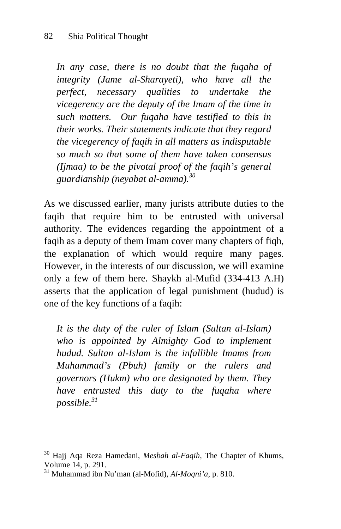*In any case, there is no doubt that the fuqaha of integrity (Jame al-Sharayeti), who have all the perfect, necessary qualities to undertake the vicegerency are the deputy of the Imam of the time in such matters. Our fuqaha have testified to this in their works. Their statements indicate that they regard the vicegerency of faqih in all matters as indisputable so much so that some of them have taken consensus (Ijmaa) to be the pivotal proof of the faqih's general guardianship (neyabat al-amma).<sup>30</sup>*

As we discussed earlier, many jurists attribute duties to the faqih that require him to be entrusted with universal authority. The evidences regarding the appointment of a faqih as a deputy of them Imam cover many chapters of fiqh, the explanation of which would require many pages. However, in the interests of our discussion, we will examine only a few of them here. Shaykh al-Mufid (334-413 A.H) asserts that the application of legal punishment (hudud) is one of the key functions of a faqih:

*It is the duty of the ruler of Islam (Sultan al-Islam) who is appointed by Almighty God to implement hudud. Sultan al-Islam is the infallible Imams from Muhammad's (Pbuh) family or the rulers and governors (Hukm) who are designated by them. They have entrusted this duty to the fuqaha where possible.<sup>31</sup>*

<sup>30</sup> Hajj Aqa Reza Hamedani, *Mesbah al-Faqih*, The Chapter of Khums, Volume 14, p. 291.

<sup>31</sup> Muhammad ibn Nu'man (al-Mofid), *Al-Moqni'a*, p. 810.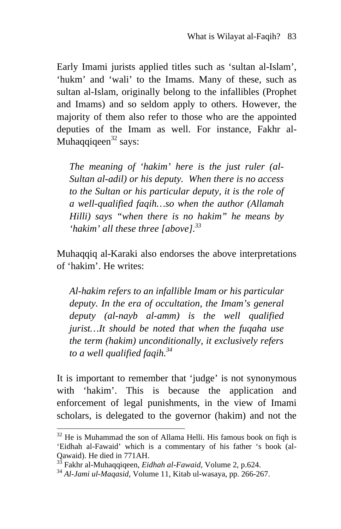Early Imami jurists applied titles such as 'sultan al-Islam', 'hukm' and 'wali' to the Imams. Many of these, such as sultan al-Islam, originally belong to the infallibles (Prophet and Imams) and so seldom apply to others. However, the majority of them also refer to those who are the appointed deputies of the Imam as well. For instance, Fakhr al-Muhaqqiqeen $32$  says:

*The meaning of 'hakim' here is the just ruler (al-Sultan al-adil) or his deputy. When there is no access to the Sultan or his particular deputy, it is the role of a well-qualified faqih…so when the author (Allamah Hilli) says "when there is no hakim" he means by 'hakim' all these three [above].<sup>33</sup>*

Muhaqqiq al-Karaki also endorses the above interpretations of 'hakim'. He writes:

*Al-hakim refers to an infallible Imam or his particular deputy. In the era of occultation, the Imam's general deputy (al-nayb al-amm) is the well qualified jurist…It should be noted that when the fuqaha use the term (hakim) unconditionally, it exclusively refers to a well qualified faqih. 34*

It is important to remember that 'judge' is not synonymous with 'hakim'. This is because the application and enforcement of legal punishments, in the view of Imami scholars, is delegated to the governor (hakim) and not the

 $32$  He is Muhammad the son of Allama Helli. His famous book on figh is 'Eidhah al-Fawaid' which is a commentary of his father 's book (al-Qawaid). He died in 771AH.

Fakhr al-Muhaqqiqeen, *Eidhah al-Fawaid*, Volume 2, p.624.

<sup>34</sup> *Al-Jami ul-Maqasid*, Volume 11, Kitab ul-wasaya, pp. 266-267.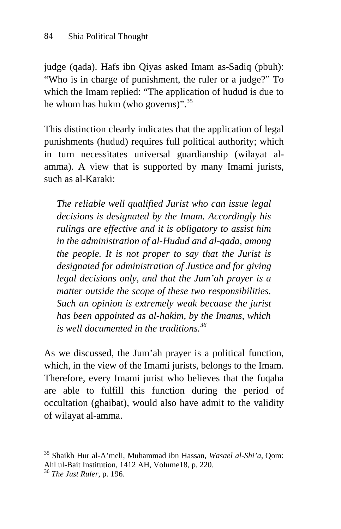judge (qada). Hafs ibn Qiyas asked Imam as-Sadiq (pbuh): "Who is in charge of punishment, the ruler or a judge?" To which the Imam replied: "The application of hudud is due to he whom has hukm (who governs)".<sup>35</sup>

This distinction clearly indicates that the application of legal punishments (hudud) requires full political authority; which in turn necessitates universal guardianship (wilayat alamma). A view that is supported by many Imami jurists, such as al-Karaki:

*The reliable well qualified Jurist who can issue legal decisions is designated by the Imam. Accordingly his rulings are effective and it is obligatory to assist him in the administration of al-Hudud and al-qada, among the people. It is not proper to say that the Jurist is designated for administration of Justice and for giving legal decisions only, and that the Jum'ah prayer is a matter outside the scope of these two responsibilities. Such an opinion is extremely weak because the jurist has been appointed as al-hakim, by the Imams, which is well documented in the traditions.<sup>36</sup>*

As we discussed, the Jum'ah prayer is a political function, which, in the view of the Imami jurists, belongs to the Imam. Therefore, every Imami jurist who believes that the fuqaha are able to fulfill this function during the period of occultation (ghaibat), would also have admit to the validity of wilayat al-amma.

<sup>35</sup> Shaikh Hur al-A'meli, Muhammad ibn Hassan, *Wasael al-Shi'a*, Qom: Ahl ul-Bait Institution, 1412 AH, Volume18, p. 220.

<sup>36</sup> *The Just Ruler*, p. 196.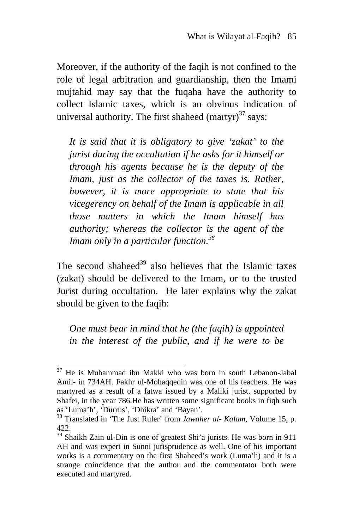Moreover, if the authority of the faqih is not confined to the role of legal arbitration and guardianship, then the Imami mujtahid may say that the fuqaha have the authority to collect Islamic taxes, which is an obvious indication of universal authority. The first shaheed (martyr) $37$  says:

*It is said that it is obligatory to give 'zakat' to the jurist during the occultation if he asks for it himself or through his agents because he is the deputy of the Imam, just as the collector of the taxes is. Rather, however, it is more appropriate to state that his vicegerency on behalf of the Imam is applicable in all those matters in which the Imam himself has authority; whereas the collector is the agent of the Imam only in a particular function.<sup>38</sup>*

The second shaheed<sup>39</sup> also believes that the Islamic taxes (zakat) should be delivered to the Imam, or to the trusted Jurist during occultation. He later explains why the zakat should be given to the faqih:

*One must bear in mind that he (the faqih) is appointed in the interest of the public, and if he were to be*

<sup>&</sup>lt;sup>37</sup> He is Muhammad ibn Makki who was born in south Lebanon-Jabal Amil- in 734AH. Fakhr ul-Mohaqqeqin was one of his teachers. He was martyred as a result of a fatwa issued by a Maliki jurist, supported by Shafei, in the year 786.He has written some significant books in fiqh such as 'Luma'h', 'Durrus', 'Dhikra' and 'Bayan'.

<sup>&</sup>lt;sup>38</sup> Translated in 'The Just Ruler' from *Jawaher al- Kalam*, Volume 15, p. 422.

 $39$  Shaikh Zain ul-Din is one of greatest Shi'a jurists. He was born in 911 AH and was expert in Sunni jurisprudence as well. One of his important works is a commentary on the first Shaheed's work (Luma'h) and it is a strange coincidence that the author and the commentator both were executed and martyred.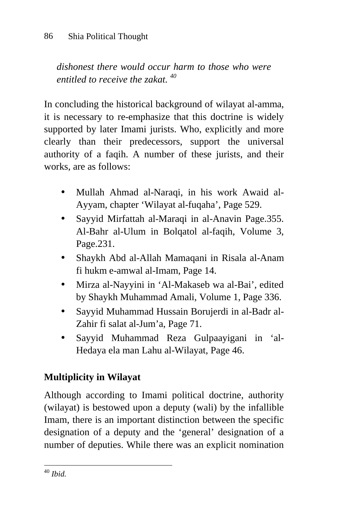*dishonest there would occur harm to those who were entitled to receive the zakat. <sup>40</sup>*

In concluding the historical background of wilayat al-amma, it is necessary to re-emphasize that this doctrine is widely supported by later Imami jurists. Who, explicitly and more clearly than their predecessors, support the universal authority of a faqih. A number of these jurists, and their works, are as follows:

- Mullah Ahmad al-Naraqi, in his work Awaid al-Ayyam, chapter 'Wilayat al-fuqaha', Page 529.
- Sayyid Mirfattah al-Maraqi in al-Anavin Page.355. Al-Bahr al-Ulum in Bolqatol al-faqih, Volume 3, Page.231.
- Shaykh Abd al-Allah Mamaqani in Risala al-Anam fi hukm e-amwal al-Imam, Page 14.
- Mirza al-Nayyini in 'Al-Makaseb wa al-Bai', edited by Shaykh Muhammad Amali, Volume 1, Page 336.
- Sayyid Muhammad Hussain Borujerdi in al-Badr al-Zahir fi salat al-Jum'a, Page 71.
- Sayyid Muhammad Reza Gulpaayigani in 'al-Hedaya ela man Lahu al-Wilayat, Page 46.

# **Multiplicity in Wilayat**

Although according to Imami political doctrine, authority (wilayat) is bestowed upon a deputy (wali) by the infallible Imam, there is an important distinction between the specific designation of a deputy and the 'general' designation of a number of deputies. While there was an explicit nomination

l <sup>40</sup> *Ibid.*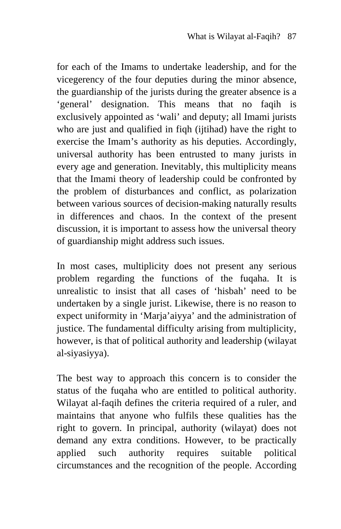for each of the Imams to undertake leadership, and for the vicegerency of the four deputies during the minor absence, the guardianship of the jurists during the greater absence is a 'general' designation. This means that no faqih is exclusively appointed as 'wali' and deputy; all Imami jurists who are just and qualified in fiqh (ijtihad) have the right to exercise the Imam's authority as his deputies. Accordingly, universal authority has been entrusted to many jurists in every age and generation. Inevitably, this multiplicity means that the Imami theory of leadership could be confronted by the problem of disturbances and conflict, as polarization between various sources of decision-making naturally results in differences and chaos. In the context of the present discussion, it is important to assess how the universal theory of guardianship might address such issues.

In most cases, multiplicity does not present any serious problem regarding the functions of the fuqaha. It is unrealistic to insist that all cases of 'hisbah' need to be undertaken by a single jurist. Likewise, there is no reason to expect uniformity in 'Marja'aiyya' and the administration of justice. The fundamental difficulty arising from multiplicity, however, is that of political authority and leadership (wilayat al-siyasiyya).

The best way to approach this concern is to consider the status of the fuqaha who are entitled to political authority. Wilayat al-faqih defines the criteria required of a ruler, and maintains that anyone who fulfils these qualities has the right to govern. In principal, authority (wilayat) does not demand any extra conditions. However, to be practically applied such authority requires suitable political circumstances and the recognition of the people. According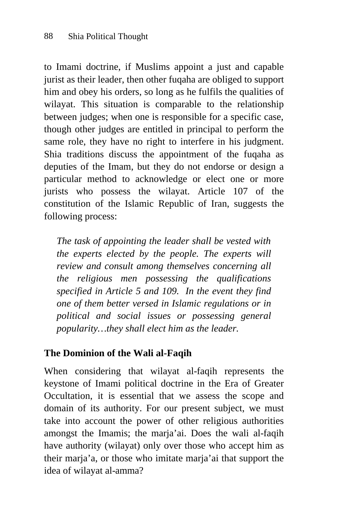to Imami doctrine, if Muslims appoint a just and capable jurist as their leader, then other fuqaha are obliged to support him and obey his orders, so long as he fulfils the qualities of wilayat. This situation is comparable to the relationship between judges; when one is responsible for a specific case, though other judges are entitled in principal to perform the same role, they have no right to interfere in his judgment. Shia traditions discuss the appointment of the fuqaha as deputies of the Imam, but they do not endorse or design a particular method to acknowledge or elect one or more jurists who possess the wilayat. Article 107 of the constitution of the Islamic Republic of Iran, suggests the following process:

*The task of appointing the leader shall be vested with the experts elected by the people. The experts will review and consult among themselves concerning all the religious men possessing the qualifications specified in Article 5 and 109. In the event they find one of them better versed in Islamic regulations or in political and social issues or possessing general popularity…they shall elect him as the leader.*

#### **The Dominion of the Wali al-Faqih**

When considering that wilayat al-faqih represents the keystone of Imami political doctrine in the Era of Greater Occultation, it is essential that we assess the scope and domain of its authority. For our present subject, we must take into account the power of other religious authorities amongst the Imamis; the marja'ai. Does the wali al-faqih have authority (wilayat) only over those who accept him as their marja'a, or those who imitate marja'ai that support the idea of wilayat al-amma?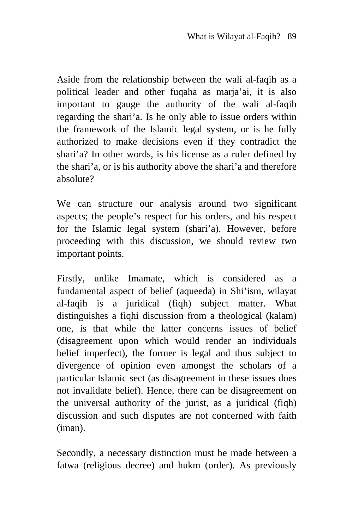Aside from the relationship between the wali al-faqih as a political leader and other fuqaha as marja'ai, it is also important to gauge the authority of the wali al-faqih regarding the shari'a. Is he only able to issue orders within the framework of the Islamic legal system, or is he fully authorized to make decisions even if they contradict the shari'a? In other words, is his license as a ruler defined by the shari'a, or is his authority above the shari'a and therefore absolute?

We can structure our analysis around two significant aspects; the people's respect for his orders, and his respect for the Islamic legal system (shari'a). However, before proceeding with this discussion, we should review two important points.

Firstly, unlike Imamate, which is considered as a fundamental aspect of belief (aqueeda) in Shi'ism, wilayat al-faqih is a juridical (fiqh) subject matter. What distinguishes a fiqhi discussion from a theological (kalam) one, is that while the latter concerns issues of belief (disagreement upon which would render an individuals belief imperfect), the former is legal and thus subject to divergence of opinion even amongst the scholars of a particular Islamic sect (as disagreement in these issues does not invalidate belief). Hence, there can be disagreement on the universal authority of the jurist, as a juridical (fiqh) discussion and such disputes are not concerned with faith (iman).

Secondly, a necessary distinction must be made between a fatwa (religious decree) and hukm (order). As previously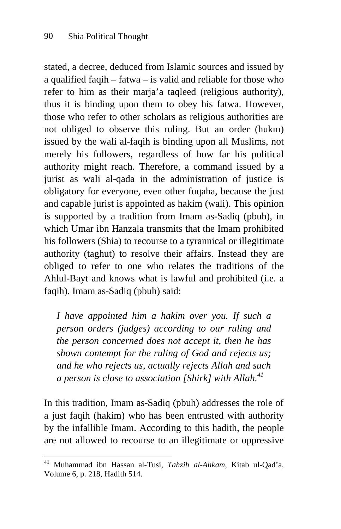stated, a decree, deduced from Islamic sources and issued by a qualified faqih – fatwa – is valid and reliable for those who refer to him as their marja'a taqleed (religious authority), thus it is binding upon them to obey his fatwa. However, those who refer to other scholars as religious authorities are not obliged to observe this ruling. But an order (hukm) issued by the wali al-faqih is binding upon all Muslims, not merely his followers, regardless of how far his political authority might reach. Therefore, a command issued by a jurist as wali al-qada in the administration of justice is obligatory for everyone, even other fuqaha, because the just and capable jurist is appointed as hakim (wali). This opinion is supported by a tradition from Imam as-Sadiq (pbuh), in which Umar ibn Hanzala transmits that the Imam prohibited his followers (Shia) to recourse to a tyrannical or illegitimate authority (taghut) to resolve their affairs. Instead they are obliged to refer to one who relates the traditions of the Ahlul-Bayt and knows what is lawful and prohibited (i.e. a faqih). Imam as-Sadiq (pbuh) said:

*I have appointed him a hakim over you. If such a person orders (judges) according to our ruling and the person concerned does not accept it, then he has shown contempt for the ruling of God and rejects us; and he who rejects us, actually rejects Allah and such a person is close to association [Shirk] with Allah.<sup>41</sup>*

In this tradition, Imam as-Sadiq (pbuh) addresses the role of a just faqih (hakim) who has been entrusted with authority by the infallible Imam. According to this hadith, the people are not allowed to recourse to an illegitimate or oppressive

<sup>41</sup> Muhammad ibn Hassan al-Tusi, *Tahzib al-Ahkam*, Kitab ul-Qad'a, Volume 6, p. 218, Hadith 514.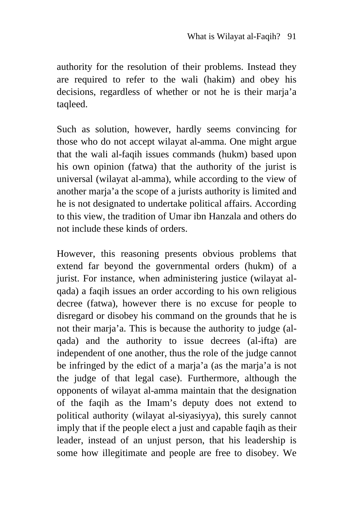authority for the resolution of their problems. Instead they are required to refer to the wali (hakim) and obey his decisions, regardless of whether or not he is their marja'a taqleed.

Such as solution, however, hardly seems convincing for those who do not accept wilayat al-amma. One might argue that the wali al-faqih issues commands (hukm) based upon his own opinion (fatwa) that the authority of the jurist is universal (wilayat al-amma), while according to the view of another marja'a the scope of a jurists authority is limited and he is not designated to undertake political affairs. According to this view, the tradition of Umar ibn Hanzala and others do not include these kinds of orders.

However, this reasoning presents obvious problems that extend far beyond the governmental orders (hukm) of a jurist. For instance, when administering justice (wilayat alqada) a faqih issues an order according to his own religious decree (fatwa), however there is no excuse for people to disregard or disobey his command on the grounds that he is not their marja'a. This is because the authority to judge (alqada) and the authority to issue decrees (al-ifta) are independent of one another, thus the role of the judge cannot be infringed by the edict of a marja'a (as the marja'a is not the judge of that legal case). Furthermore, although the opponents of wilayat al-amma maintain that the designation of the faqih as the Imam's deputy does not extend to political authority (wilayat al-siyasiyya), this surely cannot imply that if the people elect a just and capable faqih as their leader, instead of an unjust person, that his leadership is some how illegitimate and people are free to disobey. We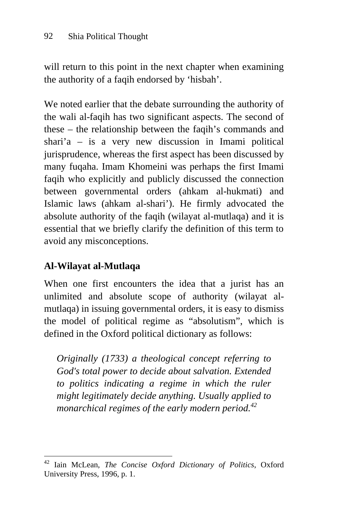will return to this point in the next chapter when examining the authority of a faqih endorsed by 'hisbah'.

We noted earlier that the debate surrounding the authority of the wali al-faqih has two significant aspects. The second of these – the relationship between the faqih's commands and shari'a – is a very new discussion in Imami political jurisprudence, whereas the first aspect has been discussed by many fuqaha. Imam Khomeini was perhaps the first Imami faqih who explicitly and publicly discussed the connection between governmental orders (ahkam al-hukmati) and Islamic laws (ahkam al-shari'). He firmly advocated the absolute authority of the faqih (wilayat al-mutlaqa) and it is essential that we briefly clarify the definition of this term to avoid any misconceptions.

# **Al-Wilayat al-Mutlaqa**

When one first encounters the idea that a jurist has an unlimited and absolute scope of authority (wilayat almutlaqa) in issuing governmental orders, it is easy to dismiss the model of political regime as "absolutism", which is defined in the Oxford political dictionary as follows:

*Originally (1733) a theological concept referring to God's total power to decide about salvation. Extended to politics indicating a regime in which the ruler might legitimately decide anything. Usually applied to monarchical regimes of the early modern period.<sup>42</sup>*

l <sup>42</sup> Iain McLean, *The Concise Oxford Dictionary of Politics*, Oxford University Press, 1996, p. 1.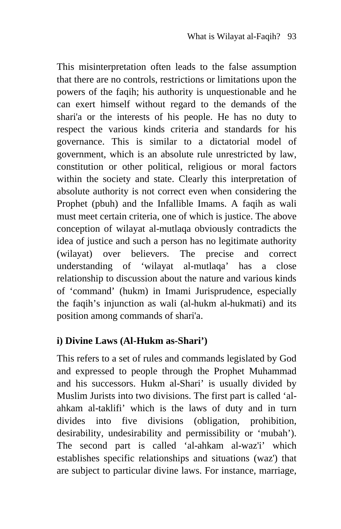This misinterpretation often leads to the false assumption that there are no controls, restrictions or limitations upon the powers of the faqih; his authority is unquestionable and he can exert himself without regard to the demands of the shari'a or the interests of his people. He has no duty to respect the various kinds criteria and standards for his governance. This is similar to a dictatorial model of government, which is an absolute rule unrestricted by law, constitution or other political, religious or moral factors within the society and state. Clearly this interpretation of absolute authority is not correct even when considering the Prophet (pbuh) and the Infallible Imams. A faqih as wali must meet certain criteria, one of which is justice. The above conception of wilayat al-mutlaqa obviously contradicts the idea of justice and such a person has no legitimate authority (wilayat) over believers. The precise and correct understanding of 'wilayat al-mutlaqa' has a close relationship to discussion about the nature and various kinds of 'command' (hukm) in Imami Jurisprudence, especially the faqih's injunction as wali (al-hukm al-hukmati) and its position among commands of shari'a.

# **i) Divine Laws (Al-Hukm as-Shari')**

This refers to a set of rules and commands legislated by God and expressed to people through the Prophet Muhammad and his successors. Hukm al-Shari' is usually divided by Muslim Jurists into two divisions. The first part is called 'alahkam al-taklifi' which is the laws of duty and in turn divides into five divisions (obligation, prohibition, desirability, undesirability and permissibility or 'mubah'). The second part is called 'al-ahkam al-waz'i' which establishes specific relationships and situations (waz') that are subject to particular divine laws. For instance, marriage,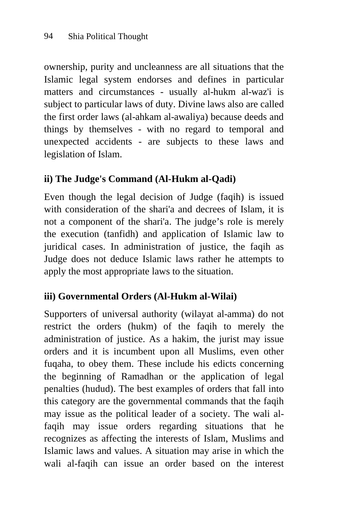ownership, purity and uncleanness are all situations that the Islamic legal system endorses and defines in particular matters and circumstances - usually al-hukm al-waz'i is subject to particular laws of duty. Divine laws also are called the first order laws (al-ahkam al-awaliya) because deeds and things by themselves - with no regard to temporal and unexpected accidents - are subjects to these laws and legislation of Islam.

## **ii) The Judge's Command (Al-Hukm al-Qadi)**

Even though the legal decision of Judge (faqih) is issued with consideration of the shari'a and decrees of Islam, it is not a component of the shari'a. The judge's role is merely the execution (tanfidh) and application of Islamic law to juridical cases. In administration of justice, the faqih as Judge does not deduce Islamic laws rather he attempts to apply the most appropriate laws to the situation.

#### **iii) Governmental Orders (Al-Hukm al-Wilai)**

Supporters of universal authority (wilayat al-amma) do not restrict the orders (hukm) of the faqih to merely the administration of justice. As a hakim, the jurist may issue orders and it is incumbent upon all Muslims, even other fuqaha, to obey them. These include his edicts concerning the beginning of Ramadhan or the application of legal penalties (hudud). The best examples of orders that fall into this category are the governmental commands that the faqih may issue as the political leader of a society. The wali alfaqih may issue orders regarding situations that he recognizes as affecting the interests of Islam, Muslims and Islamic laws and values. A situation may arise in which the wali al-faqih can issue an order based on the interest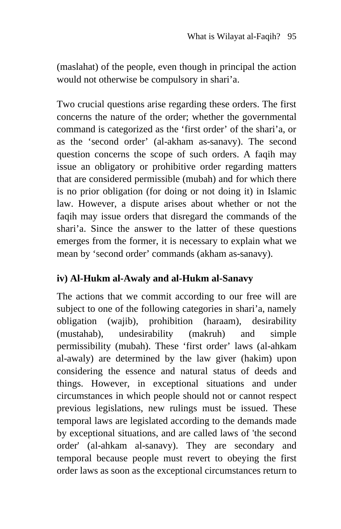(maslahat) of the people, even though in principal the action would not otherwise be compulsory in shari'a.

Two crucial questions arise regarding these orders. The first concerns the nature of the order; whether the governmental command is categorized as the 'first order' of the shari'a, or as the 'second order' (al-akham as-sanavy). The second question concerns the scope of such orders. A faqih may issue an obligatory or prohibitive order regarding matters that are considered permissible (mubah) and for which there is no prior obligation (for doing or not doing it) in Islamic law. However, a dispute arises about whether or not the faqih may issue orders that disregard the commands of the shari'a. Since the answer to the latter of these questions emerges from the former, it is necessary to explain what we mean by 'second order' commands (akham as-sanavy).

# **iv) Al-Hukm al-Awaly and al-Hukm al-Sanavy**

The actions that we commit according to our free will are subject to one of the following categories in shari'a, namely obligation (wajib), prohibition (haraam), desirability (mustahab), undesirability (makruh) and simple permissibility (mubah). These 'first order' laws (al-ahkam al-awaly) are determined by the law giver (hakim) upon considering the essence and natural status of deeds and things. However, in exceptional situations and under circumstances in which people should not or cannot respect previous legislations, new rulings must be issued. These temporal laws are legislated according to the demands made by exceptional situations, and are called laws of 'the second order' (al-ahkam al-sanavy). They are secondary and temporal because people must revert to obeying the first order laws as soon as the exceptional circumstances return to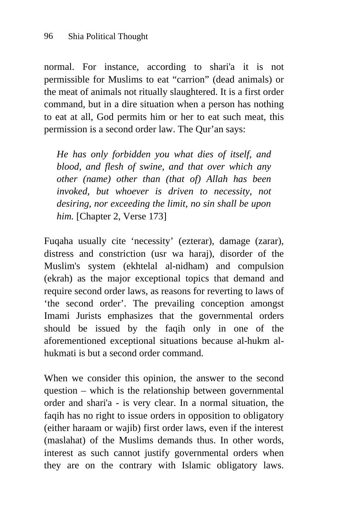normal. For instance, according to shari'a it is not permissible for Muslims to eat "carrion" (dead animals) or the meat of animals not ritually slaughtered. It is a first order command, but in a dire situation when a person has nothing to eat at all, God permits him or her to eat such meat, this permission is a second order law. The Qur'an says:

*He has only forbidden you what dies of itself, and blood, and flesh of swine, and that over which any other (name) other than (that of) Allah has been invoked, but whoever is driven to necessity, not desiring, nor exceeding the limit, no sin shall be upon him.* [Chapter 2, Verse 173]

Fuqaha usually cite 'necessity' (ezterar), damage (zarar), distress and constriction (usr wa haraj), disorder of the Muslim's system (ekhtelal al-nidham) and compulsion (ekrah) as the major exceptional topics that demand and require second order laws, as reasons for reverting to laws of 'the second order'. The prevailing conception amongst Imami Jurists emphasizes that the governmental orders should be issued by the faqih only in one of the aforementioned exceptional situations because al-hukm alhukmati is but a second order command.

When we consider this opinion, the answer to the second question – which is the relationship between governmental order and shari'a - is very clear. In a normal situation, the faqih has no right to issue orders in opposition to obligatory (either haraam or wajib) first order laws, even if the interest (maslahat) of the Muslims demands thus. In other words, interest as such cannot justify governmental orders when they are on the contrary with Islamic obligatory laws.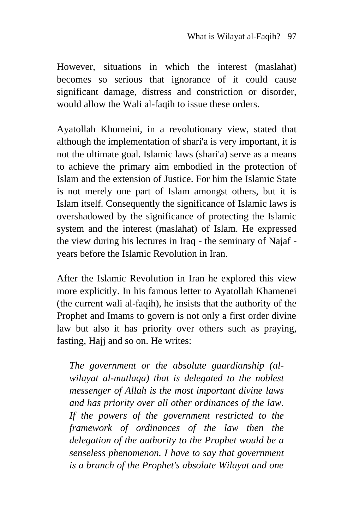However, situations in which the interest (maslahat) becomes so serious that ignorance of it could cause significant damage, distress and constriction or disorder, would allow the Wali al-faqih to issue these orders.

Ayatollah Khomeini, in a revolutionary view, stated that although the implementation of shari'a is very important, it is not the ultimate goal. Islamic laws (shari'a) serve as a means to achieve the primary aim embodied in the protection of Islam and the extension of Justice. For him the Islamic State is not merely one part of Islam amongst others, but it is Islam itself. Consequently the significance of Islamic laws is overshadowed by the significance of protecting the Islamic system and the interest (maslahat) of Islam. He expressed the view during his lectures in Iraq - the seminary of Najaf years before the Islamic Revolution in Iran.

After the Islamic Revolution in Iran he explored this view more explicitly. In his famous letter to Ayatollah Khamenei (the current wali al-faqih), he insists that the authority of the Prophet and Imams to govern is not only a first order divine law but also it has priority over others such as praying, fasting, Hajj and so on. He writes:

*The government or the absolute guardianship (alwilayat al-mutlaqa) that is delegated to the noblest messenger of Allah is the most important divine laws and has priority over all other ordinances of the law. If the powers of the government restricted to the framework of ordinances of the law then the delegation of the authority to the Prophet would be a senseless phenomenon. I have to say that government is a branch of the Prophet's absolute Wilayat and one*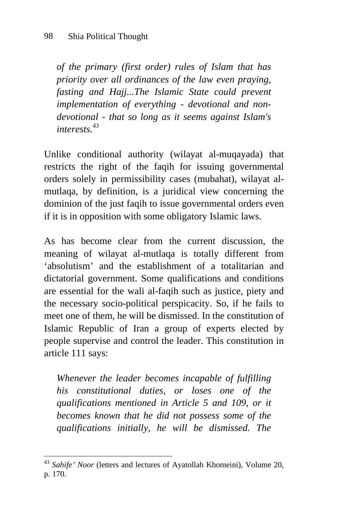*of the primary (first order) rules of Islam that has priority over all ordinances of the law even praying, fasting and Hajj...The Islamic State could prevent implementation of everything - devotional and nondevotional - that so long as it seems against Islam's interests.<sup>43</sup>*

Unlike conditional authority (wilayat al-muqayada) that restricts the right of the faqih for issuing governmental orders solely in permissibility cases (mubahat), wilayat almutlaqa, by definition, is a juridical view concerning the dominion of the just faqih to issue governmental orders even if it is in opposition with some obligatory Islamic laws.

As has become clear from the current discussion, the meaning of wilayat al-mutlaqa is totally different from 'absolutism' and the establishment of a totalitarian and dictatorial government. Some qualifications and conditions are essential for the wali al-faqih such as justice, piety and the necessary socio-political perspicacity. So, if he fails to meet one of them, he will be dismissed. In the constitution of Islamic Republic of Iran a group of experts elected by people supervise and control the leader. This constitution in article 111 says:

*Whenever the leader becomes incapable of fulfilling his constitutional duties, or loses one of the qualifications mentioned in Article 5 and 109, or it becomes known that he did not possess some of the qualifications initially, he will be dismissed. The*

<sup>43</sup> *Sahife' Noor* (letters and lectures of Ayatollah Khomeini), Volume 20, p. 170.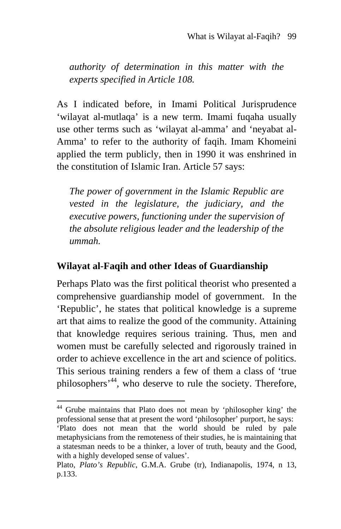*authority of determination in this matter with the experts specified in Article 108.*

As I indicated before, in Imami Political Jurisprudence 'wilayat al-mutlaqa' is a new term. Imami fuqaha usually use other terms such as 'wilayat al-amma' and 'neyabat al-Amma' to refer to the authority of faqih. Imam Khomeini applied the term publicly, then in 1990 it was enshrined in the constitution of Islamic Iran. Article 57 says:

*The power of government in the Islamic Republic are vested in the legislature, the judiciary, and the executive powers, functioning under the supervision of the absolute religious leader and the leadership of the ummah.*

# **Wilayat al-Faqih and other Ideas of Guardianship**

Perhaps Plato was the first political theorist who presented a comprehensive guardianship model of government. In the 'Republic', he states that political knowledge is a supreme art that aims to realize the good of the community. Attaining that knowledge requires serious training. Thus, men and women must be carefully selected and rigorously trained in order to achieve excellence in the art and science of politics. This serious training renders a few of them a class of 'true philosophers'<sup>44</sup>, who deserve to rule the society. Therefore,

<sup>44</sup> Grube maintains that Plato does not mean by 'philosopher king' the professional sense that at present the word 'philosopher' purport, he says: 'Plato does not mean that the world should be ruled by pale metaphysicians from the remoteness of their studies, he is maintaining that a statesman needs to be a thinker, a lover of truth, beauty and the Good, with a highly developed sense of values'.

Plato, *Plato's Republic*, G.M.A. Grube (tr), Indianapolis, 1974, n 13, p.133.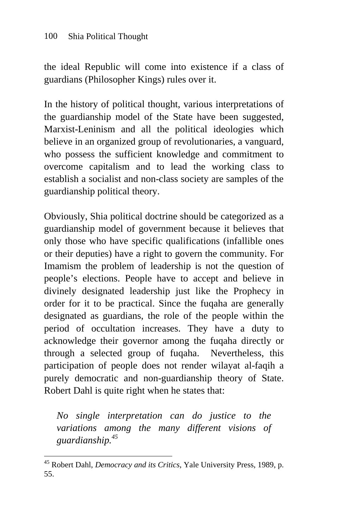the ideal Republic will come into existence if a class of guardians (Philosopher Kings) rules over it.

In the history of political thought, various interpretations of the guardianship model of the State have been suggested, Marxist-Leninism and all the political ideologies which believe in an organized group of revolutionaries, a vanguard, who possess the sufficient knowledge and commitment to overcome capitalism and to lead the working class to establish a socialist and non-class society are samples of the guardianship political theory.

Obviously, Shia political doctrine should be categorized as a guardianship model of government because it believes that only those who have specific qualifications (infallible ones or their deputies) have a right to govern the community. For Imamism the problem of leadership is not the question of people's elections. People have to accept and believe in divinely designated leadership just like the Prophecy in order for it to be practical. Since the fuqaha are generally designated as guardians, the role of the people within the period of occultation increases. They have a duty to acknowledge their governor among the fuqaha directly or through a selected group of fuqaha. Nevertheless, this participation of people does not render wilayat al-faqih a purely democratic and non-guardianship theory of State. Robert Dahl is quite right when he states that:

*No single interpretation can do justice to the variations among the many different visions of guardianship.<sup>45</sup>*

<sup>45</sup> Robert Dahl, *Democracy and its Critics*, Yale University Press, 1989, p. 55.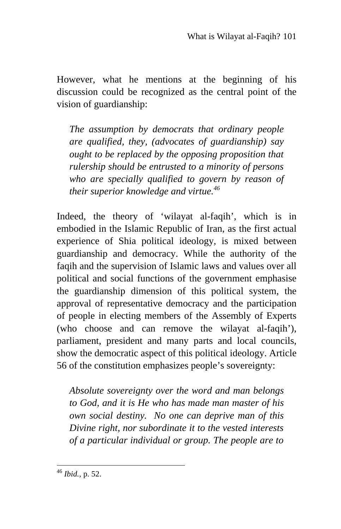However, what he mentions at the beginning of his discussion could be recognized as the central point of the vision of guardianship:

*The assumption by democrats that ordinary people are qualified, they, (advocates of guardianship) say ought to be replaced by the opposing proposition that rulership should be entrusted to a minority of persons who are specially qualified to govern by reason of their superior knowledge and virtue.<sup>46</sup>*

Indeed, the theory of 'wilayat al-faqih', which is in embodied in the Islamic Republic of Iran, as the first actual experience of Shia political ideology, is mixed between guardianship and democracy. While the authority of the faqih and the supervision of Islamic laws and values over all political and social functions of the government emphasise the guardianship dimension of this political system, the approval of representative democracy and the participation of people in electing members of the Assembly of Experts (who choose and can remove the wilayat al-faqih'), parliament, president and many parts and local councils, show the democratic aspect of this political ideology. Article 56 of the constitution emphasizes people's sovereignty:

*Absolute sovereignty over the word and man belongs to God, and it is He who has made man master of his own social destiny. No one can deprive man of this Divine right, nor subordinate it to the vested interests of a particular individual or group. The people are to* 

<sup>46</sup> *Ibid.*, p. 52.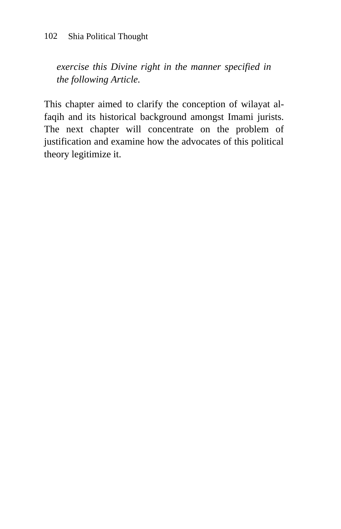*exercise this Divine right in the manner specified in the following Article.*

This chapter aimed to clarify the conception of wilayat alfaqih and its historical background amongst Imami jurists. The next chapter will concentrate on the problem of justification and examine how the advocates of this political theory legitimize it.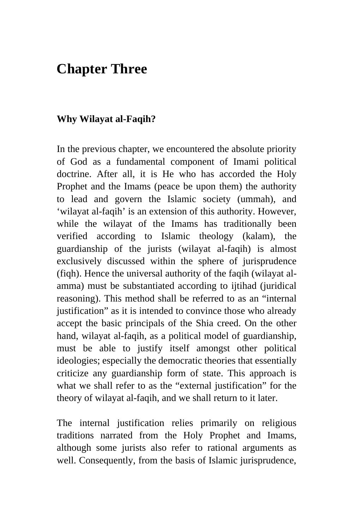# **Chapter Three**

#### **Why Wilayat al-Faqih?**

In the previous chapter, we encountered the absolute priority of God as a fundamental component of Imami political doctrine. After all, it is He who has accorded the Holy Prophet and the Imams (peace be upon them) the authority to lead and govern the Islamic society (ummah), and 'wilayat al-faqih' is an extension of this authority. However, while the wilayat of the Imams has traditionally been verified according to Islamic theology (kalam), the guardianship of the jurists (wilayat al-faqih) is almost exclusively discussed within the sphere of jurisprudence (fiqh). Hence the universal authority of the faqih (wilayat alamma) must be substantiated according to ijtihad (juridical reasoning). This method shall be referred to as an "internal justification" as it is intended to convince those who already accept the basic principals of the Shia creed. On the other hand, wilayat al-faqih, as a political model of guardianship, must be able to justify itself amongst other political ideologies; especially the democratic theories that essentially criticize any guardianship form of state. This approach is what we shall refer to as the "external justification" for the theory of wilayat al-faqih, and we shall return to it later.

The internal justification relies primarily on religious traditions narrated from the Holy Prophet and Imams, although some jurists also refer to rational arguments as well. Consequently, from the basis of Islamic jurisprudence,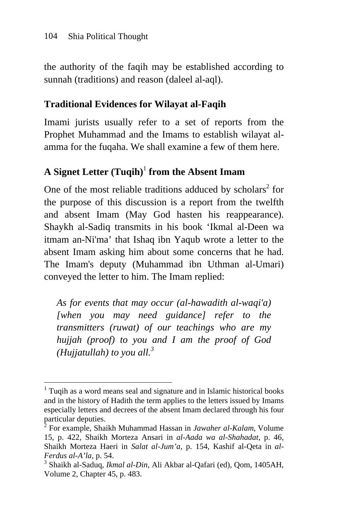l

the authority of the faqih may be established according to sunnah (traditions) and reason (daleel al-aql).

#### **Traditional Evidences for Wilayat al-Faqih**

Imami jurists usually refer to a set of reports from the Prophet Muhammad and the Imams to establish wilayat alamma for the fuqaha. We shall examine a few of them here.

## **A Signet Letter (Tuqih)**<sup>1</sup>  **from the Absent Imam**

One of the most reliable traditions adduced by scholars<sup>2</sup> for the purpose of this discussion is a report from the twelfth and absent Imam (May God hasten his reappearance). Shaykh al-Sadiq transmits in his book 'Ikmal al-Deen wa itmam an-Ni'ma' that Ishaq ibn Yaqub wrote a letter to the absent Imam asking him about some concerns that he had. The Imam's deputy (Muhammad ibn Uthman al-Umari) conveyed the letter to him. The Imam replied:

*As for events that may occur (al-hawadith al-waqi'a) [when you may need guidance] refer to the transmitters (ruwat) of our teachings who are my hujjah (proof) to you and I am the proof of God (Hujjatullah) to you all.<sup>3</sup>*

<sup>&</sup>lt;sup>1</sup> Tuqih as a word means seal and signature and in Islamic historical books and in the history of Hadith the term applies to the letters issued by Imams especially letters and decrees of the absent Imam declared through his four particular deputies. 2 For example, Shaikh Muhammad Hassan in *Jawaher al-Kalam*, Volume

<sup>15,</sup> p. 422, Shaikh Morteza Ansari in *al-Aada wa al-Shahadat*, p. 46, Shaikh Morteza Haeri in *Salat al-Jum'a*, p. 154, Kashif al-Qeta in *al-Ferdus al-A'la,* p. 54.

<sup>3</sup> Shaikh al-Saduq, *Ikmal al-Din*, Ali Akbar al-Qafari (ed), Qom, 1405AH, Volume 2, Chapter 45, p. 483.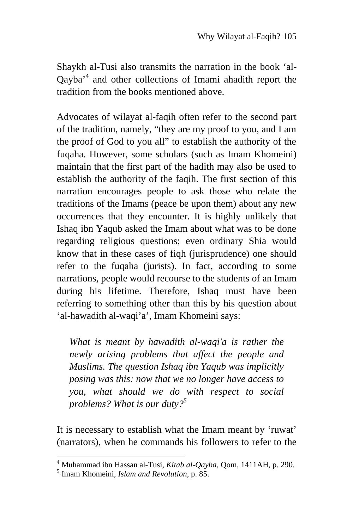Shaykh al-Tusi also transmits the narration in the book 'al-Qayba<sup>,4</sup> and other collections of Imami ahadith report the tradition from the books mentioned above.

Advocates of wilayat al-faqih often refer to the second part of the tradition, namely, "they are my proof to you, and I am the proof of God to you all" to establish the authority of the fuqaha. However, some scholars (such as Imam Khomeini) maintain that the first part of the hadith may also be used to establish the authority of the faqih. The first section of this narration encourages people to ask those who relate the traditions of the Imams (peace be upon them) about any new occurrences that they encounter. It is highly unlikely that Ishaq ibn Yaqub asked the Imam about what was to be done regarding religious questions; even ordinary Shia would know that in these cases of fiqh (jurisprudence) one should refer to the fuqaha (jurists). In fact, according to some narrations, people would recourse to the students of an Imam during his lifetime. Therefore, Ishaq must have been referring to something other than this by his question about 'al-hawadith al-waqi'a', Imam Khomeini says:

*What is meant by hawadith al-waqi'a is rather the newly arising problems that affect the people and Muslims. The question Ishaq ibn Yaqub was implicitly posing was this: now that we no longer have access to you, what should we do with respect to social problems? What is our duty?<sup>5</sup>*

It is necessary to establish what the Imam meant by 'ruwat' (narrators), when he commands his followers to refer to the

<sup>4</sup> Muhammad ibn Hassan al-Tusi, *Kitab al-Qayba*, Qom, 1411AH, p. 290.

<sup>5</sup> Imam Khomeini, *Islam and Revolution*, p. 85.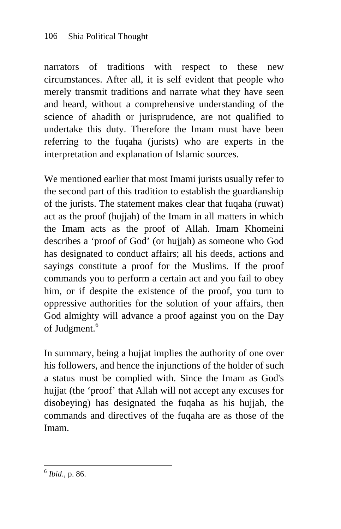narrators of traditions with respect to these new circumstances. After all, it is self evident that people who merely transmit traditions and narrate what they have seen and heard, without a comprehensive understanding of the science of ahadith or jurisprudence, are not qualified to undertake this duty. Therefore the Imam must have been referring to the fuqaha (jurists) who are experts in the interpretation and explanation of Islamic sources.

We mentioned earlier that most Imami jurists usually refer to the second part of this tradition to establish the guardianship of the jurists. The statement makes clear that fuqaha (ruwat) act as the proof (hujjah) of the Imam in all matters in which the Imam acts as the proof of Allah. Imam Khomeini describes a 'proof of God' (or hujjah) as someone who God has designated to conduct affairs; all his deeds, actions and sayings constitute a proof for the Muslims. If the proof commands you to perform a certain act and you fail to obey him, or if despite the existence of the proof, you turn to oppressive authorities for the solution of your affairs, then God almighty will advance a proof against you on the Day of Judgment.<sup>6</sup>

In summary, being a hujjat implies the authority of one over his followers, and hence the injunctions of the holder of such a status must be complied with. Since the Imam as God's hujjat (the 'proof' that Allah will not accept any excuses for disobeying) has designated the fuqaha as his hujjah, the commands and directives of the fuqaha are as those of the Imam.

l 6 *Ibid*., p. 86.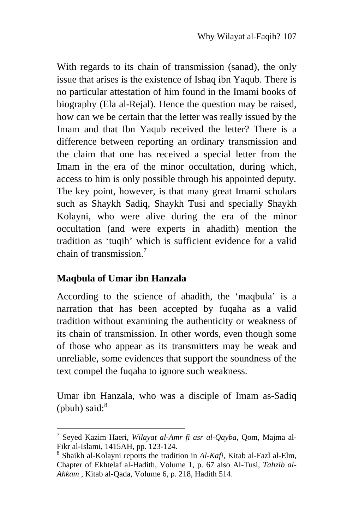With regards to its chain of transmission (sanad), the only issue that arises is the existence of Ishaq ibn Yaqub. There is no particular attestation of him found in the Imami books of biography (Ela al-Rejal). Hence the question may be raised, how can we be certain that the letter was really issued by the Imam and that Ibn Yaqub received the letter? There is a difference between reporting an ordinary transmission and the claim that one has received a special letter from the Imam in the era of the minor occultation, during which, access to him is only possible through his appointed deputy. The key point, however, is that many great Imami scholars such as Shaykh Sadiq, Shaykh Tusi and specially Shaykh Kolayni, who were alive during the era of the minor occultation (and were experts in ahadith) mention the tradition as 'tuqih' which is sufficient evidence for a valid chain of transmission  $<sup>7</sup>$ </sup>

#### **Maqbula of Umar ibn Hanzala**

l

According to the science of ahadith, the 'maqbula' is a narration that has been accepted by fuqaha as a valid tradition without examining the authenticity or weakness of its chain of transmission. In other words, even though some of those who appear as its transmitters may be weak and unreliable, some evidences that support the soundness of the text compel the fuqaha to ignore such weakness.

Umar ibn Hanzala, who was a disciple of Imam as-Sadiq (pbuh) said: $8$ 

<sup>7</sup> Seyed Kazim Haeri, *Wilayat al-Amr fi asr al-Qayba*, Qom, Majma al-Fikr al-Islami, 1415AH, pp. 123-124.

<sup>8</sup> Shaikh al-Kolayni reports the tradition in *Al-Kafi*, Kitab al-Fazl al-Elm, Chapter of Ekhtelaf al-Hadith, Volume 1, p. 67 also Al-Tusi, *Tahzib al-Ahkam* , Kitab al-Qada, Volume 6, p. 218, Hadith 514.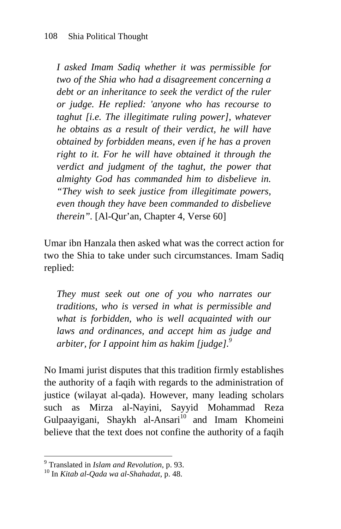*I asked Imam Sadiq whether it was permissible for two of the Shia who had a disagreement concerning a debt or an inheritance to seek the verdict of the ruler or judge. He replied: 'anyone who has recourse to taghut [i.e. The illegitimate ruling power], whatever he obtains as a result of their verdict, he will have obtained by forbidden means, even if he has a proven right to it. For he will have obtained it through the verdict and judgment of the taghut, the power that almighty God has commanded him to disbelieve in. "They wish to seek justice from illegitimate powers, even though they have been commanded to disbelieve therein".* [Al-Qur'an, Chapter 4, Verse 60]

Umar ibn Hanzala then asked what was the correct action for two the Shia to take under such circumstances. Imam Sadiq replied:

*They must seek out one of you who narrates our traditions, who is versed in what is permissible and what is forbidden, who is well acquainted with our laws and ordinances, and accept him as judge and arbiter, for I appoint him as hakim [judge].<sup>9</sup>*

No Imami jurist disputes that this tradition firmly establishes the authority of a faqih with regards to the administration of justice (wilayat al-qada). However, many leading scholars such as Mirza al-Nayini, Sayyid Mohammad Reza Gulpaayigani, Shaykh al-Ansari<sup>10</sup> and Imam Khomeini believe that the text does not confine the authority of a faqih

<sup>9</sup> Translated in *Islam and Revolution*, p. 93.

<sup>10</sup> In *Kitab al-Qada wa al-Shahadat*, p. 48.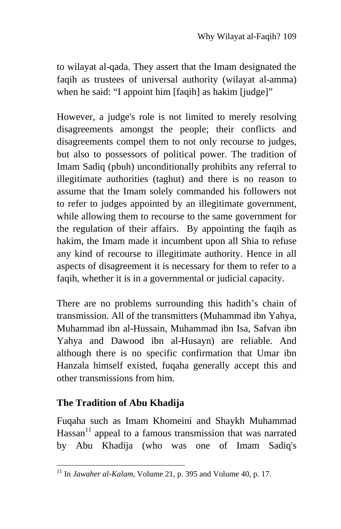to wilayat al-qada. They assert that the Imam designated the faqih as trustees of universal authority (wilayat al-amma) when he said: "I appoint him [faqih] as hakim [judge]"

However, a judge's role is not limited to merely resolving disagreements amongst the people; their conflicts and disagreements compel them to not only recourse to judges, but also to possessors of political power. The tradition of Imam Sadiq (pbuh) unconditionally prohibits any referral to illegitimate authorities (taghut) and there is no reason to assume that the Imam solely commanded his followers not to refer to judges appointed by an illegitimate government, while allowing them to recourse to the same government for the regulation of their affairs. By appointing the faqih as hakim, the Imam made it incumbent upon all Shia to refuse any kind of recourse to illegitimate authority. Hence in all aspects of disagreement it is necessary for them to refer to a faqih, whether it is in a governmental or judicial capacity.

There are no problems surrounding this hadith's chain of transmission. All of the transmitters (Muhammad ibn Yahya, Muhammad ibn al-Hussain, Muhammad ibn Isa, Safvan ibn Yahya and Dawood ibn al-Husayn) are reliable. And although there is no specific confirmation that Umar ibn Hanzala himself existed, fuqaha generally accept this and other transmissions from him.

## **The Tradition of Abu Khadija**

l

Fuqaha such as Imam Khomeini and Shaykh Muhammad  $Hassan<sup>11</sup>$  appeal to a famous transmission that was narrated by Abu Khadija (who was one of Imam Sadiq's

<sup>11</sup> In *Jawaher al-Kalam*, Volume 21, p. 395 and Volume 40, p. 17.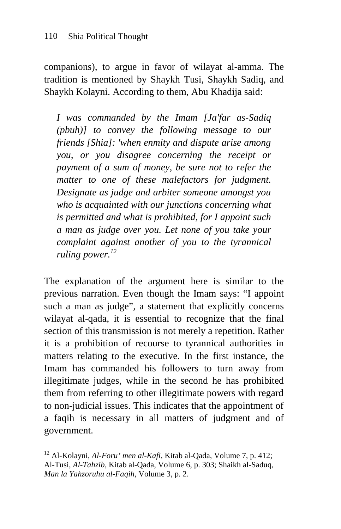companions), to argue in favor of wilayat al-amma. The tradition is mentioned by Shaykh Tusi, Shaykh Sadiq, and Shaykh Kolayni. According to them, Abu Khadija said:

*I was commanded by the Imam [Ja'far as-Sadiq (pbuh)] to convey the following message to our friends [Shia]: 'when enmity and dispute arise among you, or you disagree concerning the receipt or payment of a sum of money, be sure not to refer the matter to one of these malefactors for judgment. Designate as judge and arbiter someone amongst you who is acquainted with our junctions concerning what is permitted and what is prohibited, for I appoint such a man as judge over you. Let none of you take your complaint against another of you to the tyrannical ruling power.<sup>12</sup>*

The explanation of the argument here is similar to the previous narration. Even though the Imam says: "I appoint such a man as judge", a statement that explicitly concerns wilayat al-qada, it is essential to recognize that the final section of this transmission is not merely a repetition. Rather it is a prohibition of recourse to tyrannical authorities in matters relating to the executive. In the first instance, the Imam has commanded his followers to turn away from illegitimate judges, while in the second he has prohibited them from referring to other illegitimate powers with regard to non-judicial issues. This indicates that the appointment of a faqih is necessary in all matters of judgment and of government.

<sup>12</sup> Al-Kolayni, *Al-Foru' men al-Kafi*, Kitab al-Qada, Volume 7, p. 412; Al-Tusi, *Al-Tahzib*, Kitab al-Qada, Volume 6, p. 303; Shaikh al-Saduq, *Man la Yahzoruhu al-Faqih*, Volume 3, p. 2.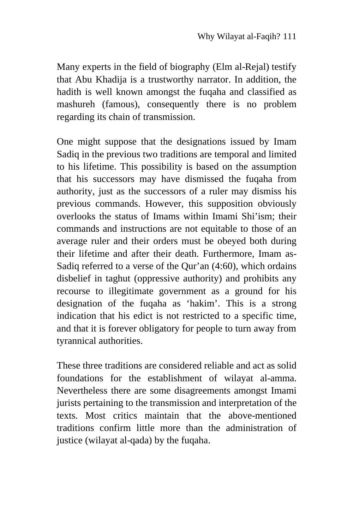Many experts in the field of biography (Elm al-Rejal) testify that Abu Khadija is a trustworthy narrator. In addition, the hadith is well known amongst the fuqaha and classified as mashureh (famous), consequently there is no problem regarding its chain of transmission.

One might suppose that the designations issued by Imam Sadiq in the previous two traditions are temporal and limited to his lifetime. This possibility is based on the assumption that his successors may have dismissed the fuqaha from authority, just as the successors of a ruler may dismiss his previous commands. However, this supposition obviously overlooks the status of Imams within Imami Shi'ism; their commands and instructions are not equitable to those of an average ruler and their orders must be obeyed both during their lifetime and after their death. Furthermore, Imam as-Sadiq referred to a verse of the Qur'an (4:60), which ordains disbelief in taghut (oppressive authority) and prohibits any recourse to illegitimate government as a ground for his designation of the fuqaha as 'hakim'. This is a strong indication that his edict is not restricted to a specific time, and that it is forever obligatory for people to turn away from tyrannical authorities.

These three traditions are considered reliable and act as solid foundations for the establishment of wilayat al-amma. Nevertheless there are some disagreements amongst Imami jurists pertaining to the transmission and interpretation of the texts. Most critics maintain that the above-mentioned traditions confirm little more than the administration of justice (wilayat al-qada) by the fuqaha.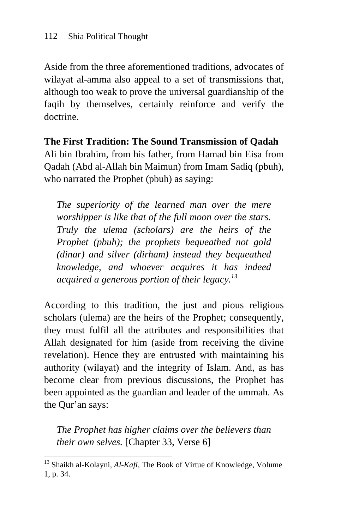Aside from the three aforementioned traditions, advocates of wilayat al-amma also appeal to a set of transmissions that, although too weak to prove the universal guardianship of the faqih by themselves, certainly reinforce and verify the doctrine.

**The First Tradition: The Sound Transmission of Qadah**  Ali bin Ibrahim, from his father, from Hamad bin Eisa from Qadah (Abd al-Allah bin Maimun) from Imam Sadiq (pbuh), who narrated the Prophet (pbuh) as saying:

*The superiority of the learned man over the mere worshipper is like that of the full moon over the stars. Truly the ulema (scholars) are the heirs of the Prophet (pbuh); the prophets bequeathed not gold (dinar) and silver (dirham) instead they bequeathed knowledge, and whoever acquires it has indeed acquired a generous portion of their legacy.<sup>13</sup>*

According to this tradition, the just and pious religious scholars (ulema) are the heirs of the Prophet; consequently, they must fulfil all the attributes and responsibilities that Allah designated for him (aside from receiving the divine revelation). Hence they are entrusted with maintaining his authority (wilayat) and the integrity of Islam. And, as has become clear from previous discussions, the Prophet has been appointed as the guardian and leader of the ummah. As the Qur'an says:

*The Prophet has higher claims over the believers than their own selves.* [Chapter 33, Verse 6]

<sup>&</sup>lt;sup>13</sup> Shaikh al-Kolayni, *Al-Kafi*, The Book of Virtue of Knowledge, Volume 1, p. 34.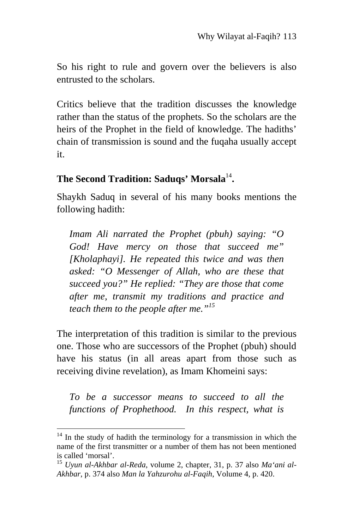So his right to rule and govern over the believers is also entrusted to the scholars.

Critics believe that the tradition discusses the knowledge rather than the status of the prophets. So the scholars are the heirs of the Prophet in the field of knowledge. The hadiths' chain of transmission is sound and the fuqaha usually accept it.

## **The Second Tradition: Saduqs' Morsala**<sup>14</sup> **.**

Shaykh Saduq in several of his many books mentions the following hadith:

*Imam Ali narrated the Prophet (pbuh) saying: "O God! Have mercy on those that succeed me" [Kholaphayi]. He repeated this twice and was then asked: "O Messenger of Allah, who are these that succeed you?" He replied: "They are those that come after me, transmit my traditions and practice and teach them to the people after me."<sup>15</sup>*

The interpretation of this tradition is similar to the previous one. Those who are successors of the Prophet (pbuh) should have his status (in all areas apart from those such as receiving divine revelation), as Imam Khomeini says:

*To be a successor means to succeed to all the functions of Prophethood. In this respect, what is*

 $14$  In the study of hadith the terminology for a transmission in which the name of the first transmitter or a number of them has not been mentioned is called 'morsal'.

<sup>15</sup> *Uyun al-Akhbar al-Reda*, volume 2, chapter, 31, p. 37 also *Ma'ani al-Akhbar*, p. 374 also *Man la Yahzurohu al-Faqih*, Volume 4, p. 420.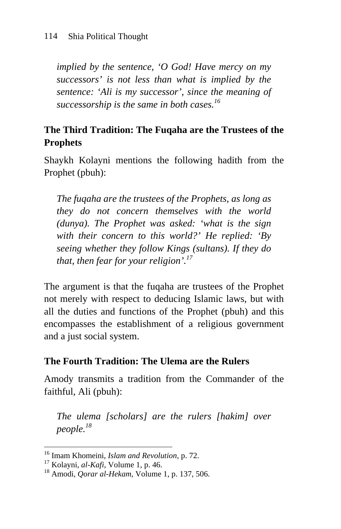*implied by the sentence, 'O God! Have mercy on my successors' is not less than what is implied by the sentence: 'Ali is my successor', since the meaning of successorship is the same in both cases.<sup>16</sup>*

# **The Third Tradition: The Fuqaha are the Trustees of the Prophets**

Shaykh Kolayni mentions the following hadith from the Prophet (pbuh):

*The fuqaha are the trustees of the Prophets, as long as they do not concern themselves with the world (dunya). The Prophet was asked: 'what is the sign with their concern to this world?' He replied: 'By seeing whether they follow Kings (sultans). If they do that, then fear for your religion'.<sup>17</sup>*

The argument is that the fuqaha are trustees of the Prophet not merely with respect to deducing Islamic laws, but with all the duties and functions of the Prophet (pbuh) and this encompasses the establishment of a religious government and a just social system.

## **The Fourth Tradition: The Ulema are the Rulers**

Amody transmits a tradition from the Commander of the faithful, Ali (pbuh):

*The ulema [scholars] are the rulers [hakim] over people.<sup>18</sup>*

<sup>16</sup> Imam Khomeini, *Islam and Revolution*, p. 72.

<sup>17</sup> Kolayni, *al-Kafi*, Volume 1, p. 46.

<sup>18</sup> Amodi, *Qorar al-Hekam*, Volume 1, p. 137, 506.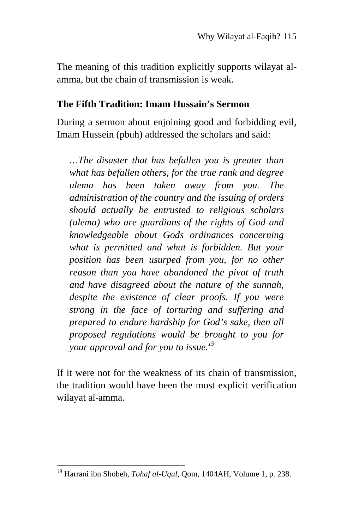The meaning of this tradition explicitly supports wilayat alamma, but the chain of transmission is weak.

#### **The Fifth Tradition: Imam Hussain's Sermon**

During a sermon about enjoining good and forbidding evil, Imam Hussein (pbuh) addressed the scholars and said:

*…The disaster that has befallen you is greater than what has befallen others, for the true rank and degree ulema has been taken away from you. The administration of the country and the issuing of orders should actually be entrusted to religious scholars (ulema) who are guardians of the rights of God and knowledgeable about Gods ordinances concerning what is permitted and what is forbidden. But your position has been usurped from you, for no other reason than you have abandoned the pivot of truth and have disagreed about the nature of the sunnah, despite the existence of clear proofs. If you were strong in the face of torturing and suffering and prepared to endure hardship for God's sake, then all proposed regulations would be brought to you for your approval and for you to issue.<sup>19</sup>*

If it were not for the weakness of its chain of transmission, the tradition would have been the most explicit verification wilayat al-amma.

<sup>19</sup> Harrani ibn Shobeh, *Tohaf al-Uqul*, Qom, 1404AH, Volume 1, p. 238.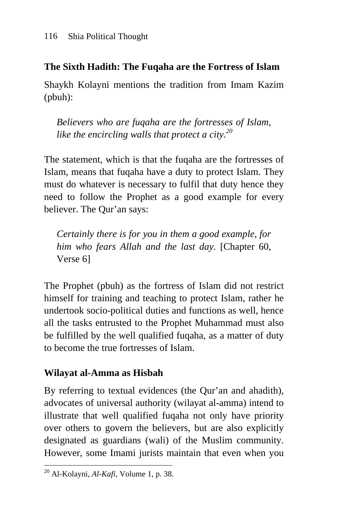## **The Sixth Hadith: The Fuqaha are the Fortress of Islam**

Shaykh Kolayni mentions the tradition from Imam Kazim (pbuh):

*Believers who are fuqaha are the fortresses of Islam, like the encircling walls that protect a city.<sup>20</sup>*

The statement, which is that the fuqaha are the fortresses of Islam, means that fuqaha have a duty to protect Islam. They must do whatever is necessary to fulfil that duty hence they need to follow the Prophet as a good example for every believer. The Qur'an says:

*Certainly there is for you in them a good example, for him who fears Allah and the last day.* [Chapter 60, Verse 6]

The Prophet (pbuh) as the fortress of Islam did not restrict himself for training and teaching to protect Islam, rather he undertook socio-political duties and functions as well, hence all the tasks entrusted to the Prophet Muhammad must also be fulfilled by the well qualified fuqaha, as a matter of duty to become the true fortresses of Islam.

## **Wilayat al-Amma as Hisbah**

By referring to textual evidences (the Qur'an and ahadith), advocates of universal authority (wilayat al-amma) intend to illustrate that well qualified fuqaha not only have priority over others to govern the believers, but are also explicitly designated as guardians (wali) of the Muslim community. However, some Imami jurists maintain that even when you

<sup>20</sup> Al-Kolayni, *Al-Kafi*, Volume 1, p. 38.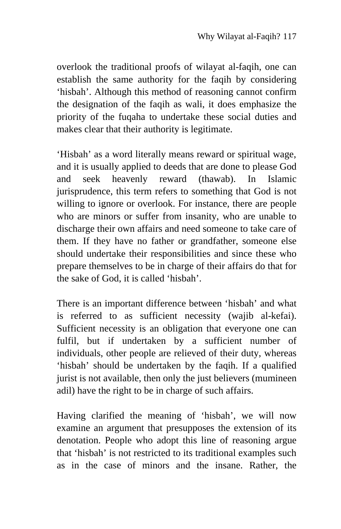overlook the traditional proofs of wilayat al-faqih, one can establish the same authority for the faqih by considering 'hisbah'. Although this method of reasoning cannot confirm the designation of the faqih as wali, it does emphasize the priority of the fuqaha to undertake these social duties and makes clear that their authority is legitimate.

'Hisbah' as a word literally means reward or spiritual wage, and it is usually applied to deeds that are done to please God and seek heavenly reward (thawab). In Islamic jurisprudence, this term refers to something that God is not willing to ignore or overlook. For instance, there are people who are minors or suffer from insanity, who are unable to discharge their own affairs and need someone to take care of them. If they have no father or grandfather, someone else should undertake their responsibilities and since these who prepare themselves to be in charge of their affairs do that for the sake of God, it is called 'hisbah'.

There is an important difference between 'hisbah' and what is referred to as sufficient necessity (wajib al-kefai). Sufficient necessity is an obligation that everyone one can fulfil, but if undertaken by a sufficient number of individuals, other people are relieved of their duty, whereas 'hisbah' should be undertaken by the faqih. If a qualified jurist is not available, then only the just believers (mumineen adil) have the right to be in charge of such affairs.

Having clarified the meaning of 'hisbah', we will now examine an argument that presupposes the extension of its denotation. People who adopt this line of reasoning argue that 'hisbah' is not restricted to its traditional examples such as in the case of minors and the insane. Rather, the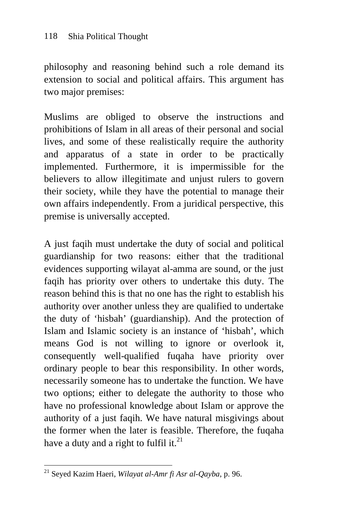philosophy and reasoning behind such a role demand its extension to social and political affairs. This argument has two major premises:

Muslims are obliged to observe the instructions and prohibitions of Islam in all areas of their personal and social lives, and some of these realistically require the authority and apparatus of a state in order to be practically implemented. Furthermore, it is impermissible for the believers to allow illegitimate and unjust rulers to govern their society, while they have the potential to manage their own affairs independently. From a juridical perspective, this premise is universally accepted.

A just faqih must undertake the duty of social and political guardianship for two reasons: either that the traditional evidences supporting wilayat al-amma are sound, or the just faqih has priority over others to undertake this duty. The reason behind this is that no one has the right to establish his authority over another unless they are qualified to undertake the duty of 'hisbah' (guardianship). And the protection of Islam and Islamic society is an instance of 'hisbah', which means God is not willing to ignore or overlook it, consequently well-qualified fuqaha have priority over ordinary people to bear this responsibility. In other words, necessarily someone has to undertake the function. We have two options; either to delegate the authority to those who have no professional knowledge about Islam or approve the authority of a just faqih. We have natural misgivings about the former when the later is feasible. Therefore, the fuqaha have a duty and a right to fulfil it. $^{21}$ 

<sup>21</sup> Seyed Kazim Haeri, *Wilayat al-Amr fi Asr al-Qayba*, p. 96.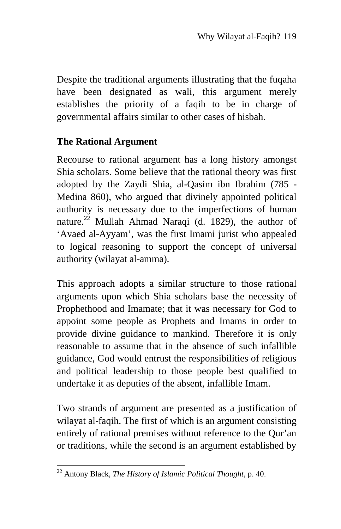Despite the traditional arguments illustrating that the fuqaha have been designated as wali, this argument merely establishes the priority of a faqih to be in charge of governmental affairs similar to other cases of hisbah.

## **The Rational Argument**

Recourse to rational argument has a long history amongst Shia scholars. Some believe that the rational theory was first adopted by the Zaydi Shia, al-Qasim ibn Ibrahim (785 - Medina 860), who argued that divinely appointed political authority is necessary due to the imperfections of human nature.<sup>22</sup> Mullah Ahmad Naraqi (d. 1829), the author of 'Avaed al-Ayyam', was the first Imami jurist who appealed to logical reasoning to support the concept of universal authority (wilayat al-amma).

This approach adopts a similar structure to those rational arguments upon which Shia scholars base the necessity of Prophethood and Imamate; that it was necessary for God to appoint some people as Prophets and Imams in order to provide divine guidance to mankind. Therefore it is only reasonable to assume that in the absence of such infallible guidance, God would entrust the responsibilities of religious and political leadership to those people best qualified to undertake it as deputies of the absent, infallible Imam.

Two strands of argument are presented as a justification of wilayat al-faqih. The first of which is an argument consisting entirely of rational premises without reference to the Qur'an or traditions, while the second is an argument established by

l <sup>22</sup> Antony Black, *The History of Islamic Political Thought*, p. 40.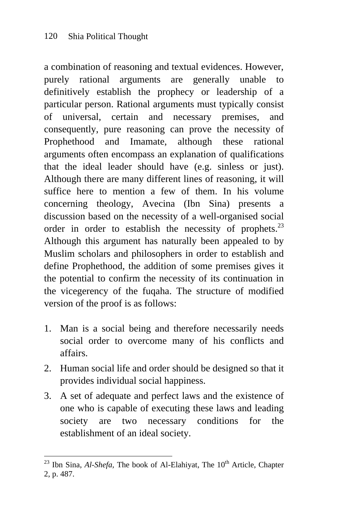a combination of reasoning and textual evidences. However, purely rational arguments are generally unable to definitively establish the prophecy or leadership of a particular person. Rational arguments must typically consist of universal, certain and necessary premises, and consequently, pure reasoning can prove the necessity of Prophethood and Imamate, although these rational arguments often encompass an explanation of qualifications that the ideal leader should have (e.g. sinless or just). Although there are many different lines of reasoning, it will suffice here to mention a few of them. In his volume concerning theology, Avecina (Ibn Sina) presents a discussion based on the necessity of a well-organised social order in order to establish the necessity of prophets. $^{23}$ Although this argument has naturally been appealed to by Muslim scholars and philosophers in order to establish and define Prophethood, the addition of some premises gives it the potential to confirm the necessity of its continuation in the vicegerency of the fuqaha. The structure of modified version of the proof is as follows:

- 1. Man is a social being and therefore necessarily needs social order to overcome many of his conflicts and affairs.
- 2. Human social life and order should be designed so that it provides individual social happiness.
- 3. A set of adequate and perfect laws and the existence of one who is capable of executing these laws and leading society are two necessary conditions for the establishment of an ideal society.

l <sup>23</sup> Ibn Sina, *Al-Shefa*, The book of Al-Elahiyat, The 10<sup>th</sup> Article, Chapter 2, p. 487.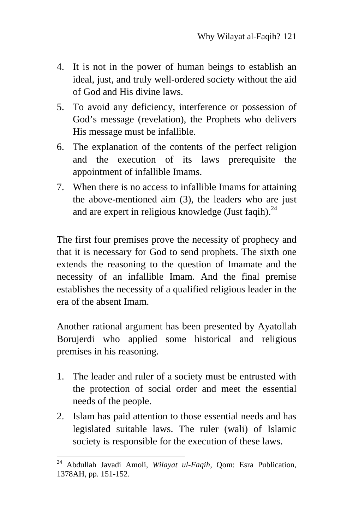- 4. It is not in the power of human beings to establish an ideal, iust, and truly well-ordered society without the aid of God and His divine laws.
- 5. To avoid any deficiency, interference or possession of God's message (revelation), the Prophets who delivers His message must be infallible.
- 6. The explanation of the contents of the perfect religion and the execution of its laws prerequisite the appointment of infallible Imams.
- 7. When there is no access to infallible Imams for attaining the above-mentioned aim (3), the leaders who are just and are expert in religious knowledge (Just faqih). $^{24}$

The first four premises prove the necessity of prophecy and that it is necessary for God to send prophets. The sixth one extends the reasoning to the question of Imamate and the necessity of an infallible Imam. And the final premise establishes the necessity of a qualified religious leader in the era of the absent Imam.

Another rational argument has been presented by Ayatollah Borujerdi who applied some historical and religious premises in his reasoning.

- 1. The leader and ruler of a society must be entrusted with the protection of social order and meet the essential needs of the people.
- 2. Islam has paid attention to those essential needs and has legislated suitable laws. The ruler (wali) of Islamic society is responsible for the execution of these laws.

<sup>24</sup> Abdullah Javadi Amoli, *Wilayat ul-Faqih*, Qom: Esra Publication, 1378AH, pp. 151-152.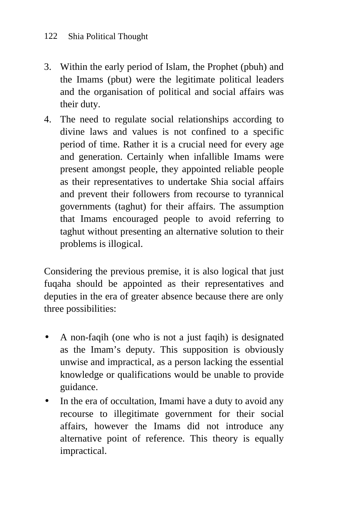- 3. Within the early period of Islam, the Prophet (pbuh) and the Imams (pbut) were the legitimate political leaders and the organisation of political and social affairs was their duty.
- 4. The need to regulate social relationships according to divine laws and values is not confined to a specific period of time. Rather it is a crucial need for every age and generation. Certainly when infallible Imams were present amongst people, they appointed reliable people as their representatives to undertake Shia social affairs and prevent their followers from recourse to tyrannical governments (taghut) for their affairs. The assumption that Imams encouraged people to avoid referring to taghut without presenting an alternative solution to their problems is illogical.

Considering the previous premise, it is also logical that just fuqaha should be appointed as their representatives and deputies in the era of greater absence because there are only three possibilities:

- A non-faqih (one who is not a just faqih) is designated as the Imam's deputy. This supposition is obviously unwise and impractical, as a person lacking the essential knowledge or qualifications would be unable to provide guidance.
- In the era of occultation, Imami have a duty to avoid any recourse to illegitimate government for their social affairs, however the Imams did not introduce any alternative point of reference. This theory is equally impractical.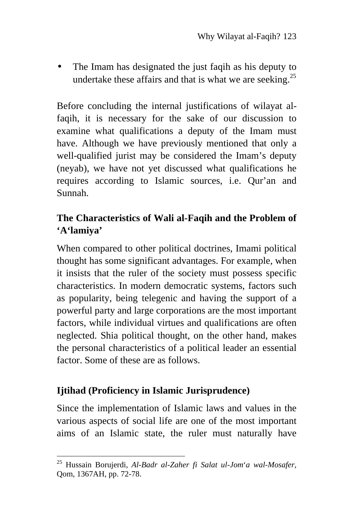The Imam has designated the just faqih as his deputy to undertake these affairs and that is what we are seeking.<sup>25</sup>

Before concluding the internal justifications of wilayat alfaqih, it is necessary for the sake of our discussion to examine what qualifications a deputy of the Imam must have. Although we have previously mentioned that only a well-qualified jurist may be considered the Imam's deputy (neyab), we have not yet discussed what qualifications he requires according to Islamic sources, i.e. Qur'an and Sunnah.

## **The Characteristics of Wali al-Faqih and the Problem of 'A'lamiya'**

When compared to other political doctrines, Imami political thought has some significant advantages. For example, when it insists that the ruler of the society must possess specific characteristics. In modern democratic systems, factors such as popularity, being telegenic and having the support of a powerful party and large corporations are the most important factors, while individual virtues and qualifications are often neglected. Shia political thought, on the other hand, makes the personal characteristics of a political leader an essential factor. Some of these are as follows.

## **Ijtihad (Proficiency in Islamic Jurisprudence)**

l

Since the implementation of Islamic laws and values in the various aspects of social life are one of the most important aims of an Islamic state, the ruler must naturally have

<sup>25</sup> Hussain Borujerdi, *Al-Badr al-Zaher fi Salat ul-Jom*'*a wal-Mosafer*, Qom, 1367AH, pp. 72-78.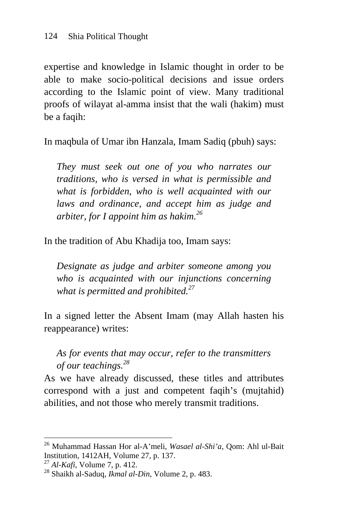expertise and knowledge in Islamic thought in order to be able to make socio-political decisions and issue orders according to the Islamic point of view. Many traditional proofs of wilayat al-amma insist that the wali (hakim) must be a faqih:

In maqbula of Umar ibn Hanzala, Imam Sadiq (pbuh) says:

*They must seek out one of you who narrates our traditions, who is versed in what is permissible and what is forbidden, who is well acquainted with our laws and ordinance, and accept him as judge and arbiter, for I appoint him as hakim.<sup>26</sup>*

In the tradition of Abu Khadija too, Imam says:

*Designate as judge and arbiter someone among you who is acquainted with our injunctions concerning what is permitted and prohibited.<sup>27</sup>*

In a signed letter the Absent Imam (may Allah hasten his reappearance) writes:

*As for events that may occur, refer to the transmitters of our teachings.<sup>28</sup>*

As we have already discussed, these titles and attributes correspond with a just and competent faqih's (mujtahid) abilities, and not those who merely transmit traditions.

<sup>26</sup> Muhammad Hassan Hor al-A'meli, *Wasael al-Shi'a*, Qom: Ahl ul-Bait Institution, 1412AH, Volume 27, p. 137.

<sup>27</sup> *Al-Kafi*, Volume 7, p. 412.

<sup>28</sup> Shaikh al-Saduq, *Ikmal al-Din*, Volume 2, p. 483.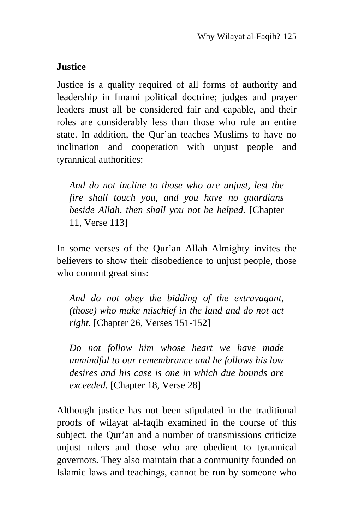## **Justice**

Justice is a quality required of all forms of authority and leadership in Imami political doctrine; judges and prayer leaders must all be considered fair and capable, and their roles are considerably less than those who rule an entire state. In addition, the Qur'an teaches Muslims to have no inclination and cooperation with unjust people and tyrannical authorities:

*And do not incline to those who are unjust, lest the fire shall touch you, and you have no guardians beside Allah, then shall you not be helped.* [Chapter 11, Verse 113]

In some verses of the Qur'an Allah Almighty invites the believers to show their disobedience to unjust people, those who commit great sins:

*And do not obey the bidding of the extravagant, (those) who make mischief in the land and do not act right.* [Chapter 26, Verses 151-152]

*Do not follow him whose heart we have made unmindful to our remembrance and he follows his low desires and his case is one in which due bounds are exceeded.* [Chapter 18, Verse 28]

Although justice has not been stipulated in the traditional proofs of wilayat al-faqih examined in the course of this subject, the Qur'an and a number of transmissions criticize unjust rulers and those who are obedient to tyrannical governors. They also maintain that a community founded on Islamic laws and teachings, cannot be run by someone who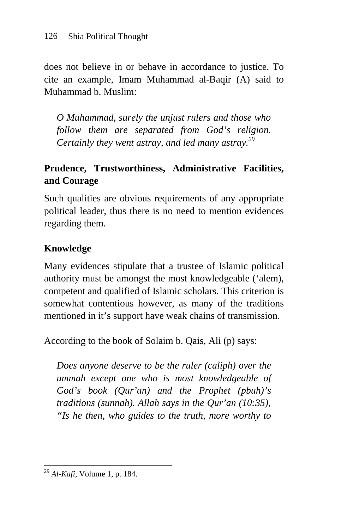does not believe in or behave in accordance to justice. To cite an example, Imam Muhammad al-Baqir (A) said to Muhammad b. Muslim:

*O Muhammad, surely the unjust rulers and those who follow them are separated from God's religion. Certainly they went astray, and led many astray.<sup>29</sup>*

# **Prudence, Trustworthiness, Administrative Facilities, and Courage**

Such qualities are obvious requirements of any appropriate political leader, thus there is no need to mention evidences regarding them.

## **Knowledge**

Many evidences stipulate that a trustee of Islamic political authority must be amongst the most knowledgeable ('alem), competent and qualified of Islamic scholars. This criterion is somewhat contentious however, as many of the traditions mentioned in it's support have weak chains of transmission.

According to the book of Solaim b. Qais, Ali (p) says:

*Does anyone deserve to be the ruler (caliph) over the ummah except one who is most knowledgeable of God's book (Qur'an) and the Prophet (pbuh)'s traditions (sunnah). Allah says in the Qur'an (10:35), "Is he then, who guides to the truth, more worthy to*

<sup>29</sup> *Al-Kafi*, Volume 1, p. 184.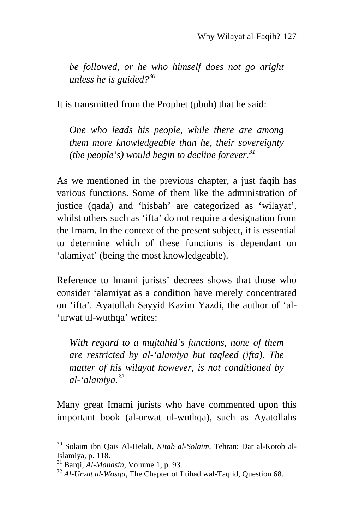*be followed, or he who himself does not go aright unless he is guided?<sup>30</sup>*

It is transmitted from the Prophet (pbuh) that he said:

*One who leads his people, while there are among them more knowledgeable than he, their sovereignty (the people's) would begin to decline forever.<sup>31</sup>*

As we mentioned in the previous chapter, a just faqih has various functions. Some of them like the administration of justice (qada) and 'hisbah' are categorized as 'wilayat', whilst others such as 'ifta' do not require a designation from the Imam. In the context of the present subject, it is essential to determine which of these functions is dependant on 'alamiyat' (being the most knowledgeable).

Reference to Imami jurists' decrees shows that those who consider 'alamiyat as a condition have merely concentrated on 'ifta'. Ayatollah Sayyid Kazim Yazdi, the author of 'al- 'urwat ul-wuthqa' writes:

*With regard to a mujtahid's functions, none of them are restricted by al-'alamiya but taqleed (ifta). The matter of his wilayat however, is not conditioned by al-'alamiya.<sup>32</sup>*

Many great Imami jurists who have commented upon this important book (al-urwat ul-wuthqa), such as Ayatollahs

<sup>30</sup> Solaim ibn Qais Al-Helali, *Kitab al-Solaim*, Tehran: Dar al-Kotob al-Islamiya, p. 118.

<sup>31</sup> Barqi, *Al-Mahasin*, Volume 1, p. 93.

<sup>32</sup> *Al-Urvat ul-Wosqa*, The Chapter of Ijtihad wal-Taqlid, Question 68.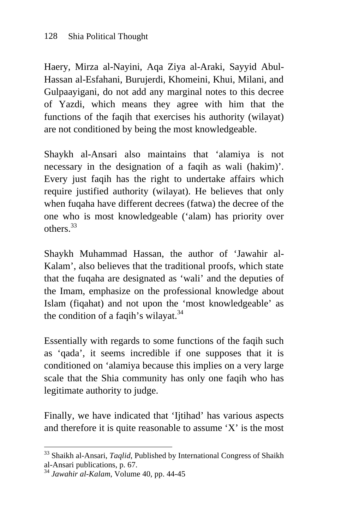Haery, Mirza al-Nayini, Aqa Ziya al-Araki, Sayyid Abul-Hassan al-Esfahani, Burujerdi, Khomeini, Khui, Milani, and Gulpaayigani, do not add any marginal notes to this decree of Yazdi, which means they agree with him that the functions of the faqih that exercises his authority (wilayat) are not conditioned by being the most knowledgeable.

Shaykh al-Ansari also maintains that 'alamiya is not necessary in the designation of a faqih as wali (hakim)'. Every just faqih has the right to undertake affairs which require justified authority (wilayat). He believes that only when fuqaha have different decrees (fatwa) the decree of the one who is most knowledgeable ('alam) has priority over others.<sup>33</sup>

Shaykh Muhammad Hassan, the author of 'Jawahir al-Kalam', also believes that the traditional proofs, which state that the fuqaha are designated as 'wali' and the deputies of the Imam, emphasize on the professional knowledge about Islam (fiqahat) and not upon the 'most knowledgeable' as the condition of a faqih's wilayat.<sup>34</sup>

Essentially with regards to some functions of the faqih such as 'qada', it seems incredible if one supposes that it is conditioned on 'alamiya because this implies on a very large scale that the Shia community has only one faqih who has legitimate authority to judge.

Finally, we have indicated that 'Ijtihad' has various aspects and therefore it is quite reasonable to assume 'X' is the most

<sup>33</sup> Shaikh al-Ansari, *Taqlid*, Published by International Congress of Shaikh al-Ansari publications, p. 67.

<sup>34</sup> *Jawahir al-Kalam*, Volume 40, pp. 44-45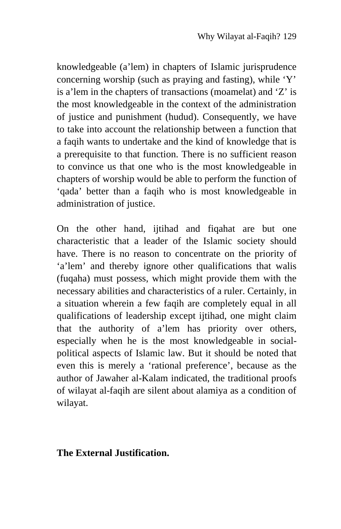knowledgeable (a'lem) in chapters of Islamic jurisprudence concerning worship (such as praying and fasting), while 'Y' is a'lem in the chapters of transactions (moamelat) and 'Z' is the most knowledgeable in the context of the administration of justice and punishment (hudud). Consequently, we have to take into account the relationship between a function that a faqih wants to undertake and the kind of knowledge that is a prerequisite to that function. There is no sufficient reason to convince us that one who is the most knowledgeable in chapters of worship would be able to perform the function of 'qada' better than a faqih who is most knowledgeable in administration of justice.

On the other hand, ijtihad and fiqahat are but one characteristic that a leader of the Islamic society should have. There is no reason to concentrate on the priority of 'a'lem' and thereby ignore other qualifications that walis (fuqaha) must possess, which might provide them with the necessary abilities and characteristics of a ruler. Certainly, in a situation wherein a few faqih are completely equal in all qualifications of leadership except ijtihad, one might claim that the authority of a'lem has priority over others, especially when he is the most knowledgeable in socialpolitical aspects of Islamic law. But it should be noted that even this is merely a 'rational preference', because as the author of Jawaher al-Kalam indicated, the traditional proofs of wilayat al-faqih are silent about alamiya as a condition of wilayat.

#### **The External Justification.**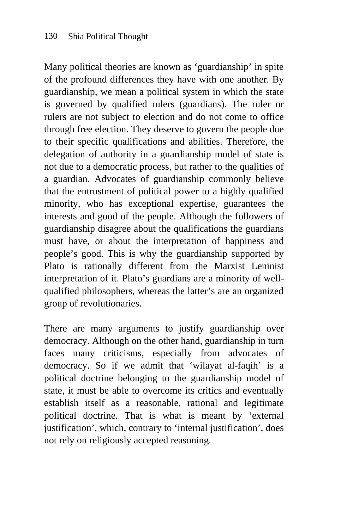Many political theories are known as 'guardianship' in spite of the profound differences they have with one another. By guardianship, we mean a political system in which the state is governed by qualified rulers (guardians). The ruler or rulers are not subject to election and do not come to office through free election. They deserve to govern the people due to their specific qualifications and abilities. Therefore, the delegation of authority in a guardianship model of state is not due to a democratic process, but rather to the qualities of a guardian. Advocates of guardianship commonly believe that the entrustment of political power to a highly qualified minority, who has exceptional expertise, guarantees the interests and good of the people. Although the followers of guardianship disagree about the qualifications the guardians must have, or about the interpretation of happiness and people's good. This is why the guardianship supported by Plato is rationally different from the Marxist Leninist interpretation of it. Plato's guardians are a minority of wellqualified philosophers, whereas the latter's are an organized group of revolutionaries.

There are many arguments to justify guardianship over democracy. Although on the other hand, guardianship in turn faces many criticisms, especially from advocates of democracy. So if we admit that 'wilayat al-faqih' is a political doctrine belonging to the guardianship model of state, it must be able to overcome its critics and eventually establish itself as a reasonable, rational and legitimate political doctrine. That is what is meant by 'external justification', which, contrary to 'internal justification', does not rely on religiously accepted reasoning.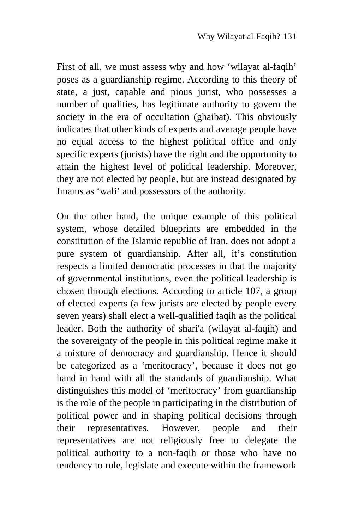First of all, we must assess why and how 'wilayat al-faqih' poses as a guardianship regime. According to this theory of state, a just, capable and pious jurist, who possesses a number of qualities, has legitimate authority to govern the society in the era of occultation (ghaibat). This obviously indicates that other kinds of experts and average people have no equal access to the highest political office and only specific experts (jurists) have the right and the opportunity to attain the highest level of political leadership. Moreover, they are not elected by people, but are instead designated by Imams as 'wali' and possessors of the authority.

On the other hand, the unique example of this political system, whose detailed blueprints are embedded in the constitution of the Islamic republic of Iran, does not adopt a pure system of guardianship. After all, it's constitution respects a limited democratic processes in that the majority of governmental institutions, even the political leadership is chosen through elections. According to article 107, a group of elected experts (a few jurists are elected by people every seven years) shall elect a well-qualified faqih as the political leader. Both the authority of shari'a (wilayat al-faqih) and the sovereignty of the people in this political regime make it a mixture of democracy and guardianship. Hence it should be categorized as a 'meritocracy', because it does not go hand in hand with all the standards of guardianship. What distinguishes this model of 'meritocracy' from guardianship is the role of the people in participating in the distribution of political power and in shaping political decisions through their representatives. However, people and their representatives are not religiously free to delegate the political authority to a non-faqih or those who have no tendency to rule, legislate and execute within the framework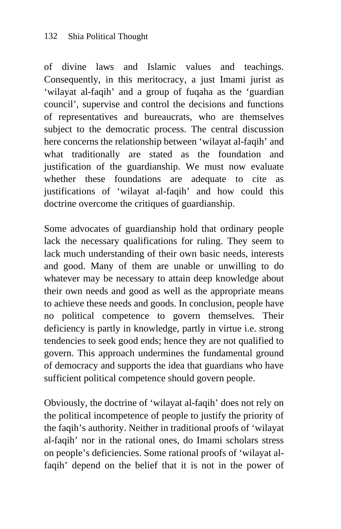of divine laws and Islamic values and teachings. Consequently, in this meritocracy, a just Imami jurist as 'wilayat al-faqih' and a group of fuqaha as the 'guardian council', supervise and control the decisions and functions of representatives and bureaucrats, who are themselves subject to the democratic process. The central discussion here concerns the relationship between 'wilayat al-faqih' and what traditionally are stated as the foundation and justification of the guardianship. We must now evaluate whether these foundations are adequate to cite as justifications of 'wilayat al-faqih' and how could this doctrine overcome the critiques of guardianship.

Some advocates of guardianship hold that ordinary people lack the necessary qualifications for ruling. They seem to lack much understanding of their own basic needs, interests and good. Many of them are unable or unwilling to do whatever may be necessary to attain deep knowledge about their own needs and good as well as the appropriate means to achieve these needs and goods. In conclusion, people have no political competence to govern themselves. Their deficiency is partly in knowledge, partly in virtue i.e. strong tendencies to seek good ends; hence they are not qualified to govern. This approach undermines the fundamental ground of democracy and supports the idea that guardians who have sufficient political competence should govern people.

Obviously, the doctrine of 'wilayat al-faqih' does not rely on the political incompetence of people to justify the priority of the faqih's authority. Neither in traditional proofs of 'wilayat al-faqih' nor in the rational ones, do Imami scholars stress on people's deficiencies. Some rational proofs of 'wilayat alfaqih' depend on the belief that it is not in the power of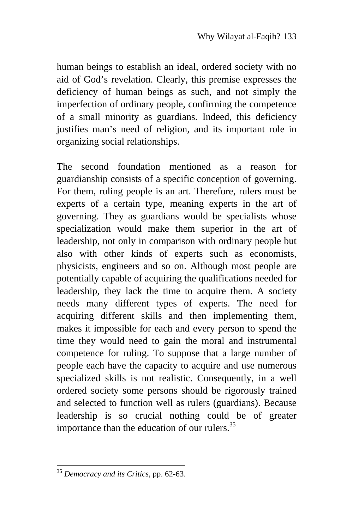human beings to establish an ideal, ordered society with no aid of God's revelation. Clearly, this premise expresses the deficiency of human beings as such, and not simply the imperfection of ordinary people, confirming the competence of a small minority as guardians. Indeed, this deficiency justifies man's need of religion, and its important role in organizing social relationships.

The second foundation mentioned as a reason for guardianship consists of a specific conception of governing. For them, ruling people is an art. Therefore, rulers must be experts of a certain type, meaning experts in the art of governing. They as guardians would be specialists whose specialization would make them superior in the art of leadership, not only in comparison with ordinary people but also with other kinds of experts such as economists, physicists, engineers and so on. Although most people are potentially capable of acquiring the qualifications needed for leadership, they lack the time to acquire them. A society needs many different types of experts. The need for acquiring different skills and then implementing them, makes it impossible for each and every person to spend the time they would need to gain the moral and instrumental competence for ruling. To suppose that a large number of people each have the capacity to acquire and use numerous specialized skills is not realistic. Consequently, in a well ordered society some persons should be rigorously trained and selected to function well as rulers (guardians). Because leadership is so crucial nothing could be of greater importance than the education of our rulers.<sup>35</sup>

l <sup>35</sup> *Democracy and its Critics*, pp. 62-63.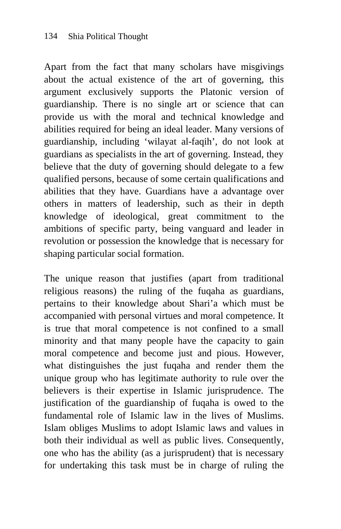Apart from the fact that many scholars have misgivings about the actual existence of the art of governing, this argument exclusively supports the Platonic version of guardianship. There is no single art or science that can provide us with the moral and technical knowledge and abilities required for being an ideal leader. Many versions of guardianship, including 'wilayat al-faqih', do not look at guardians as specialists in the art of governing. Instead, they believe that the duty of governing should delegate to a few qualified persons, because of some certain qualifications and abilities that they have. Guardians have a advantage over others in matters of leadership, such as their in depth knowledge of ideological, great commitment to the ambitions of specific party, being vanguard and leader in revolution or possession the knowledge that is necessary for shaping particular social formation.

The unique reason that justifies (apart from traditional religious reasons) the ruling of the fuqaha as guardians, pertains to their knowledge about Shari'a which must be accompanied with personal virtues and moral competence. It is true that moral competence is not confined to a small minority and that many people have the capacity to gain moral competence and become just and pious. However, what distinguishes the just fuqaha and render them the unique group who has legitimate authority to rule over the believers is their expertise in Islamic jurisprudence. The justification of the guardianship of fuqaha is owed to the fundamental role of Islamic law in the lives of Muslims. Islam obliges Muslims to adopt Islamic laws and values in both their individual as well as public lives. Consequently, one who has the ability (as a jurisprudent) that is necessary for undertaking this task must be in charge of ruling the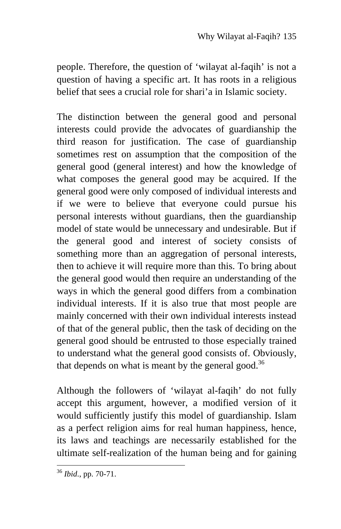people. Therefore, the question of 'wilayat al-faqih' is not a question of having a specific art. It has roots in a religious belief that sees a crucial role for shari'a in Islamic society.

The distinction between the general good and personal interests could provide the advocates of guardianship the third reason for justification. The case of guardianship sometimes rest on assumption that the composition of the general good (general interest) and how the knowledge of what composes the general good may be acquired. If the general good were only composed of individual interests and if we were to believe that everyone could pursue his personal interests without guardians, then the guardianship model of state would be unnecessary and undesirable. But if the general good and interest of society consists of something more than an aggregation of personal interests, then to achieve it will require more than this. To bring about the general good would then require an understanding of the ways in which the general good differs from a combination individual interests. If it is also true that most people are mainly concerned with their own individual interests instead of that of the general public, then the task of deciding on the general good should be entrusted to those especially trained to understand what the general good consists of. Obviously, that depends on what is meant by the general good.<sup>36</sup>

Although the followers of 'wilayat al-faqih' do not fully accept this argument, however, a modified version of it would sufficiently justify this model of guardianship. Islam as a perfect religion aims for real human happiness, hence, its laws and teachings are necessarily established for the ultimate self-realization of the human being and for gaining

<sup>36</sup> *Ibid*., pp. 70-71.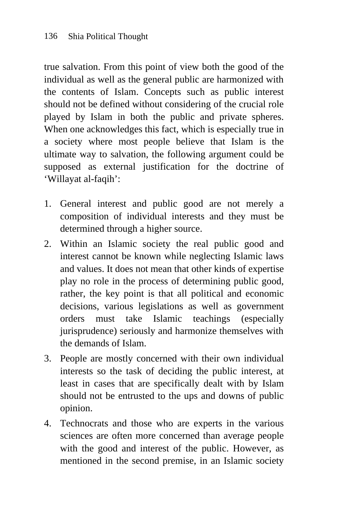true salvation. From this point of view both the good of the individual as well as the general public are harmonized with the contents of Islam. Concepts such as public interest should not be defined without considering of the crucial role played by Islam in both the public and private spheres. When one acknowledges this fact, which is especially true in a society where most people believe that Islam is the ultimate way to salvation, the following argument could be supposed as external justification for the doctrine of 'Willayat al-faqih':

- 1. General interest and public good are not merely a composition of individual interests and they must be determined through a higher source.
- 2. Within an Islamic society the real public good and interest cannot be known while neglecting Islamic laws and values. It does not mean that other kinds of expertise play no role in the process of determining public good, rather, the key point is that all political and economic decisions, various legislations as well as government orders must take Islamic teachings (especially jurisprudence) seriously and harmonize themselves with the demands of Islam.
- 3. People are mostly concerned with their own individual interests so the task of deciding the public interest, at least in cases that are specifically dealt with by Islam should not be entrusted to the ups and downs of public opinion.
- 4. Technocrats and those who are experts in the various sciences are often more concerned than average people with the good and interest of the public. However, as mentioned in the second premise, in an Islamic society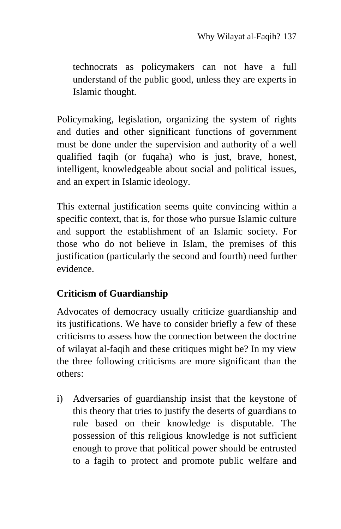technocrats as policymakers can not have a full understand of the public good, unless they are experts in Islamic thought.

Policymaking, legislation, organizing the system of rights and duties and other significant functions of government must be done under the supervision and authority of a well qualified faqih (or fuqaha) who is just, brave, honest, intelligent, knowledgeable about social and political issues, and an expert in Islamic ideology.

This external justification seems quite convincing within a specific context, that is, for those who pursue Islamic culture and support the establishment of an Islamic society. For those who do not believe in Islam, the premises of this justification (particularly the second and fourth) need further evidence.

## **Criticism of Guardianship**

Advocates of democracy usually criticize guardianship and its justifications. We have to consider briefly a few of these criticisms to assess how the connection between the doctrine of wilayat al-faqih and these critiques might be? In my view the three following criticisms are more significant than the others:

i) Adversaries of guardianship insist that the keystone of this theory that tries to justify the deserts of guardians to rule based on their knowledge is disputable. The possession of this religious knowledge is not sufficient enough to prove that political power should be entrusted to a fagih to protect and promote public welfare and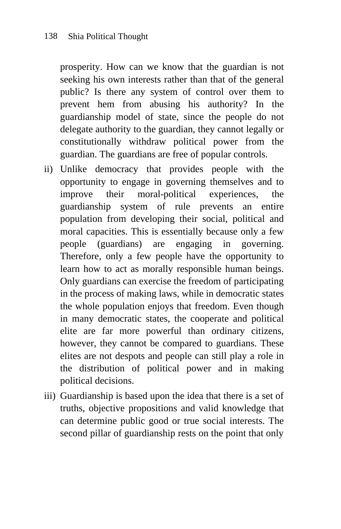prosperity. How can we know that the guardian is not seeking his own interests rather than that of the general public? Is there any system of control over them to prevent hem from abusing his authority? In the guardianship model of state, since the people do not delegate authority to the guardian, they cannot legally or constitutionally withdraw political power from the guardian. The guardians are free of popular controls.

- ii) Unlike democracy that provides people with the opportunity to engage in governing themselves and to improve their moral-political experiences, the guardianship system of rule prevents an entire population from developing their social, political and moral capacities. This is essentially because only a few people (guardians) are engaging in governing. Therefore, only a few people have the opportunity to learn how to act as morally responsible human beings. Only guardians can exercise the freedom of participating in the process of making laws, while in democratic states the whole population enjoys that freedom. Even though in many democratic states, the cooperate and political elite are far more powerful than ordinary citizens, however, they cannot be compared to guardians. These elites are not despots and people can still play a role in the distribution of political power and in making political decisions.
- iii) Guardianship is based upon the idea that there is a set of truths, objective propositions and valid knowledge that can determine public good or true social interests. The second pillar of guardianship rests on the point that only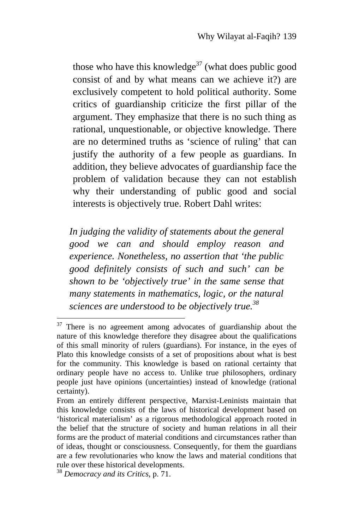those who have this knowledge<sup>37</sup> (what does public good consist of and by what means can we achieve it?) are exclusively competent to hold political authority. Some critics of guardianship criticize the first pillar of the argument. They emphasize that there is no such thing as rational, unquestionable, or objective knowledge. There are no determined truths as 'science of ruling' that can justify the authority of a few people as guardians. In addition, they believe advocates of guardianship face the problem of validation because they can not establish why their understanding of public good and social interests is objectively true. Robert Dahl writes:

*In judging the validity of statements about the general good we can and should employ reason and experience. Nonetheless, no assertion that 'the public good definitely consists of such and such' can be shown to be 'objectively true' in the same sense that many statements in mathematics, logic, or the natural sciences are understood to be objectively true.<sup>38</sup>*

<sup>38</sup> *Democracy and its Critics*, p. 71.

<sup>&</sup>lt;sup>37</sup> There is no agreement among advocates of guardianship about the nature of this knowledge therefore they disagree about the qualifications of this small minority of rulers (guardians). For instance, in the eyes of Plato this knowledge consists of a set of propositions about what is best for the community. This knowledge is based on rational certainty that ordinary people have no access to. Unlike true philosophers, ordinary people just have opinions (uncertainties) instead of knowledge (rational certainty).

From an entirely different perspective, Marxist-Leninists maintain that this knowledge consists of the laws of historical development based on 'historical materialism' as a rigorous methodological approach rooted in the belief that the structure of society and human relations in all their forms are the product of material conditions and circumstances rather than of ideas, thought or consciousness. Consequently, for them the guardians are a few revolutionaries who know the laws and material conditions that rule over these historical developments.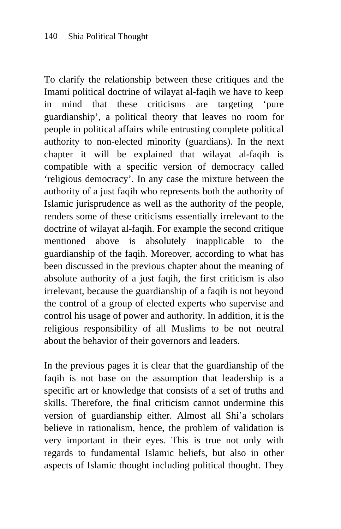To clarify the relationship between these critiques and the Imami political doctrine of wilayat al-faqih we have to keep in mind that these criticisms are targeting 'pure guardianship', a political theory that leaves no room for people in political affairs while entrusting complete political authority to non-elected minority (guardians). In the next chapter it will be explained that wilayat al-faqih is compatible with a specific version of democracy called 'religious democracy'. In any case the mixture between the authority of a just faqih who represents both the authority of Islamic jurisprudence as well as the authority of the people, renders some of these criticisms essentially irrelevant to the doctrine of wilayat al-faqih. For example the second critique mentioned above is absolutely inapplicable to the guardianship of the faqih. Moreover, according to what has been discussed in the previous chapter about the meaning of absolute authority of a just faqih, the first criticism is also irrelevant, because the guardianship of a faqih is not beyond the control of a group of elected experts who supervise and control his usage of power and authority. In addition, it is the religious responsibility of all Muslims to be not neutral about the behavior of their governors and leaders.

In the previous pages it is clear that the guardianship of the faqih is not base on the assumption that leadership is a specific art or knowledge that consists of a set of truths and skills. Therefore, the final criticism cannot undermine this version of guardianship either. Almost all Shi'a scholars believe in rationalism, hence, the problem of validation is very important in their eyes. This is true not only with regards to fundamental Islamic beliefs, but also in other aspects of Islamic thought including political thought. They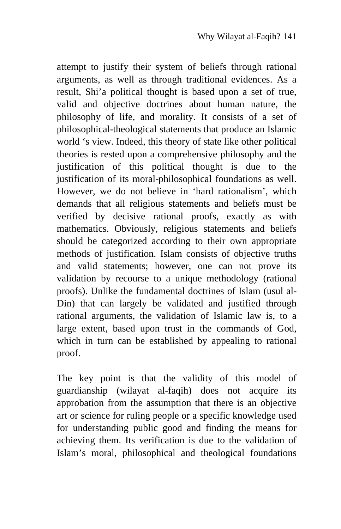attempt to justify their system of beliefs through rational arguments, as well as through traditional evidences. As a result, Shi'a political thought is based upon a set of true, valid and objective doctrines about human nature, the philosophy of life, and morality. It consists of a set of philosophical-theological statements that produce an Islamic world 's view. Indeed, this theory of state like other political theories is rested upon a comprehensive philosophy and the justification of this political thought is due to the justification of its moral-philosophical foundations as well. However, we do not believe in 'hard rationalism', which demands that all religious statements and beliefs must be verified by decisive rational proofs, exactly as with mathematics. Obviously, religious statements and beliefs should be categorized according to their own appropriate methods of justification. Islam consists of objective truths and valid statements; however, one can not prove its validation by recourse to a unique methodology (rational proofs). Unlike the fundamental doctrines of Islam (usul al-Din) that can largely be validated and justified through rational arguments, the validation of Islamic law is, to a large extent, based upon trust in the commands of God, which in turn can be established by appealing to rational proof.

The key point is that the validity of this model of guardianship (wilayat al-faqih) does not acquire its approbation from the assumption that there is an objective art or science for ruling people or a specific knowledge used for understanding public good and finding the means for achieving them. Its verification is due to the validation of Islam's moral, philosophical and theological foundations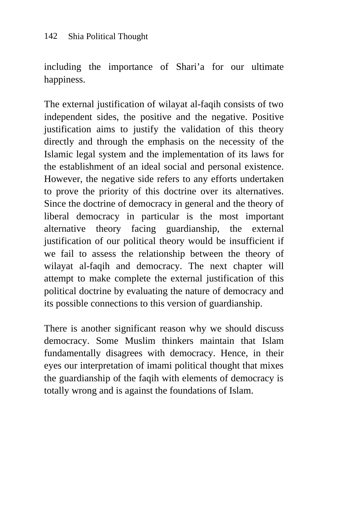including the importance of Shari'a for our ultimate happiness.

The external justification of wilayat al-faqih consists of two independent sides, the positive and the negative. Positive justification aims to justify the validation of this theory directly and through the emphasis on the necessity of the Islamic legal system and the implementation of its laws for the establishment of an ideal social and personal existence. However, the negative side refers to any efforts undertaken to prove the priority of this doctrine over its alternatives. Since the doctrine of democracy in general and the theory of liberal democracy in particular is the most important alternative theory facing guardianship, the external justification of our political theory would be insufficient if we fail to assess the relationship between the theory of wilayat al-faqih and democracy. The next chapter will attempt to make complete the external justification of this political doctrine by evaluating the nature of democracy and its possible connections to this version of guardianship.

There is another significant reason why we should discuss democracy. Some Muslim thinkers maintain that Islam fundamentally disagrees with democracy. Hence, in their eyes our interpretation of imami political thought that mixes the guardianship of the faqih with elements of democracy is totally wrong and is against the foundations of Islam.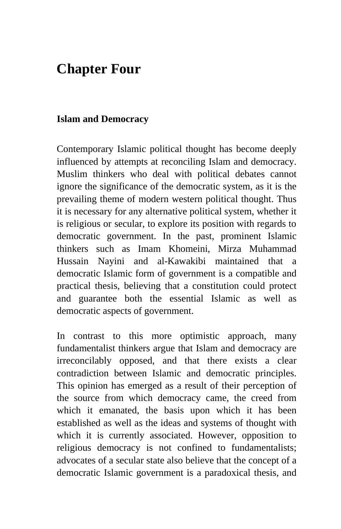# **Chapter Four**

#### **Islam and Democracy**

Contemporary Islamic political thought has become deeply influenced by attempts at reconciling Islam and democracy. Muslim thinkers who deal with political debates cannot ignore the significance of the democratic system, as it is the prevailing theme of modern western political thought. Thus it is necessary for any alternative political system, whether it is religious or secular, to explore its position with regards to democratic government. In the past, prominent Islamic thinkers such as Imam Khomeini, Mirza Muhammad Hussain Nayini and al-Kawakibi maintained that a democratic Islamic form of government is a compatible and practical thesis, believing that a constitution could protect and guarantee both the essential Islamic as well as democratic aspects of government.

In contrast to this more optimistic approach, many fundamentalist thinkers argue that Islam and democracy are irreconcilably opposed, and that there exists a clear contradiction between Islamic and democratic principles. This opinion has emerged as a result of their perception of the source from which democracy came, the creed from which it emanated, the basis upon which it has been established as well as the ideas and systems of thought with which it is currently associated. However, opposition to religious democracy is not confined to fundamentalists; advocates of a secular state also believe that the concept of a democratic Islamic government is a paradoxical thesis, and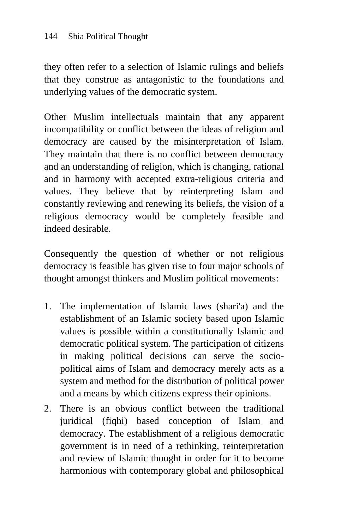they often refer to a selection of Islamic rulings and beliefs that they construe as antagonistic to the foundations and underlying values of the democratic system.

Other Muslim intellectuals maintain that any apparent incompatibility or conflict between the ideas of religion and democracy are caused by the misinterpretation of Islam. They maintain that there is no conflict between democracy and an understanding of religion, which is changing, rational and in harmony with accepted extra-religious criteria and values. They believe that by reinterpreting Islam and constantly reviewing and renewing its beliefs, the vision of a religious democracy would be completely feasible and indeed desirable.

Consequently the question of whether or not religious democracy is feasible has given rise to four major schools of thought amongst thinkers and Muslim political movements:

- 1. The implementation of Islamic laws (shari'a) and the establishment of an Islamic society based upon Islamic values is possible within a constitutionally Islamic and democratic political system. The participation of citizens in making political decisions can serve the sociopolitical aims of Islam and democracy merely acts as a system and method for the distribution of political power and a means by which citizens express their opinions.
- 2. There is an obvious conflict between the traditional juridical (fiqhi) based conception of Islam and democracy. The establishment of a religious democratic government is in need of a rethinking, reinterpretation and review of Islamic thought in order for it to become harmonious with contemporary global and philosophical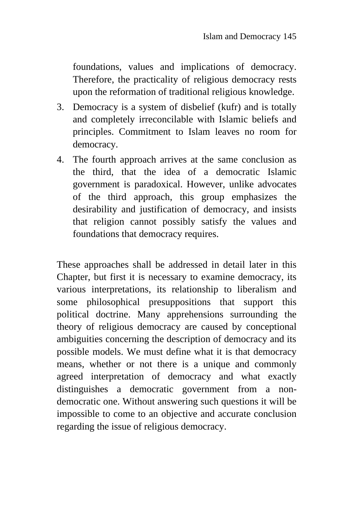foundations, values and implications of democracy. Therefore, the practicality of religious democracy rests upon the reformation of traditional religious knowledge.

- 3. Democracy is a system of disbelief (kufr) and is totally and completely irreconcilable with Islamic beliefs and principles. Commitment to Islam leaves no room for democracy.
- 4. The fourth approach arrives at the same conclusion as the third, that the idea of a democratic Islamic government is paradoxical. However, unlike advocates of the third approach, this group emphasizes the desirability and justification of democracy, and insists that religion cannot possibly satisfy the values and foundations that democracy requires.

These approaches shall be addressed in detail later in this Chapter, but first it is necessary to examine democracy, its various interpretations, its relationship to liberalism and some philosophical presuppositions that support this political doctrine. Many apprehensions surrounding the theory of religious democracy are caused by conceptional ambiguities concerning the description of democracy and its possible models. We must define what it is that democracy means, whether or not there is a unique and commonly agreed interpretation of democracy and what exactly distinguishes a democratic government from a nondemocratic one. Without answering such questions it will be impossible to come to an objective and accurate conclusion regarding the issue of religious democracy.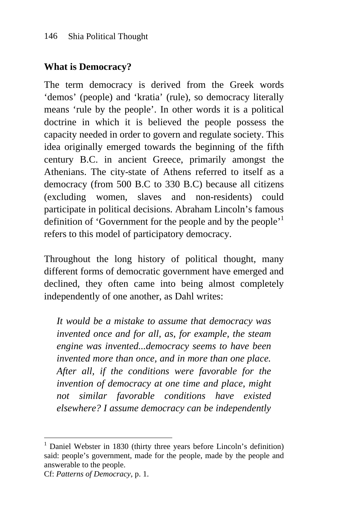## **What is Democracy?**

The term democracy is derived from the Greek words 'demos' (people) and 'kratia' (rule), so democracy literally means 'rule by the people'. In other words it is a political doctrine in which it is believed the people possess the capacity needed in order to govern and regulate society. This idea originally emerged towards the beginning of the fifth century B.C. in ancient Greece, primarily amongst the Athenians. The city-state of Athens referred to itself as a democracy (from 500 B.C to 330 B.C) because all citizens (excluding women, slaves and non-residents) could participate in political decisions. Abraham Lincoln's famous definition of 'Government for the people and by the people'<sup>1</sup> refers to this model of participatory democracy.

Throughout the long history of political thought, many different forms of democratic government have emerged and declined, they often came into being almost completely independently of one another, as Dahl writes:

*It would be a mistake to assume that democracy was invented once and for all, as, for example, the steam engine was invented...democracy seems to have been invented more than once, and in more than one place. After all, if the conditions were favorable for the invention of democracy at one time and place, might not similar favorable conditions have existed elsewhere? I assume democracy can be independently* 

<sup>&</sup>lt;sup>1</sup> Daniel Webster in 1830 (thirty three years before Lincoln's definition) said: people's government, made for the people, made by the people and answerable to the people.

Cf: *Patterns of Democracy*, p. 1.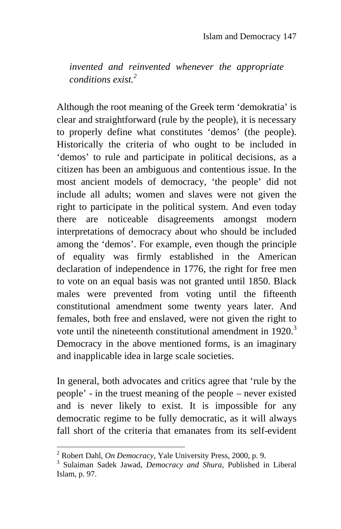*invented and reinvented whenever the appropriate conditions exist.<sup>2</sup>*

Although the root meaning of the Greek term 'demokratia' is clear and straightforward (rule by the people), it is necessary to properly define what constitutes 'demos' (the people). Historically the criteria of who ought to be included in 'demos' to rule and participate in political decisions, as a citizen has been an ambiguous and contentious issue. In the most ancient models of democracy, 'the people' did not include all adults; women and slaves were not given the right to participate in the political system. And even today there are noticeable disagreements amongst modern interpretations of democracy about who should be included among the 'demos'. For example, even though the principle of equality was firmly established in the American declaration of independence in 1776, the right for free men to vote on an equal basis was not granted until 1850. Black males were prevented from voting until the fifteenth constitutional amendment some twenty years later. And females, both free and enslaved, were not given the right to vote until the nineteenth constitutional amendment in 1920.<sup>3</sup> Democracy in the above mentioned forms, is an imaginary and inapplicable idea in large scale societies.

In general, both advocates and critics agree that 'rule by the people' - in the truest meaning of the people – never existed and is never likely to exist. It is impossible for any democratic regime to be fully democratic, as it will always fall short of the criteria that emanates from its self-evident

 2 Robert Dahl, *On Democracy*, Yale University Press, 2000, p. 9.

<sup>3</sup> Sulaiman Sadek Jawad, *Democracy and Shura*, Published in Liberal Islam, p. 97.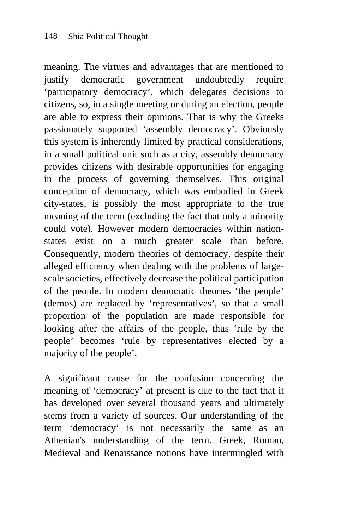meaning. The virtues and advantages that are mentioned to justify democratic government undoubtedly require 'participatory democracy', which delegates decisions to citizens, so, in a single meeting or during an election, people are able to express their opinions. That is why the Greeks passionately supported 'assembly democracy'. Obviously this system is inherently limited by practical considerations, in a small political unit such as a city, assembly democracy provides citizens with desirable opportunities for engaging in the process of governing themselves. This original conception of democracy, which was embodied in Greek city-states, is possibly the most appropriate to the true meaning of the term (excluding the fact that only a minority could vote). However modern democracies within nationstates exist on a much greater scale than before. Consequently, modern theories of democracy, despite their alleged efficiency when dealing with the problems of largescale societies, effectively decrease the political participation of the people. In modern democratic theories 'the people' (demos) are replaced by 'representatives', so that a small proportion of the population are made responsible for looking after the affairs of the people, thus 'rule by the people' becomes 'rule by representatives elected by a majority of the people'.

A significant cause for the confusion concerning the meaning of 'democracy' at present is due to the fact that it has developed over several thousand years and ultimately stems from a variety of sources. Our understanding of the term 'democracy' is not necessarily the same as an Athenian's understanding of the term. Greek, Roman, Medieval and Renaissance notions have intermingled with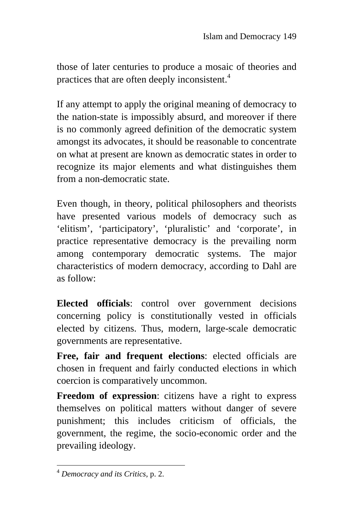those of later centuries to produce a mosaic of theories and practices that are often deeply inconsistent.<sup>4</sup>

If any attempt to apply the original meaning of democracy to the nation-state is impossibly absurd, and moreover if there is no commonly agreed definition of the democratic system amongst its advocates, it should be reasonable to concentrate on what at present are known as democratic states in order to recognize its major elements and what distinguishes them from a non-democratic state.

Even though, in theory, political philosophers and theorists have presented various models of democracy such as 'elitism', 'participatory', 'pluralistic' and 'corporate', in practice representative democracy is the prevailing norm among contemporary democratic systems. The major characteristics of modern democracy, according to Dahl are as follow:

**Elected officials**: control over government decisions concerning policy is constitutionally vested in officials elected by citizens. Thus, modern, large-scale democratic governments are representative.

**Free, fair and frequent elections**: elected officials are chosen in frequent and fairly conducted elections in which coercion is comparatively uncommon.

**Freedom of expression**: citizens have a right to express themselves on political matters without danger of severe punishment; this includes criticism of officials, the government, the regime, the socio-economic order and the prevailing ideology.

<sup>4</sup> *Democracy and its Critics*, p. 2.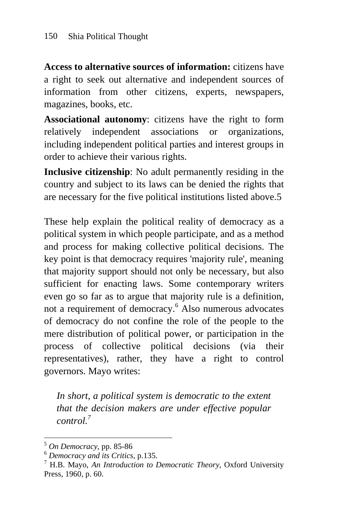**Access to alternative sources of information:** citizens have a right to seek out alternative and independent sources of information from other citizens, experts, newspapers, magazines, books, etc.

**Associational autonomy**: citizens have the right to form relatively independent associations or organizations, including independent political parties and interest groups in order to achieve their various rights.

**Inclusive citizenship**: No adult permanently residing in the country and subject to its laws can be denied the rights that are necessary for the five political institutions listed above.5

These help explain the political reality of democracy as a political system in which people participate, and as a method and process for making collective political decisions. The key point is that democracy requires 'majority rule', meaning that majority support should not only be necessary, but also sufficient for enacting laws. Some contemporary writers even go so far as to argue that majority rule is a definition, not a requirement of democracy.<sup>6</sup> Also numerous advocates of democracy do not confine the role of the people to the mere distribution of political power, or participation in the process of collective political decisions (via their representatives), rather, they have a right to control governors. Mayo writes:

*In short, a political system is democratic to the extent that the decision makers are under effective popular control.<sup>7</sup>*

<sup>5</sup> *On Democracy*, pp. 85-86

<sup>6</sup> *Democracy and its Critics*, p.135.

<sup>7</sup> H.B. Mayo, *An Introduction to Democratic Theory*, Oxford University Press, 1960, p. 60.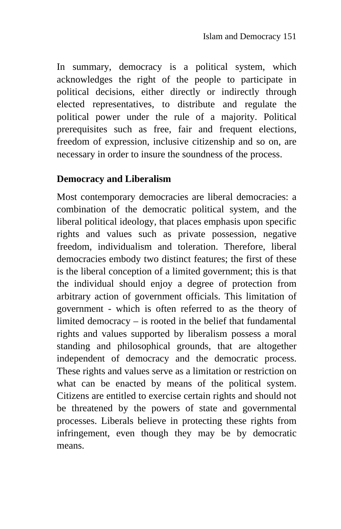In summary, democracy is a political system, which acknowledges the right of the people to participate in political decisions, either directly or indirectly through elected representatives, to distribute and regulate the political power under the rule of a majority. Political prerequisites such as free, fair and frequent elections, freedom of expression, inclusive citizenship and so on, are necessary in order to insure the soundness of the process.

### **Democracy and Liberalism**

Most contemporary democracies are liberal democracies: a combination of the democratic political system, and the liberal political ideology, that places emphasis upon specific rights and values such as private possession, negative freedom, individualism and toleration. Therefore, liberal democracies embody two distinct features; the first of these is the liberal conception of a limited government; this is that the individual should enjoy a degree of protection from arbitrary action of government officials. This limitation of government - which is often referred to as the theory of limited democracy – is rooted in the belief that fundamental rights and values supported by liberalism possess a moral standing and philosophical grounds, that are altogether independent of democracy and the democratic process. These rights and values serve as a limitation or restriction on what can be enacted by means of the political system. Citizens are entitled to exercise certain rights and should not be threatened by the powers of state and governmental processes. Liberals believe in protecting these rights from infringement, even though they may be by democratic means.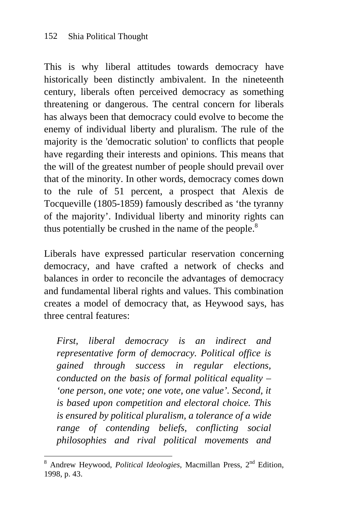This is why liberal attitudes towards democracy have historically been distinctly ambivalent. In the nineteenth century, liberals often perceived democracy as something threatening or dangerous. The central concern for liberals has always been that democracy could evolve to become the enemy of individual liberty and pluralism. The rule of the majority is the 'democratic solution' to conflicts that people have regarding their interests and opinions. This means that the will of the greatest number of people should prevail over that of the minority. In other words, democracy comes down to the rule of 51 percent, a prospect that Alexis de Tocqueville (1805-1859) famously described as 'the tyranny of the majority'. Individual liberty and minority rights can thus potentially be crushed in the name of the people. $8$ 

Liberals have expressed particular reservation concerning democracy, and have crafted a network of checks and balances in order to reconcile the advantages of democracy and fundamental liberal rights and values. This combination creates a model of democracy that, as Heywood says, has three central features:

*First, liberal democracy is an indirect and representative form of democracy. Political office is gained through success in regular elections, conducted on the basis of formal political equality – 'one person, one vote; one vote, one value'. Second, it is based upon competition and electoral choice. This is ensured by political pluralism, a tolerance of a wide range of contending beliefs, conflicting social philosophies and rival political movements and*

<sup>8</sup> Andrew Heywood, *Political Ideologies*, Macmillan Press, 2<sup>nd</sup> Edition, 1998, p. 43.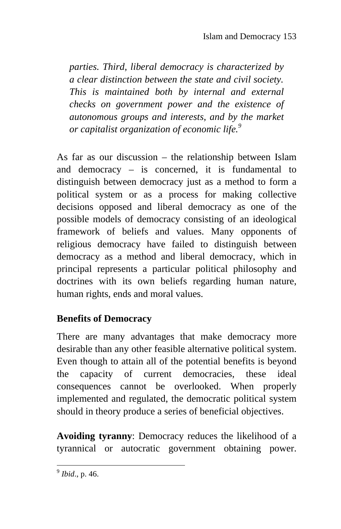*parties. Third, liberal democracy is characterized by a clear distinction between the state and civil society. This is maintained both by internal and external checks on government power and the existence of autonomous groups and interests, and by the market or capitalist organization of economic life.<sup>9</sup>*

As far as our discussion – the relationship between Islam and democracy – is concerned, it is fundamental to distinguish between democracy just as a method to form a political system or as a process for making collective decisions opposed and liberal democracy as one of the possible models of democracy consisting of an ideological framework of beliefs and values. Many opponents of religious democracy have failed to distinguish between democracy as a method and liberal democracy, which in principal represents a particular political philosophy and doctrines with its own beliefs regarding human nature, human rights, ends and moral values.

### **Benefits of Democracy**

There are many advantages that make democracy more desirable than any other feasible alternative political system. Even though to attain all of the potential benefits is beyond the capacity of current democracies, these ideal consequences cannot be overlooked. When properly implemented and regulated, the democratic political system should in theory produce a series of beneficial objectives.

**Avoiding tyranny**: Democracy reduces the likelihood of a tyrannical or autocratic government obtaining power.

<sup>9</sup> *Ibid*., p. 46.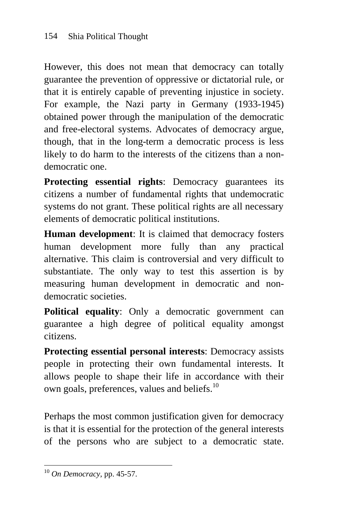However, this does not mean that democracy can totally guarantee the prevention of oppressive or dictatorial rule, or that it is entirely capable of preventing injustice in society. For example, the Nazi party in Germany (1933-1945) obtained power through the manipulation of the democratic and free-electoral systems. Advocates of democracy argue, though, that in the long-term a democratic process is less likely to do harm to the interests of the citizens than a nondemocratic one.

**Protecting essential rights**: Democracy guarantees its citizens a number of fundamental rights that undemocratic systems do not grant. These political rights are all necessary elements of democratic political institutions.

**Human development**: It is claimed that democracy fosters human development more fully than any practical alternative. This claim is controversial and very difficult to substantiate. The only way to test this assertion is by measuring human development in democratic and nondemocratic societies.

Political equality: Only a democratic government can guarantee a high degree of political equality amongst citizens.

**Protecting essential personal interests**: Democracy assists people in protecting their own fundamental interests. It allows people to shape their life in accordance with their own goals, preferences, values and beliefs.<sup>10</sup>

Perhaps the most common justification given for democracy is that it is essential for the protection of the general interests of the persons who are subject to a democratic state.

<sup>10</sup> *On Democracy*, pp. 45-57.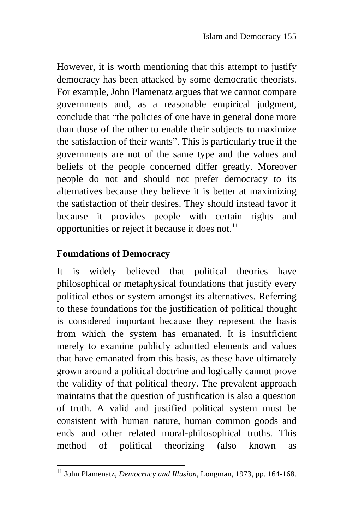However, it is worth mentioning that this attempt to justify democracy has been attacked by some democratic theorists. For example, John Plamenatz argues that we cannot compare governments and, as a reasonable empirical judgment, conclude that "the policies of one have in general done more than those of the other to enable their subjects to maximize the satisfaction of their wants". This is particularly true if the governments are not of the same type and the values and beliefs of the people concerned differ greatly. Moreover people do not and should not prefer democracy to its alternatives because they believe it is better at maximizing the satisfaction of their desires. They should instead favor it because it provides people with certain rights and opportunities or reject it because it does not. $^{11}$ 

## **Foundations of Democracy**

l

It is widely believed that political theories have philosophical or metaphysical foundations that justify every political ethos or system amongst its alternatives. Referring to these foundations for the justification of political thought is considered important because they represent the basis from which the system has emanated. It is insufficient merely to examine publicly admitted elements and values that have emanated from this basis, as these have ultimately grown around a political doctrine and logically cannot prove the validity of that political theory. The prevalent approach maintains that the question of justification is also a question of truth. A valid and justified political system must be consistent with human nature, human common goods and ends and other related moral-philosophical truths. This method of political theorizing (also known as

<sup>11</sup> John Plamenatz, *Democracy and Illusion*, Longman, 1973, pp. 164-168.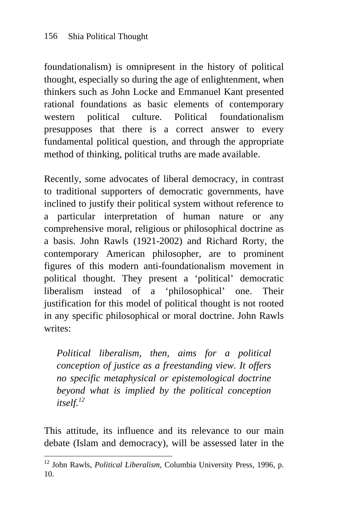foundationalism) is omnipresent in the history of political thought, especially so during the age of enlightenment, when thinkers such as John Locke and Emmanuel Kant presented rational foundations as basic elements of contemporary western political culture. Political foundationalism presupposes that there is a correct answer to every fundamental political question, and through the appropriate method of thinking, political truths are made available.

Recently, some advocates of liberal democracy, in contrast to traditional supporters of democratic governments, have inclined to justify their political system without reference to a particular interpretation of human nature or any comprehensive moral, religious or philosophical doctrine as a basis. John Rawls (1921-2002) and Richard Rorty, the contemporary American philosopher, are to prominent figures of this modern anti-foundationalism movement in political thought. They present a 'political' democratic liberalism instead of a 'philosophical' one. Their justification for this model of political thought is not rooted in any specific philosophical or moral doctrine. John Rawls writes:

*Political liberalism, then, aims for a political conception of justice as a freestanding view. It offers no specific metaphysical or epistemological doctrine beyond what is implied by the political conception itself.<sup>12</sup>*

This attitude, its influence and its relevance to our main debate (Islam and democracy), will be assessed later in the

<sup>12</sup> John Rawls, *Political Liberalism*, Columbia University Press, 1996, p. 10.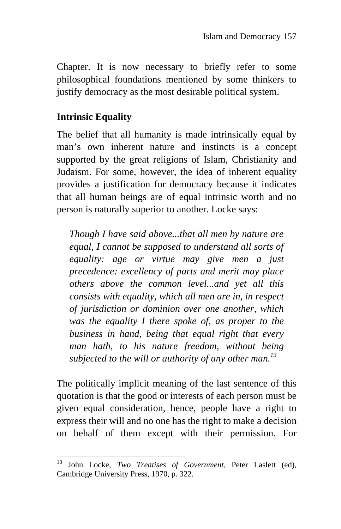Chapter. It is now necessary to briefly refer to some philosophical foundations mentioned by some thinkers to justify democracy as the most desirable political system.

## **Intrinsic Equality**

l

The belief that all humanity is made intrinsically equal by man's own inherent nature and instincts is a concept supported by the great religions of Islam, Christianity and Judaism. For some, however, the idea of inherent equality provides a justification for democracy because it indicates that all human beings are of equal intrinsic worth and no person is naturally superior to another. Locke says:

*Though I have said above...that all men by nature are equal, I cannot be supposed to understand all sorts of equality: age or virtue may give men a just precedence: excellency of parts and merit may place others above the common level...and yet all this consists with equality, which all men are in, in respect of jurisdiction or dominion over one another, which was the equality I there spoke of, as proper to the business in hand, being that equal right that every man hath, to his nature freedom, without being subjected to the will or authority of any other man.<sup>13</sup>*

The politically implicit meaning of the last sentence of this quotation is that the good or interests of each person must be given equal consideration, hence, people have a right to express their will and no one has the right to make a decision on behalf of them except with their permission. For

<sup>13</sup> John Locke, *Two Treatises of Government*, Peter Laslett (ed), Cambridge University Press, 1970, p. 322.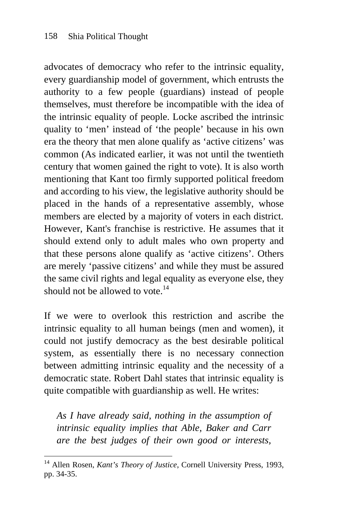advocates of democracy who refer to the intrinsic equality, every guardianship model of government, which entrusts the authority to a few people (guardians) instead of people themselves, must therefore be incompatible with the idea of the intrinsic equality of people. Locke ascribed the intrinsic quality to 'men' instead of 'the people' because in his own era the theory that men alone qualify as 'active citizens' was common (As indicated earlier, it was not until the twentieth century that women gained the right to vote). It is also worth mentioning that Kant too firmly supported political freedom and according to his view, the legislative authority should be placed in the hands of a representative assembly, whose members are elected by a majority of voters in each district. However, Kant's franchise is restrictive. He assumes that it should extend only to adult males who own property and that these persons alone qualify as 'active citizens'. Others are merely 'passive citizens' and while they must be assured the same civil rights and legal equality as everyone else, they should not be allowed to vote. $^{14}$ 

If we were to overlook this restriction and ascribe the intrinsic equality to all human beings (men and women), it could not justify democracy as the best desirable political system, as essentially there is no necessary connection between admitting intrinsic equality and the necessity of a democratic state. Robert Dahl states that intrinsic equality is quite compatible with guardianship as well. He writes:

*As I have already said, nothing in the assumption of intrinsic equality implies that Able, Baker and Carr are the best judges of their own good or interests,*

<sup>14</sup> Allen Rosen, *Kant's Theory of Justice*, Cornell University Press, 1993, pp. 34-35.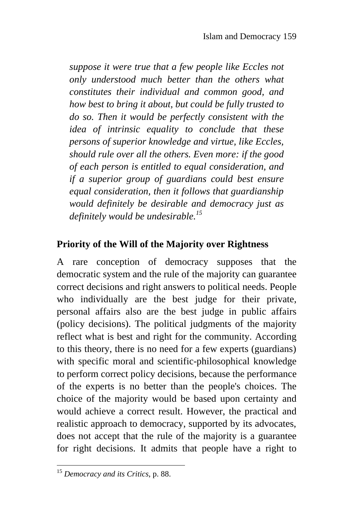*suppose it were true that a few people like Eccles not only understood much better than the others what constitutes their individual and common good, and how best to bring it about, but could be fully trusted to do so. Then it would be perfectly consistent with the idea of intrinsic equality to conclude that these persons of superior knowledge and virtue, like Eccles, should rule over all the others. Even more: if the good of each person is entitled to equal consideration, and if a superior group of guardians could best ensure equal consideration, then it follows that guardianship would definitely be desirable and democracy just as definitely would be undesirable.<sup>15</sup>*

## **Priority of the Will of the Majority over Rightness**

A rare conception of democracy supposes that the democratic system and the rule of the majority can guarantee correct decisions and right answers to political needs. People who individually are the best judge for their private, personal affairs also are the best judge in public affairs (policy decisions). The political judgments of the majority reflect what is best and right for the community. According to this theory, there is no need for a few experts (guardians) with specific moral and scientific-philosophical knowledge to perform correct policy decisions, because the performance of the experts is no better than the people's choices. The choice of the majority would be based upon certainty and would achieve a correct result. However, the practical and realistic approach to democracy, supported by its advocates, does not accept that the rule of the majority is a guarantee for right decisions. It admits that people have a right to

<sup>15</sup> *Democracy and its Critics*, p. 88.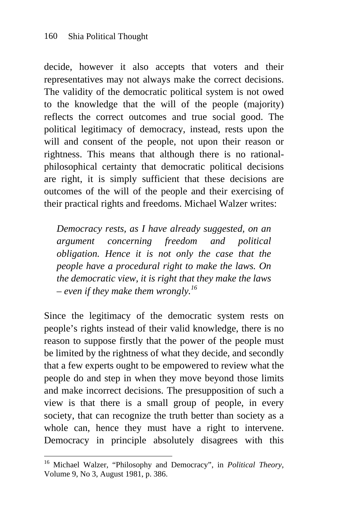decide, however it also accepts that voters and their representatives may not always make the correct decisions. The validity of the democratic political system is not owed to the knowledge that the will of the people (majority) reflects the correct outcomes and true social good. The political legitimacy of democracy, instead, rests upon the will and consent of the people, not upon their reason or rightness. This means that although there is no rationalphilosophical certainty that democratic political decisions are right, it is simply sufficient that these decisions are outcomes of the will of the people and their exercising of their practical rights and freedoms. Michael Walzer writes:

*Democracy rests, as I have already suggested, on an argument concerning freedom and political obligation. Hence it is not only the case that the people have a procedural right to make the laws. On the democratic view, it is right that they make the laws – even if they make them wrongly.<sup>16</sup>* 

Since the legitimacy of the democratic system rests on people's rights instead of their valid knowledge, there is no reason to suppose firstly that the power of the people must be limited by the rightness of what they decide, and secondly that a few experts ought to be empowered to review what the people do and step in when they move beyond those limits and make incorrect decisions. The presupposition of such a view is that there is a small group of people, in every society, that can recognize the truth better than society as a whole can, hence they must have a right to intervene. Democracy in principle absolutely disagrees with this

<sup>16</sup> Michael Walzer, "Philosophy and Democracy", in *Political Theory*, Volume 9, No 3, August 1981, p. 386.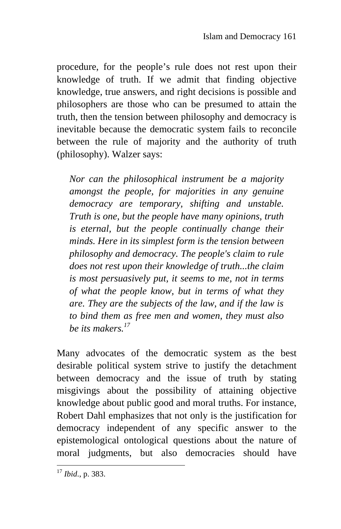procedure, for the people's rule does not rest upon their knowledge of truth. If we admit that finding objective knowledge, true answers, and right decisions is possible and philosophers are those who can be presumed to attain the truth, then the tension between philosophy and democracy is inevitable because the democratic system fails to reconcile between the rule of majority and the authority of truth (philosophy). Walzer says:

*Nor can the philosophical instrument be a majority amongst the people, for majorities in any genuine democracy are temporary, shifting and unstable. Truth is one, but the people have many opinions, truth is eternal, but the people continually change their minds. Here in its simplest form is the tension between philosophy and democracy. The people's claim to rule does not rest upon their knowledge of truth...the claim is most persuasively put, it seems to me, not in terms of what the people know, but in terms of what they are. They are the subjects of the law, and if the law is to bind them as free men and women, they must also be its makers.<sup>17</sup>*

Many advocates of the democratic system as the best desirable political system strive to justify the detachment between democracy and the issue of truth by stating misgivings about the possibility of attaining objective knowledge about public good and moral truths. For instance, Robert Dahl emphasizes that not only is the justification for democracy independent of any specific answer to the epistemological ontological questions about the nature of moral judgments, but also democracies should have

<sup>17</sup> *Ibid*., p. 383.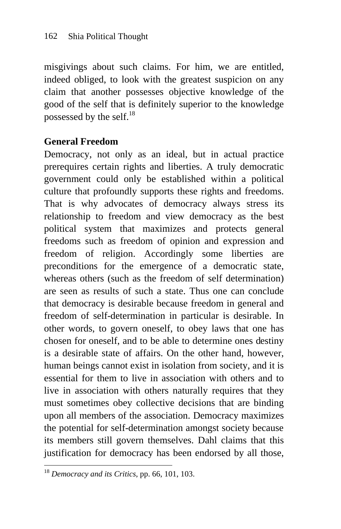misgivings about such claims. For him, we are entitled, indeed obliged, to look with the greatest suspicion on any claim that another possesses objective knowledge of the good of the self that is definitely superior to the knowledge possessed by the self. $^{18}$ 

#### **General Freedom**

Democracy, not only as an ideal, but in actual practice prerequires certain rights and liberties. A truly democratic government could only be established within a political culture that profoundly supports these rights and freedoms. That is why advocates of democracy always stress its relationship to freedom and view democracy as the best political system that maximizes and protects general freedoms such as freedom of opinion and expression and freedom of religion. Accordingly some liberties are preconditions for the emergence of a democratic state, whereas others (such as the freedom of self determination) are seen as results of such a state. Thus one can conclude that democracy is desirable because freedom in general and freedom of self-determination in particular is desirable. In other words, to govern oneself, to obey laws that one has chosen for oneself, and to be able to determine ones destiny is a desirable state of affairs. On the other hand, however, human beings cannot exist in isolation from society, and it is essential for them to live in association with others and to live in association with others naturally requires that they must sometimes obey collective decisions that are binding upon all members of the association. Democracy maximizes the potential for self-determination amongst society because its members still govern themselves. Dahl claims that this justification for democracy has been endorsed by all those,

<sup>18</sup> *Democracy and its Critics*, pp. 66, 101, 103.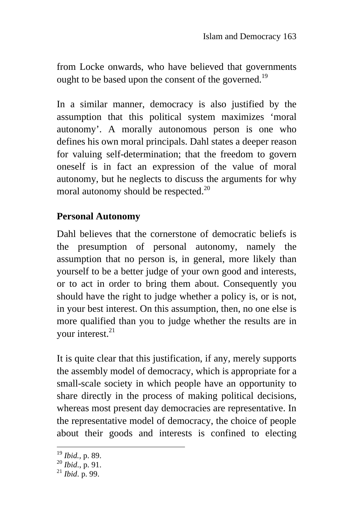from Locke onwards, who have believed that governments ought to be based upon the consent of the governed.<sup>19</sup>

In a similar manner, democracy is also justified by the assumption that this political system maximizes 'moral autonomy'. A morally autonomous person is one who defines his own moral principals. Dahl states a deeper reason for valuing self-determination; that the freedom to govern oneself is in fact an expression of the value of moral autonomy, but he neglects to discuss the arguments for why moral autonomy should be respected.<sup>20</sup>

## **Personal Autonomy**

Dahl believes that the cornerstone of democratic beliefs is the presumption of personal autonomy, namely the assumption that no person is, in general, more likely than yourself to be a better judge of your own good and interests, or to act in order to bring them about. Consequently you should have the right to judge whether a policy is, or is not, in your best interest. On this assumption, then, no one else is more qualified than you to judge whether the results are in your interest.<sup>21</sup>

It is quite clear that this justification, if any, merely supports the assembly model of democracy, which is appropriate for a small-scale society in which people have an opportunity to share directly in the process of making political decisions, whereas most present day democracies are representative. In the representative model of democracy, the choice of people about their goods and interests is confined to electing

<sup>19</sup> *Ibid.,* p. 89.

<sup>20</sup> *Ibid*., p. 91.

<sup>21</sup> *Ibid*. p. 99.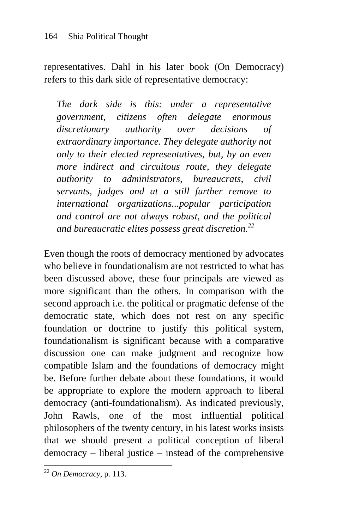representatives. Dahl in his later book (On Democracy) refers to this dark side of representative democracy:

*The dark side is this: under a representative government, citizens often delegate enormous discretionary authority over decisions of extraordinary importance. They delegate authority not only to their elected representatives, but, by an even more indirect and circuitous route, they delegate authority to administrators, bureaucrats, civil servants, judges and at a still further remove to international organizations...popular participation and control are not always robust, and the political and bureaucratic elites possess great discretion.<sup>22</sup>*

Even though the roots of democracy mentioned by advocates who believe in foundationalism are not restricted to what has been discussed above, these four principals are viewed as more significant than the others. In comparison with the second approach i.e. the political or pragmatic defense of the democratic state, which does not rest on any specific foundation or doctrine to justify this political system, foundationalism is significant because with a comparative discussion one can make judgment and recognize how compatible Islam and the foundations of democracy might be. Before further debate about these foundations, it would be appropriate to explore the modern approach to liberal democracy (anti-foundationalism). As indicated previously, John Rawls, one of the most influential political philosophers of the twenty century, in his latest works insists that we should present a political conception of liberal democracy – liberal justice – instead of the comprehensive

<sup>22</sup> *On Democracy*, p. 113.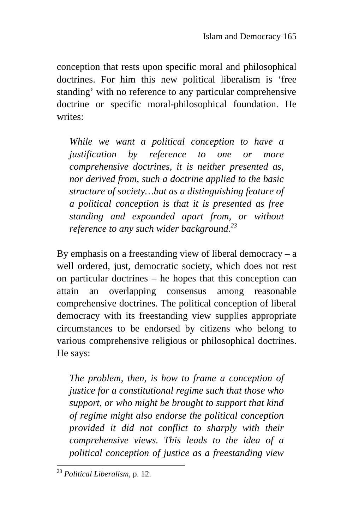conception that rests upon specific moral and philosophical doctrines. For him this new political liberalism is 'free standing' with no reference to any particular comprehensive doctrine or specific moral-philosophical foundation. He writes:

*While we want a political conception to have a justification by reference to one or more comprehensive doctrines, it is neither presented as, nor derived from, such a doctrine applied to the basic structure of society…but as a distinguishing feature of a political conception is that it is presented as free standing and expounded apart from, or without reference to any such wider background.<sup>23</sup>*

By emphasis on a freestanding view of liberal democracy  $-$  a well ordered, just, democratic society, which does not rest on particular doctrines – he hopes that this conception can attain an overlapping consensus among reasonable comprehensive doctrines. The political conception of liberal democracy with its freestanding view supplies appropriate circumstances to be endorsed by citizens who belong to various comprehensive religious or philosophical doctrines. He says:

*The problem, then, is how to frame a conception of justice for a constitutional regime such that those who support, or who might be brought to support that kind of regime might also endorse the political conception provided it did not conflict to sharply with their comprehensive views. This leads to the idea of a political conception of justice as a freestanding view*

<sup>23</sup> *Political Liberalism*, p. 12.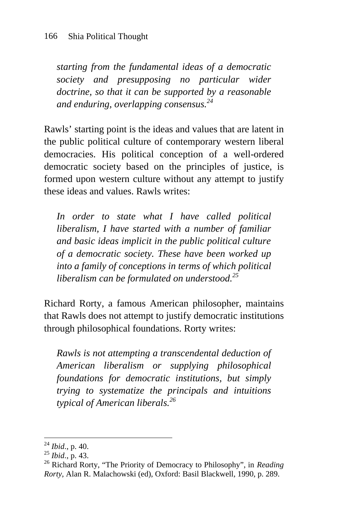*starting from the fundamental ideas of a democratic society and presupposing no particular wider doctrine, so that it can be supported by a reasonable and enduring, overlapping consensus.<sup>24</sup>*

Rawls' starting point is the ideas and values that are latent in the public political culture of contemporary western liberal democracies. His political conception of a well-ordered democratic society based on the principles of justice, is formed upon western culture without any attempt to justify these ideas and values. Rawls writes:

*In order to state what I have called political liberalism, I have started with a number of familiar and basic ideas implicit in the public political culture of a democratic society. These have been worked up into a family of conceptions in terms of which political liberalism can be formulated on understood.<sup>25</sup>*

Richard Rorty, a famous American philosopher, maintains that Rawls does not attempt to justify democratic institutions through philosophical foundations. Rorty writes:

*Rawls is not attempting a transcendental deduction of American liberalism or supplying philosophical foundations for democratic institutions, but simply trying to systematize the principals and intuitions typical of American liberals.<sup>26</sup>*

l <sup>24</sup> *Ibid*., p. 40.

<sup>25</sup> *Ibid*., p. 43.

<sup>26</sup> Richard Rorty, "The Priority of Democracy to Philosophy", in *Reading Rorty*, Alan R. Malachowski (ed), Oxford: Basil Blackwell, 1990, p. 289.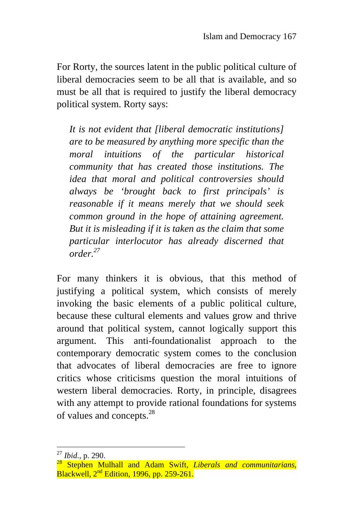For Rorty, the sources latent in the public political culture of liberal democracies seem to be all that is available, and so must be all that is required to justify the liberal democracy political system. Rorty says:

*It is not evident that [liberal democratic institutions] are to be measured by anything more specific than the moral intuitions of the particular historical community that has created those institutions. The idea that moral and political controversies should always be 'brought back to first principals' is reasonable if it means merely that we should seek common ground in the hope of attaining agreement. But it is misleading if it is taken as the claim that some particular interlocutor has already discerned that order.<sup>27</sup>*

For many thinkers it is obvious, that this method of justifying a political system, which consists of merely invoking the basic elements of a public political culture, because these cultural elements and values grow and thrive around that political system, cannot logically support this argument. This anti-foundationalist approach to the contemporary democratic system comes to the conclusion that advocates of liberal democracies are free to ignore critics whose criticisms question the moral intuitions of western liberal democracies. Rorty, in principle, disagrees with any attempt to provide rational foundations for systems of values and concepts.<sup>28</sup>

<sup>27</sup> *Ibid*., p. 290.

<sup>28</sup> Stephen Mulhall and Adam Swift, *Liberals and communitarians*, Blackwell,  $2<sup>nd</sup>$  Edition, 1996, pp. 259-261.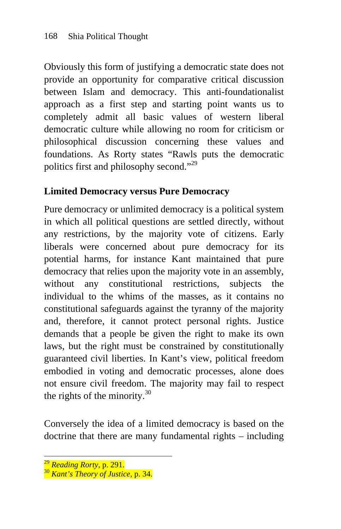Obviously this form of justifying a democratic state does not provide an opportunity for comparative critical discussion between Islam and democracy. This anti-foundationalist approach as a first step and starting point wants us to completely admit all basic values of western liberal democratic culture while allowing no room for criticism or philosophical discussion concerning these values and foundations. As Rorty states "Rawls puts the democratic politics first and philosophy second."<sup>29</sup>

# **Limited Democracy versus Pure Democracy**

Pure democracy or unlimited democracy is a political system in which all political questions are settled directly, without any restrictions, by the majority vote of citizens. Early liberals were concerned about pure democracy for its potential harms, for instance Kant maintained that pure democracy that relies upon the majority vote in an assembly, without any constitutional restrictions, subjects the individual to the whims of the masses, as it contains no constitutional safeguards against the tyranny of the majority and, therefore, it cannot protect personal rights. Justice demands that a people be given the right to make its own laws, but the right must be constrained by constitutionally guaranteed civil liberties. In Kant's view, political freedom embodied in voting and democratic processes, alone does not ensure civil freedom. The majority may fail to respect the rights of the minority.<sup>30</sup>

Conversely the idea of a limited democracy is based on the doctrine that there are many fundamental rights – including

l <sup>29</sup> *Reading Rorty*, p. 291.

<sup>30</sup> *Kant's Theory of Justice*, p. 34.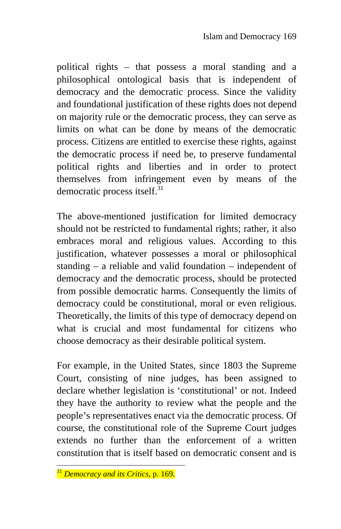political rights – that possess a moral standing and a philosophical ontological basis that is independent of democracy and the democratic process. Since the validity and foundational justification of these rights does not depend on majority rule or the democratic process, they can serve as limits on what can be done by means of the democratic process. Citizens are entitled to exercise these rights, against the democratic process if need be, to preserve fundamental political rights and liberties and in order to protect themselves from infringement even by means of the democratic process itself.<sup>31</sup>

The above-mentioned justification for limited democracy should not be restricted to fundamental rights; rather, it also embraces moral and religious values. According to this justification, whatever possesses a moral or philosophical standing – a reliable and valid foundation – independent of democracy and the democratic process, should be protected from possible democratic harms. Consequently the limits of democracy could be constitutional, moral or even religious. Theoretically, the limits of this type of democracy depend on what is crucial and most fundamental for citizens who choose democracy as their desirable political system.

For example, in the United States, since 1803 the Supreme Court, consisting of nine judges, has been assigned to declare whether legislation is 'constitutional' or not. Indeed they have the authority to review what the people and the people's representatives enact via the democratic process. Of course, the constitutional role of the Supreme Court judges extends no further than the enforcement of a written constitution that is itself based on democratic consent and is

<sup>31</sup> *Democracy and its Critics*, p. 169.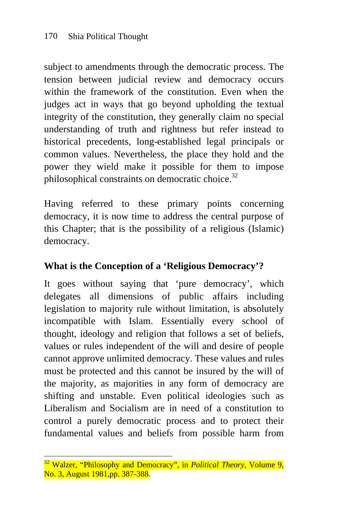subject to amendments through the democratic process. The tension between judicial review and democracy occurs within the framework of the constitution. Even when the judges act in ways that go beyond upholding the textual integrity of the constitution, they generally claim no special understanding of truth and rightness but refer instead to historical precedents, long-established legal principals or common values. Nevertheless, the place they hold and the power they wield make it possible for them to impose philosophical constraints on democratic choice. $32$ 

Having referred to these primary points concerning democracy, it is now time to address the central purpose of this Chapter; that is the possibility of a religious (Islamic) democracy.

# **What is the Conception of a 'Religious Democracy'?**

It goes without saying that 'pure democracy', which delegates all dimensions of public affairs including legislation to majority rule without limitation, is absolutely incompatible with Islam. Essentially every school of thought, ideology and religion that follows a set of beliefs, values or rules independent of the will and desire of people cannot approve unlimited democracy. These values and rules must be protected and this cannot be insured by the will of the majority, as majorities in any form of democracy are shifting and unstable. Even political ideologies such as Liberalism and Socialism are in need of a constitution to control a purely democratic process and to protect their fundamental values and beliefs from possible harm from

<sup>&</sup>lt;sup>32</sup> Walzer, "Philosophy and Democracy", in *Political Theory*, Volume 9, No. 3, August 1981,pp. 387-388.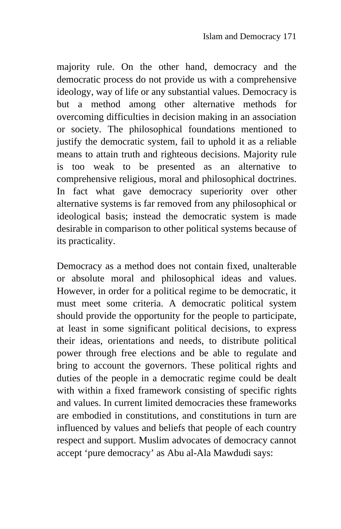majority rule. On the other hand, democracy and the democratic process do not provide us with a comprehensive ideology, way of life or any substantial values. Democracy is but a method among other alternative methods for overcoming difficulties in decision making in an association or society. The philosophical foundations mentioned to justify the democratic system, fail to uphold it as a reliable means to attain truth and righteous decisions. Majority rule is too weak to be presented as an alternative to comprehensive religious, moral and philosophical doctrines. In fact what gave democracy superiority over other alternative systems is far removed from any philosophical or ideological basis; instead the democratic system is made desirable in comparison to other political systems because of its practicality.

Democracy as a method does not contain fixed, unalterable or absolute moral and philosophical ideas and values. However, in order for a political regime to be democratic, it must meet some criteria. A democratic political system should provide the opportunity for the people to participate, at least in some significant political decisions, to express their ideas, orientations and needs, to distribute political power through free elections and be able to regulate and bring to account the governors. These political rights and duties of the people in a democratic regime could be dealt with within a fixed framework consisting of specific rights and values. In current limited democracies these frameworks are embodied in constitutions, and constitutions in turn are influenced by values and beliefs that people of each country respect and support. Muslim advocates of democracy cannot accept 'pure democracy' as Abu al-Ala Mawdudi says: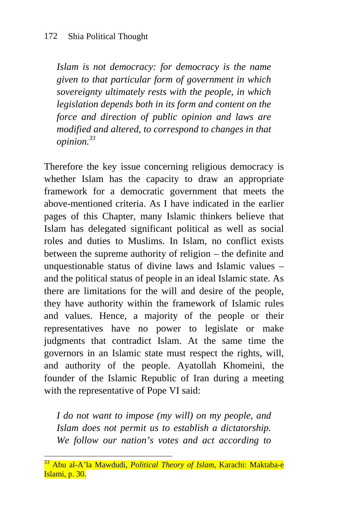*Islam is not democracy: for democracy is the name given to that particular form of government in which sovereignty ultimately rests with the people, in which legislation depends both in its form and content on the force and direction of public opinion and laws are modified and altered, to correspond to changes in that opinion.<sup>33</sup>*

Therefore the key issue concerning religious democracy is whether Islam has the capacity to draw an appropriate framework for a democratic government that meets the above-mentioned criteria. As I have indicated in the earlier pages of this Chapter, many Islamic thinkers believe that Islam has delegated significant political as well as social roles and duties to Muslims. In Islam, no conflict exists between the supreme authority of religion – the definite and unquestionable status of divine laws and Islamic values – and the political status of people in an ideal Islamic state. As there are limitations for the will and desire of the people, they have authority within the framework of Islamic rules and values. Hence, a majority of the people or their representatives have no power to legislate or make judgments that contradict Islam. At the same time the governors in an Islamic state must respect the rights, will, and authority of the people. Ayatollah Khomeini, the founder of the Islamic Republic of Iran during a meeting with the representative of Pope VI said:

*I do not want to impose (my will) on my people, and Islam does not permit us to establish a dictatorship. We follow our nation's votes and act according to*

<sup>33</sup> Abu al-A'la Mawdudi, *Political Theory of Islam*, Karachi: Maktaba-e Islami, p. 30.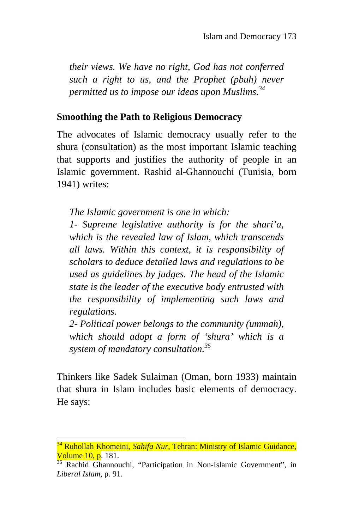*their views. We have no right, God has not conferred such a right to us, and the Prophet (pbuh) never permitted us to impose our ideas upon Muslims.<sup>34</sup>*

## **Smoothing the Path to Religious Democracy**

The advocates of Islamic democracy usually refer to the shura (consultation) as the most important Islamic teaching that supports and justifies the authority of people in an Islamic government. Rashid al-Ghannouchi (Tunisia, born 1941) writes:

*The Islamic government is one in which:*

*1- Supreme legislative authority is for the shari'a, which is the revealed law of Islam, which transcends all laws. Within this context, it is responsibility of scholars to deduce detailed laws and regulations to be used as guidelines by judges. The head of the Islamic state is the leader of the executive body entrusted with the responsibility of implementing such laws and regulations.*

*2- Political power belongs to the community (ummah), which should adopt a form of 'shura' which is a system of mandatory consultation.<sup>35</sup>*

Thinkers like Sadek Sulaiman (Oman, born 1933) maintain that shura in Islam includes basic elements of democracy. He says:

<sup>34</sup> Ruhollah Khomeini, *Sahifa Nur,* Tehran: Ministry of Islamic Guidance,  $\frac{\text{Volume }10, \text{p}}{85 \text{ Rochid Ghom}}$ 

<sup>35</sup> Rachid Ghannouchi, "Participation in Non-Islamic Government"*,* in *Liberal Islam*, p. 91.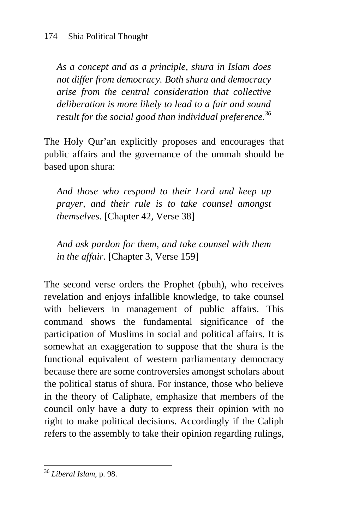*As a concept and as a principle, shura in Islam does not differ from democracy. Both shura and democracy arise from the central consideration that collective deliberation is more likely to lead to a fair and sound result for the social good than individual preference.<sup>36</sup>*

The Holy Qur'an explicitly proposes and encourages that public affairs and the governance of the ummah should be based upon shura:

*And those who respond to their Lord and keep up prayer, and their rule is to take counsel amongst themselves.* [Chapter 42, Verse 38]

*And ask pardon for them, and take counsel with them in the affair.* [Chapter 3, Verse 159]

The second verse orders the Prophet (pbuh), who receives revelation and enjoys infallible knowledge, to take counsel with believers in management of public affairs. This command shows the fundamental significance of the participation of Muslims in social and political affairs. It is somewhat an exaggeration to suppose that the shura is the functional equivalent of western parliamentary democracy because there are some controversies amongst scholars about the political status of shura. For instance, those who believe in the theory of Caliphate, emphasize that members of the council only have a duty to express their opinion with no right to make political decisions. Accordingly if the Caliph refers to the assembly to take their opinion regarding rulings,

<sup>36</sup> *Liberal Islam*, p. 98.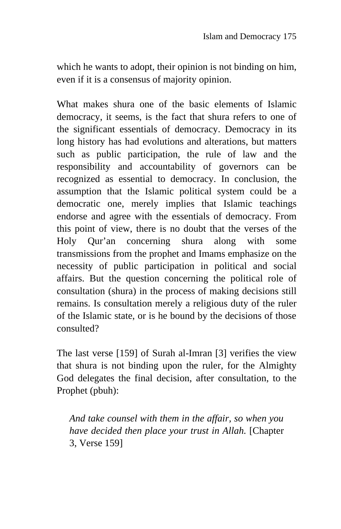which he wants to adopt, their opinion is not binding on him, even if it is a consensus of majority opinion.

What makes shura one of the basic elements of Islamic democracy, it seems, is the fact that shura refers to one of the significant essentials of democracy. Democracy in its long history has had evolutions and alterations, but matters such as public participation, the rule of law and the responsibility and accountability of governors can be recognized as essential to democracy. In conclusion, the assumption that the Islamic political system could be a democratic one, merely implies that Islamic teachings endorse and agree with the essentials of democracy. From this point of view, there is no doubt that the verses of the Holy Qur'an concerning shura along with some transmissions from the prophet and Imams emphasize on the necessity of public participation in political and social affairs. But the question concerning the political role of consultation (shura) in the process of making decisions still remains. Is consultation merely a religious duty of the ruler of the Islamic state, or is he bound by the decisions of those consulted?

The last verse [159] of Surah al-Imran [3] verifies the view that shura is not binding upon the ruler, for the Almighty God delegates the final decision, after consultation, to the Prophet (pbuh):

*And take counsel with them in the affair, so when you have decided then place your trust in Allah.* [Chapter 3, Verse 159]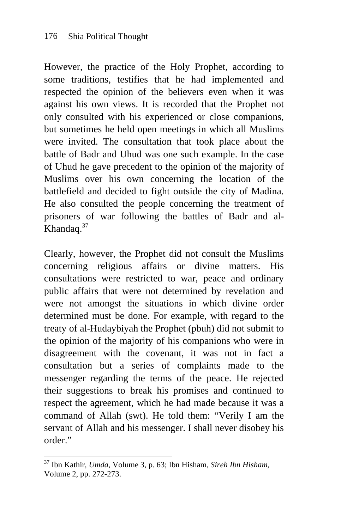However, the practice of the Holy Prophet, according to some traditions, testifies that he had implemented and respected the opinion of the believers even when it was against his own views. It is recorded that the Prophet not only consulted with his experienced or close companions, but sometimes he held open meetings in which all Muslims were invited. The consultation that took place about the battle of Badr and Uhud was one such example. In the case of Uhud he gave precedent to the opinion of the majority of Muslims over his own concerning the location of the battlefield and decided to fight outside the city of Madina. He also consulted the people concerning the treatment of prisoners of war following the battles of Badr and al-Khandaq.<sup>37</sup>

Clearly, however, the Prophet did not consult the Muslims concerning religious affairs or divine matters. His consultations were restricted to war, peace and ordinary public affairs that were not determined by revelation and were not amongst the situations in which divine order determined must be done. For example, with regard to the treaty of al-Hudaybiyah the Prophet (pbuh) did not submit to the opinion of the majority of his companions who were in disagreement with the covenant, it was not in fact a consultation but a series of complaints made to the messenger regarding the terms of the peace. He rejected their suggestions to break his promises and continued to respect the agreement, which he had made because it was a command of Allah (swt). He told them: "Verily I am the servant of Allah and his messenger. I shall never disobey his order."

<sup>37</sup> Ibn Kathir, *Umda,* Volume 3, p. 63; Ibn Hisham, *Sireh Ibn Hisham*, Volume 2, pp. 272-273.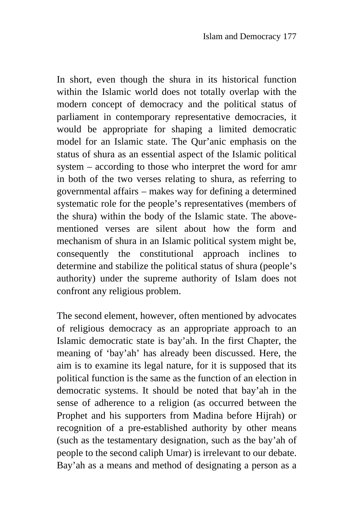In short, even though the shura in its historical function within the Islamic world does not totally overlap with the modern concept of democracy and the political status of parliament in contemporary representative democracies, it would be appropriate for shaping a limited democratic model for an Islamic state. The Qur'anic emphasis on the status of shura as an essential aspect of the Islamic political system – according to those who interpret the word for amr in both of the two verses relating to shura, as referring to governmental affairs – makes way for defining a determined systematic role for the people's representatives (members of the shura) within the body of the Islamic state. The abovementioned verses are silent about how the form and mechanism of shura in an Islamic political system might be, consequently the constitutional approach inclines to determine and stabilize the political status of shura (people's authority) under the supreme authority of Islam does not confront any religious problem.

The second element, however, often mentioned by advocates of religious democracy as an appropriate approach to an Islamic democratic state is bay'ah. In the first Chapter, the meaning of 'bay'ah' has already been discussed. Here, the aim is to examine its legal nature, for it is supposed that its political function is the same as the function of an election in democratic systems. It should be noted that bay'ah in the sense of adherence to a religion (as occurred between the Prophet and his supporters from Madina before Hijrah) or recognition of a pre-established authority by other means (such as the testamentary designation, such as the bay'ah of people to the second caliph Umar) is irrelevant to our debate. Bay'ah as a means and method of designating a person as a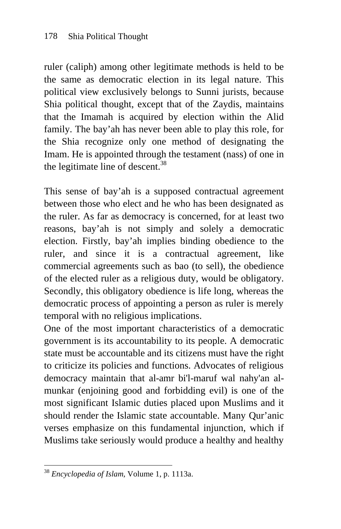ruler (caliph) among other legitimate methods is held to be the same as democratic election in its legal nature. This political view exclusively belongs to Sunni jurists, because Shia political thought, except that of the Zaydis, maintains that the Imamah is acquired by election within the Alid family. The bay'ah has never been able to play this role, for the Shia recognize only one method of designating the Imam. He is appointed through the testament (nass) of one in the legitimate line of descent.<sup>38</sup>

This sense of bay'ah is a supposed contractual agreement between those who elect and he who has been designated as the ruler. As far as democracy is concerned, for at least two reasons, bay'ah is not simply and solely a democratic election. Firstly, bay'ah implies binding obedience to the ruler, and since it is a contractual agreement, like commercial agreements such as bao (to sell), the obedience of the elected ruler as a religious duty, would be obligatory. Secondly, this obligatory obedience is life long, whereas the democratic process of appointing a person as ruler is merely temporal with no religious implications.

One of the most important characteristics of a democratic government is its accountability to its people. A democratic state must be accountable and its citizens must have the right to criticize its policies and functions. Advocates of religious democracy maintain that al-amr bi'l-maruf wal nahy'an almunkar (enjoining good and forbidding evil) is one of the most significant Islamic duties placed upon Muslims and it should render the Islamic state accountable. Many Qur'anic verses emphasize on this fundamental injunction, which if Muslims take seriously would produce a healthy and healthy

l <sup>38</sup> *Encyclopedia of Islam*, Volume 1, p. 1113a.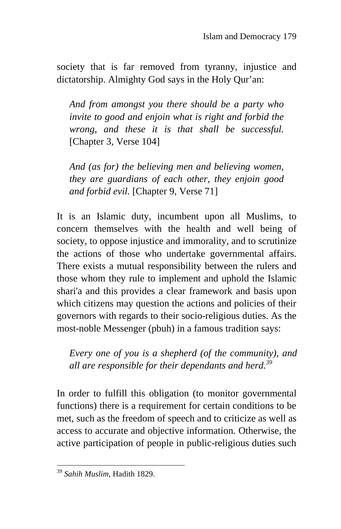society that is far removed from tyranny, injustice and dictatorship. Almighty God says in the Holy Qur'an:

*And from amongst you there should be a party who invite to good and enjoin what is right and forbid the wrong, and these it is that shall be successful.* [Chapter 3, Verse 104]

*And (as for) the believing men and believing women, they are guardians of each other, they enjoin good and forbid evil.* [Chapter 9, Verse 71]

It is an Islamic duty, incumbent upon all Muslims, to concern themselves with the health and well being of society, to oppose injustice and immorality, and to scrutinize the actions of those who undertake governmental affairs. There exists a mutual responsibility between the rulers and those whom they rule to implement and uphold the Islamic shari'a and this provides a clear framework and basis upon which citizens may question the actions and policies of their governors with regards to their socio-religious duties. As the most-noble Messenger (pbuh) in a famous tradition says:

*Every one of you is a shepherd (of the community), and all are responsible for their dependants and herd.<sup>39</sup>*

In order to fulfill this obligation (to monitor governmental functions) there is a requirement for certain conditions to be met, such as the freedom of speech and to criticize as well as access to accurate and objective information. Otherwise, the active participation of people in public-religious duties such

<sup>39</sup> *Sahih Muslim*, Hadith 1829.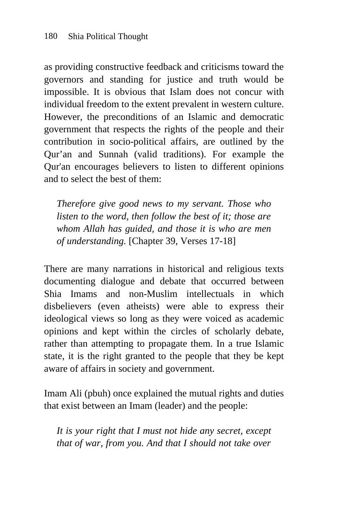as providing constructive feedback and criticisms toward the governors and standing for justice and truth would be impossible. It is obvious that Islam does not concur with individual freedom to the extent prevalent in western culture. However, the preconditions of an Islamic and democratic government that respects the rights of the people and their contribution in socio-political affairs, are outlined by the Qur'an and Sunnah (valid traditions). For example the Qur'an encourages believers to listen to different opinions and to select the best of them:

*Therefore give good news to my servant. Those who listen to the word, then follow the best of it; those are whom Allah has guided, and those it is who are men of understanding.* [Chapter 39, Verses 17-18]

There are many narrations in historical and religious texts documenting dialogue and debate that occurred between Shia Imams and non-Muslim intellectuals in which disbelievers (even atheists) were able to express their ideological views so long as they were voiced as academic opinions and kept within the circles of scholarly debate, rather than attempting to propagate them. In a true Islamic state, it is the right granted to the people that they be kept aware of affairs in society and government.

Imam Ali (pbuh) once explained the mutual rights and duties that exist between an Imam (leader) and the people:

*It is your right that I must not hide any secret, except that of war, from you. And that I should not take over*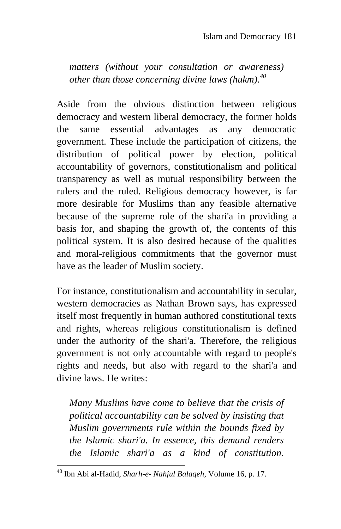*matters (without your consultation or awareness) other than those concerning divine laws (hukm).<sup>40</sup>*

Aside from the obvious distinction between religious democracy and western liberal democracy, the former holds the same essential advantages as any democratic government. These include the participation of citizens, the distribution of political power by election, political accountability of governors, constitutionalism and political transparency as well as mutual responsibility between the rulers and the ruled. Religious democracy however, is far more desirable for Muslims than any feasible alternative because of the supreme role of the shari'a in providing a basis for, and shaping the growth of, the contents of this political system. It is also desired because of the qualities and moral-religious commitments that the governor must have as the leader of Muslim society.

For instance, constitutionalism and accountability in secular, western democracies as Nathan Brown says, has expressed itself most frequently in human authored constitutional texts and rights, whereas religious constitutionalism is defined under the authority of the shari'a. Therefore, the religious government is not only accountable with regard to people's rights and needs, but also with regard to the shari'a and divine laws. He writes:

*Many Muslims have come to believe that the crisis of political accountability can be solved by insisting that Muslim governments rule within the bounds fixed by the Islamic shari'a. In essence, this demand renders the Islamic shari'a as a kind of constitution.*

<sup>40</sup> Ibn Abi al-Hadid, *Sharh-e- Nahjul Balaqeh*, Volume 16, p. 17.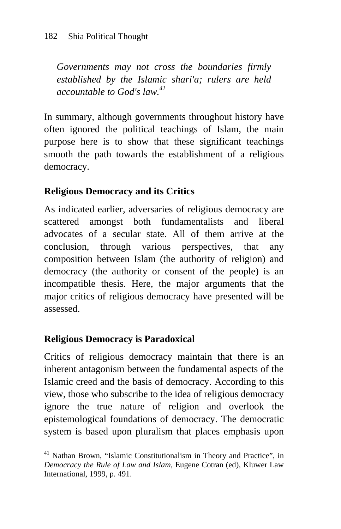*Governments may not cross the boundaries firmly established by the Islamic shari'a; rulers are held accountable to God's law.<sup>41</sup>*

In summary, although governments throughout history have often ignored the political teachings of Islam, the main purpose here is to show that these significant teachings smooth the path towards the establishment of a religious democracy.

#### **Religious Democracy and its Critics**

As indicated earlier, adversaries of religious democracy are scattered amongst both fundamentalists and liberal advocates of a secular state. All of them arrive at the conclusion, through various perspectives, that any composition between Islam (the authority of religion) and democracy (the authority or consent of the people) is an incompatible thesis. Here, the major arguments that the major critics of religious democracy have presented will be assessed.

### **Religious Democracy is Paradoxical**

l

Critics of religious democracy maintain that there is an inherent antagonism between the fundamental aspects of the Islamic creed and the basis of democracy. According to this view, those who subscribe to the idea of religious democracy ignore the true nature of religion and overlook the epistemological foundations of democracy. The democratic system is based upon pluralism that places emphasis upon

<sup>&</sup>lt;sup>41</sup> Nathan Brown, "Islamic Constitutionalism in Theory and Practice", in *Democracy the Rule of Law and Islam*, Eugene Cotran (ed), Kluwer Law International, 1999, p. 491.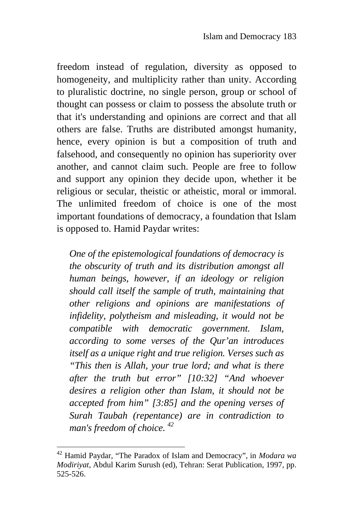freedom instead of regulation, diversity as opposed to homogeneity, and multiplicity rather than unity. According to pluralistic doctrine, no single person, group or school of thought can possess or claim to possess the absolute truth or that it's understanding and opinions are correct and that all others are false. Truths are distributed amongst humanity, hence, every opinion is but a composition of truth and falsehood, and consequently no opinion has superiority over another, and cannot claim such. People are free to follow and support any opinion they decide upon, whether it be religious or secular, theistic or atheistic, moral or immoral. The unlimited freedom of choice is one of the most important foundations of democracy, a foundation that Islam is opposed to. Hamid Paydar writes:

*One of the epistemological foundations of democracy is the obscurity of truth and its distribution amongst all human beings, however, if an ideology or religion should call itself the sample of truth, maintaining that other religions and opinions are manifestations of infidelity, polytheism and misleading, it would not be compatible with democratic government. Islam, according to some verses of the Qur'an introduces itself as a unique right and true religion. Verses such as "This then is Allah, your true lord; and what is there after the truth but error" [10:32] "And whoever desires a religion other than Islam, it should not be accepted from him" [3:85] and the opening verses of Surah Taubah (repentance) are in contradiction to man's freedom of choice. <sup>42</sup>*

<sup>42</sup> Hamid Paydar, "The Paradox of Islam and Democracy", in *Modara wa Modiriyat*, Abdul Karim Surush (ed), Tehran: Serat Publication, 1997, pp. 525-526.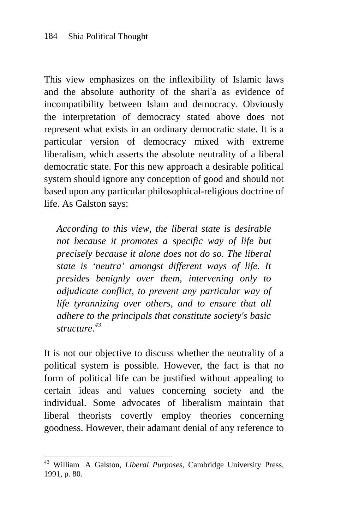This view emphasizes on the inflexibility of Islamic laws and the absolute authority of the shari'a as evidence of incompatibility between Islam and democracy. Obviously the interpretation of democracy stated above does not represent what exists in an ordinary democratic state. It is a particular version of democracy mixed with extreme liberalism, which asserts the absolute neutrality of a liberal democratic state. For this new approach a desirable political system should ignore any conception of good and should not based upon any particular philosophical-religious doctrine of life. As Galston says:

*According to this view, the liberal state is desirable not because it promotes a specific way of life but precisely because it alone does not do so. The liberal state is 'neutra' amongst different ways of life. It presides benignly over them, intervening only to adjudicate conflict, to prevent any particular way of life tyrannizing over others, and to ensure that all adhere to the principals that constitute society's basic structure.<sup>43</sup>*

It is not our objective to discuss whether the neutrality of a political system is possible. However, the fact is that no form of political life can be justified without appealing to certain ideas and values concerning society and the individual. Some advocates of liberalism maintain that liberal theorists covertly employ theories concerning goodness. However, their adamant denial of any reference to

<sup>43</sup> William .A Galston, *Liberal Purposes*, Cambridge University Press, 1991, p. 80.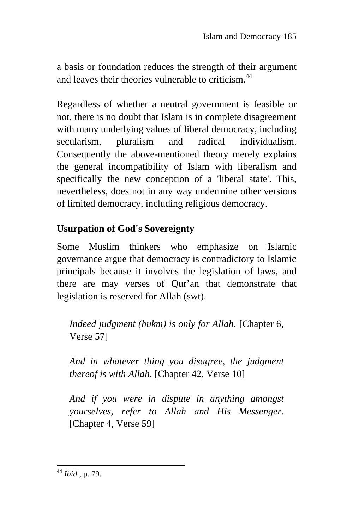a basis or foundation reduces the strength of their argument and leaves their theories vulnerable to criticism.<sup>44</sup>

Regardless of whether a neutral government is feasible or not, there is no doubt that Islam is in complete disagreement with many underlying values of liberal democracy, including secularism, pluralism and radical individualism. Consequently the above-mentioned theory merely explains the general incompatibility of Islam with liberalism and specifically the new conception of a 'liberal state'. This, nevertheless, does not in any way undermine other versions of limited democracy, including religious democracy.

### **Usurpation of God's Sovereignty**

Some Muslim thinkers who emphasize on Islamic governance argue that democracy is contradictory to Islamic principals because it involves the legislation of laws, and there are may verses of Qur'an that demonstrate that legislation is reserved for Allah (swt).

*Indeed judgment (hukm) is only for Allah.* [Chapter 6, Verse 57]

*And in whatever thing you disagree, the judgment thereof is with Allah.* [Chapter 42, Verse 10]

*And if you were in dispute in anything amongst yourselves, refer to Allah and His Messenger.* [Chapter 4, Verse 59]

<sup>44</sup> *Ibid*., p. 79.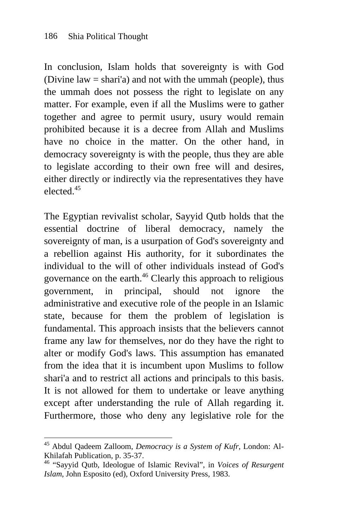In conclusion, Islam holds that sovereignty is with God (Divine  $law = shari'a$ ) and not with the ummah (people), thus the ummah does not possess the right to legislate on any matter. For example, even if all the Muslims were to gather together and agree to permit usury, usury would remain prohibited because it is a decree from Allah and Muslims have no choice in the matter. On the other hand, in democracy sovereignty is with the people, thus they are able to legislate according to their own free will and desires, either directly or indirectly via the representatives they have elected<sup>45</sup>

The Egyptian revivalist scholar, Sayyid Qutb holds that the essential doctrine of liberal democracy, namely the sovereignty of man, is a usurpation of God's sovereignty and a rebellion against His authority, for it subordinates the individual to the will of other individuals instead of God's governance on the earth.<sup>46</sup> Clearly this approach to religious government, in principal, should not ignore the administrative and executive role of the people in an Islamic state, because for them the problem of legislation is fundamental. This approach insists that the believers cannot frame any law for themselves, nor do they have the right to alter or modify God's laws. This assumption has emanated from the idea that it is incumbent upon Muslims to follow shari'a and to restrict all actions and principals to this basis. It is not allowed for them to undertake or leave anything except after understanding the rule of Allah regarding it. Furthermore, those who deny any legislative role for the

<sup>45</sup> Abdul Qadeem Zalloom, *Democracy is a System of Kufr*, London: Al-Khilafah Publication, p. 35-37.

<sup>46</sup> "Sayyid Qutb, Ideologue of Islamic Revival", in *Voices of Resurgent Islam*, John Esposito (ed), Oxford University Press, 1983.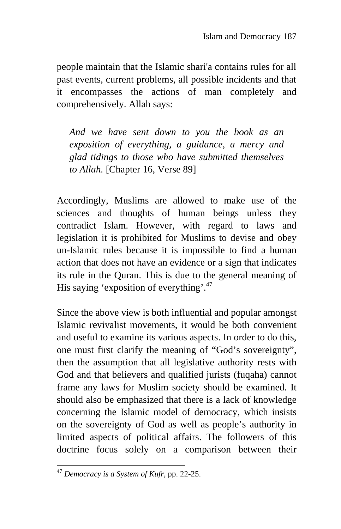people maintain that the Islamic shari'a contains rules for all past events, current problems, all possible incidents and that it encompasses the actions of man completely and comprehensively. Allah says:

*And we have sent down to you the book as an exposition of everything, a guidance, a mercy and glad tidings to those who have submitted themselves to Allah.* [Chapter 16, Verse 89]

Accordingly, Muslims are allowed to make use of the sciences and thoughts of human beings unless they contradict Islam. However, with regard to laws and legislation it is prohibited for Muslims to devise and obey un-Islamic rules because it is impossible to find a human action that does not have an evidence or a sign that indicates its rule in the Quran. This is due to the general meaning of His saying 'exposition of everything'.<sup>47</sup>

Since the above view is both influential and popular amongst Islamic revivalist movements, it would be both convenient and useful to examine its various aspects. In order to do this, one must first clarify the meaning of "God's sovereignty", then the assumption that all legislative authority rests with God and that believers and qualified jurists (fuqaha) cannot frame any laws for Muslim society should be examined. It should also be emphasized that there is a lack of knowledge concerning the Islamic model of democracy, which insists on the sovereignty of God as well as people's authority in limited aspects of political affairs. The followers of this doctrine focus solely on a comparison between their

<sup>47</sup> *Democracy is a System of Kufr*, pp. 22-25.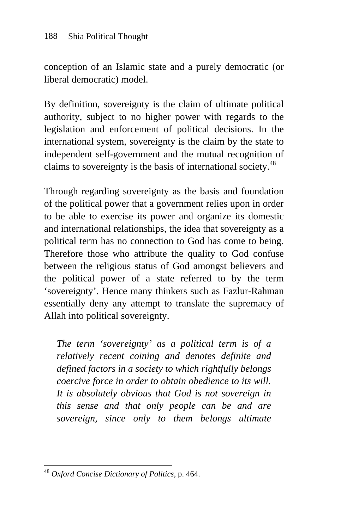conception of an Islamic state and a purely democratic (or liberal democratic) model.

By definition, sovereignty is the claim of ultimate political authority, subject to no higher power with regards to the legislation and enforcement of political decisions. In the international system, sovereignty is the claim by the state to independent self-government and the mutual recognition of claims to sovereignty is the basis of international society.<sup>48</sup>

Through regarding sovereignty as the basis and foundation of the political power that a government relies upon in order to be able to exercise its power and organize its domestic and international relationships, the idea that sovereignty as a political term has no connection to God has come to being. Therefore those who attribute the quality to God confuse between the religious status of God amongst believers and the political power of a state referred to by the term 'sovereignty'. Hence many thinkers such as Fazlur-Rahman essentially deny any attempt to translate the supremacy of Allah into political sovereignty.

*The term 'sovereignty' as a political term is of a relatively recent coining and denotes definite and defined factors in a society to which rightfully belongs coercive force in order to obtain obedience to its will. It is absolutely obvious that God is not sovereign in this sense and that only people can be and are sovereign, since only to them belongs ultimate*

<sup>48</sup> *Oxford Concise Dictionary of Politics*, p. 464.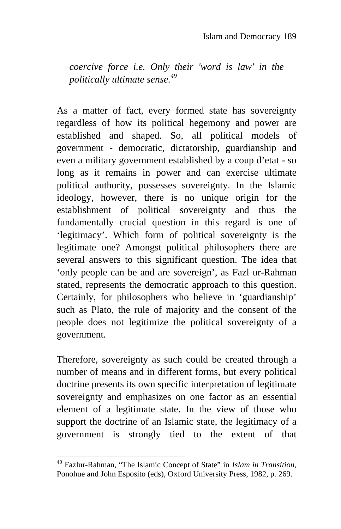*coercive force i.e. Only their 'word is law' in the politically ultimate sense.<sup>49</sup>*

As a matter of fact, every formed state has sovereignty regardless of how its political hegemony and power are established and shaped. So, all political models of government - democratic, dictatorship, guardianship and even a military government established by a coup d'etat - so long as it remains in power and can exercise ultimate political authority, possesses sovereignty. In the Islamic ideology, however, there is no unique origin for the establishment of political sovereignty and thus the fundamentally crucial question in this regard is one of 'legitimacy'. Which form of political sovereignty is the legitimate one? Amongst political philosophers there are several answers to this significant question. The idea that 'only people can be and are sovereign', as Fazl ur-Rahman stated, represents the democratic approach to this question. Certainly, for philosophers who believe in 'guardianship' such as Plato, the rule of majority and the consent of the people does not legitimize the political sovereignty of a government.

Therefore, sovereignty as such could be created through a number of means and in different forms, but every political doctrine presents its own specific interpretation of legitimate sovereignty and emphasizes on one factor as an essential element of a legitimate state. In the view of those who support the doctrine of an Islamic state, the legitimacy of a government is strongly tied to the extent of that

<sup>49</sup> Fazlur-Rahman, "The Islamic Concept of State" in *Islam in Transition*, Ponohue and John Esposito (eds), Oxford University Press, 1982, p. 269.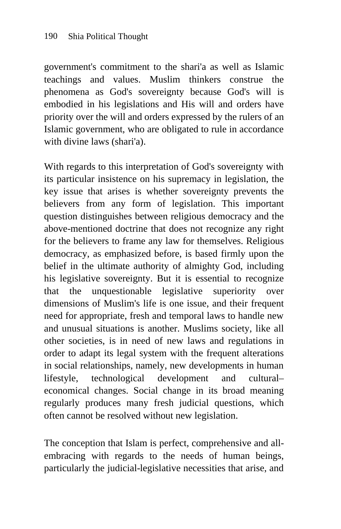government's commitment to the shari'a as well as Islamic teachings and values. Muslim thinkers construe the phenomena as God's sovereignty because God's will is embodied in his legislations and His will and orders have priority over the will and orders expressed by the rulers of an Islamic government, who are obligated to rule in accordance with divine laws (shari'a).

With regards to this interpretation of God's sovereignty with its particular insistence on his supremacy in legislation, the key issue that arises is whether sovereignty prevents the believers from any form of legislation. This important question distinguishes between religious democracy and the above-mentioned doctrine that does not recognize any right for the believers to frame any law for themselves. Religious democracy, as emphasized before, is based firmly upon the belief in the ultimate authority of almighty God, including his legislative sovereignty. But it is essential to recognize that the unquestionable legislative superiority over dimensions of Muslim's life is one issue, and their frequent need for appropriate, fresh and temporal laws to handle new and unusual situations is another. Muslims society, like all other societies, is in need of new laws and regulations in order to adapt its legal system with the frequent alterations in social relationships, namely, new developments in human lifestyle, technological development and cultural– economical changes. Social change in its broad meaning regularly produces many fresh judicial questions, which often cannot be resolved without new legislation.

The conception that Islam is perfect, comprehensive and allembracing with regards to the needs of human beings, particularly the judicial-legislative necessities that arise, and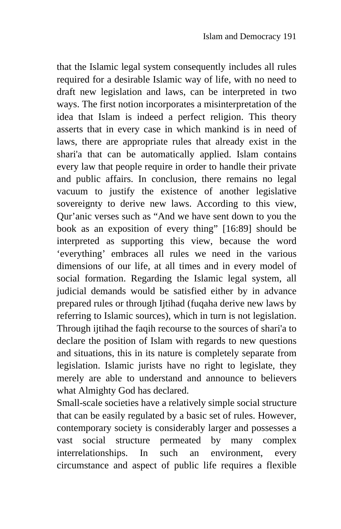that the Islamic legal system consequently includes all rules required for a desirable Islamic way of life, with no need to draft new legislation and laws, can be interpreted in two ways. The first notion incorporates a misinterpretation of the idea that Islam is indeed a perfect religion. This theory asserts that in every case in which mankind is in need of laws, there are appropriate rules that already exist in the shari'a that can be automatically applied. Islam contains every law that people require in order to handle their private and public affairs. In conclusion, there remains no legal vacuum to justify the existence of another legislative sovereignty to derive new laws. According to this view, Qur'anic verses such as "And we have sent down to you the book as an exposition of every thing" [16:89] should be interpreted as supporting this view, because the word 'everything' embraces all rules we need in the various dimensions of our life, at all times and in every model of social formation. Regarding the Islamic legal system, all judicial demands would be satisfied either by in advance prepared rules or through Ijtihad (fuqaha derive new laws by referring to Islamic sources), which in turn is not legislation. Through ijtihad the faqih recourse to the sources of shari'a to declare the position of Islam with regards to new questions and situations, this in its nature is completely separate from legislation. Islamic jurists have no right to legislate, they merely are able to understand and announce to believers what Almighty God has declared.

Small-scale societies have a relatively simple social structure that can be easily regulated by a basic set of rules. However, contemporary society is considerably larger and possesses a vast social structure permeated by many complex interrelationships. In such an environment, every circumstance and aspect of public life requires a flexible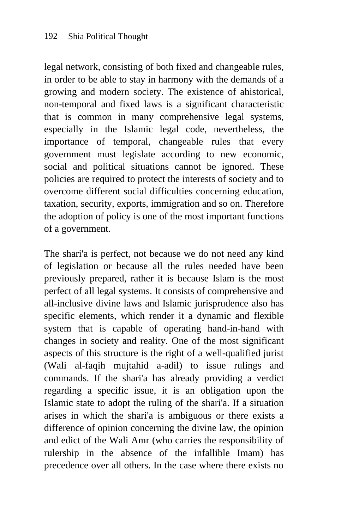legal network, consisting of both fixed and changeable rules, in order to be able to stay in harmony with the demands of a growing and modern society. The existence of ahistorical, non-temporal and fixed laws is a significant characteristic that is common in many comprehensive legal systems, especially in the Islamic legal code, nevertheless, the importance of temporal, changeable rules that every government must legislate according to new economic, social and political situations cannot be ignored. These policies are required to protect the interests of society and to overcome different social difficulties concerning education, taxation, security, exports, immigration and so on. Therefore the adoption of policy is one of the most important functions of a government.

The shari'a is perfect, not because we do not need any kind of legislation or because all the rules needed have been previously prepared, rather it is because Islam is the most perfect of all legal systems. It consists of comprehensive and all-inclusive divine laws and Islamic jurisprudence also has specific elements, which render it a dynamic and flexible system that is capable of operating hand-in-hand with changes in society and reality. One of the most significant aspects of this structure is the right of a well-qualified jurist (Wali al-faqih mujtahid a-adil) to issue rulings and commands. If the shari'a has already providing a verdict regarding a specific issue, it is an obligation upon the Islamic state to adopt the ruling of the shari'a. If a situation arises in which the shari'a is ambiguous or there exists a difference of opinion concerning the divine law, the opinion and edict of the Wali Amr (who carries the responsibility of rulership in the absence of the infallible Imam) has precedence over all others. In the case where there exists no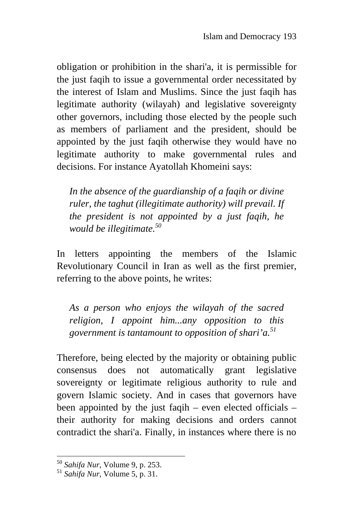obligation or prohibition in the shari'a, it is permissible for the just faqih to issue a governmental order necessitated by the interest of Islam and Muslims. Since the just faqih has legitimate authority (wilayah) and legislative sovereignty other governors, including those elected by the people such as members of parliament and the president, should be appointed by the just faqih otherwise they would have no legitimate authority to make governmental rules and decisions. For instance Ayatollah Khomeini says:

*In the absence of the guardianship of a faqih or divine ruler, the taghut (illegitimate authority) will prevail. If the president is not appointed by a just faqih, he would be illegitimate.<sup>50</sup>*

In letters appointing the members of the Islamic Revolutionary Council in Iran as well as the first premier, referring to the above points, he writes:

*As a person who enjoys the wilayah of the sacred religion, I appoint him...any opposition to this government is tantamount to opposition of shari'a.<sup>51</sup>*

Therefore, being elected by the majority or obtaining public consensus does not automatically grant legislative sovereignty or legitimate religious authority to rule and govern Islamic society. And in cases that governors have been appointed by the just faqih – even elected officials – their authority for making decisions and orders cannot contradict the shari'a. Finally, in instances where there is no

<sup>50</sup> *Sahifa Nur*, Volume 9, p. 253.

<sup>51</sup> *Sahifa Nur*, Volume 5, p. 31.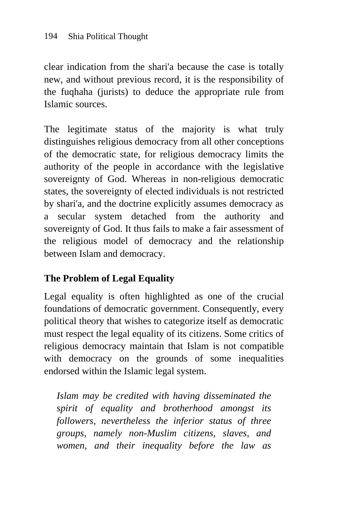clear indication from the shari'a because the case is totally new, and without previous record, it is the responsibility of the fuqhaha (jurists) to deduce the appropriate rule from Islamic sources.

The legitimate status of the majority is what truly distinguishes religious democracy from all other conceptions of the democratic state, for religious democracy limits the authority of the people in accordance with the legislative sovereignty of God. Whereas in non-religious democratic states, the sovereignty of elected individuals is not restricted by shari'a, and the doctrine explicitly assumes democracy as a secular system detached from the authority and sovereignty of God. It thus fails to make a fair assessment of the religious model of democracy and the relationship between Islam and democracy.

#### **The Problem of Legal Equality**

Legal equality is often highlighted as one of the crucial foundations of democratic government. Consequently, every political theory that wishes to categorize itself as democratic must respect the legal equality of its citizens. Some critics of religious democracy maintain that Islam is not compatible with democracy on the grounds of some inequalities endorsed within the Islamic legal system.

*Islam may be credited with having disseminated the spirit of equality and brotherhood amongst its followers, nevertheless the inferior status of three groups, namely non-Muslim citizens, slaves, and women, and their inequality before the law as*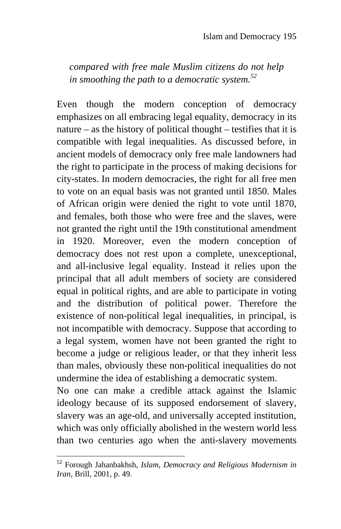*compared with free male Muslim citizens do not help in smoothing the path to a democratic system.<sup>52</sup>*

Even though the modern conception of democracy emphasizes on all embracing legal equality, democracy in its nature – as the history of political thought – testifies that it is compatible with legal inequalities. As discussed before, in ancient models of democracy only free male landowners had the right to participate in the process of making decisions for city-states. In modern democracies, the right for all free men to vote on an equal basis was not granted until 1850. Males of African origin were denied the right to vote until 1870, and females, both those who were free and the slaves, were not granted the right until the 19th constitutional amendment in 1920. Moreover, even the modern conception of democracy does not rest upon a complete, unexceptional, and all-inclusive legal equality. Instead it relies upon the principal that all adult members of society are considered equal in political rights, and are able to participate in voting and the distribution of political power. Therefore the existence of non-political legal inequalities, in principal, is not incompatible with democracy. Suppose that according to a legal system, women have not been granted the right to become a judge or religious leader, or that they inherit less than males, obviously these non-political inequalities do not undermine the idea of establishing a democratic system.

No one can make a credible attack against the Islamic ideology because of its supposed endorsement of slavery, slavery was an age-old, and universally accepted institution, which was only officially abolished in the western world less than two centuries ago when the anti-slavery movements

<sup>52</sup> Forough Jahanbakhsh, *Islam, Democracy and Religious Modernism in Iran*, Brill, 2001, p. 49.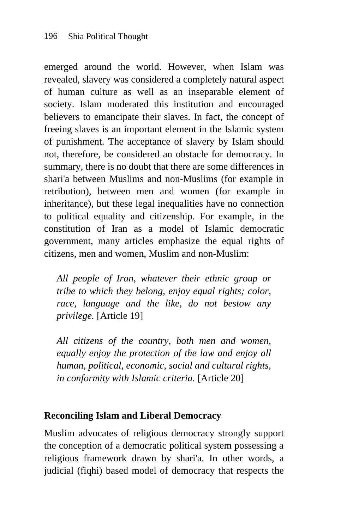emerged around the world. However, when Islam was revealed, slavery was considered a completely natural aspect of human culture as well as an inseparable element of society. Islam moderated this institution and encouraged believers to emancipate their slaves. In fact, the concept of freeing slaves is an important element in the Islamic system of punishment. The acceptance of slavery by Islam should not, therefore, be considered an obstacle for democracy. In summary, there is no doubt that there are some differences in shari'a between Muslims and non-Muslims (for example in retribution), between men and women (for example in inheritance), but these legal inequalities have no connection to political equality and citizenship. For example, in the constitution of Iran as a model of Islamic democratic government, many articles emphasize the equal rights of citizens, men and women, Muslim and non-Muslim:

*All people of Iran, whatever their ethnic group or tribe to which they belong, enjoy equal rights; color, race, language and the like, do not bestow any privilege.* [Article 19]

*All citizens of the country, both men and women, equally enjoy the protection of the law and enjoy all human, political, economic, social and cultural rights, in conformity with Islamic criteria.* [Article 20]

#### **Reconciling Islam and Liberal Democracy**

Muslim advocates of religious democracy strongly support the conception of a democratic political system possessing a religious framework drawn by shari'a. In other words, a judicial (fiqhi) based model of democracy that respects the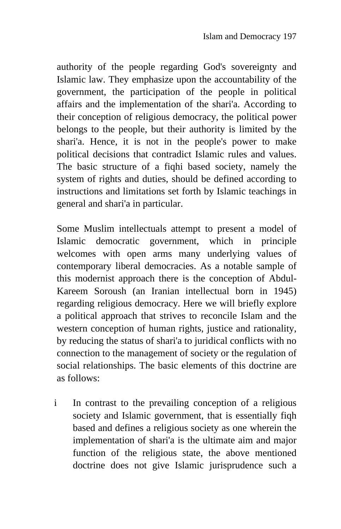authority of the people regarding God's sovereignty and Islamic law. They emphasize upon the accountability of the government, the participation of the people in political affairs and the implementation of the shari'a. According to their conception of religious democracy, the political power belongs to the people, but their authority is limited by the shari'a. Hence, it is not in the people's power to make political decisions that contradict Islamic rules and values. The basic structure of a fiqhi based society, namely the system of rights and duties, should be defined according to instructions and limitations set forth by Islamic teachings in general and shari'a in particular.

Some Muslim intellectuals attempt to present a model of Islamic democratic government, which in principle welcomes with open arms many underlying values of contemporary liberal democracies. As a notable sample of this modernist approach there is the conception of Abdul-Kareem Soroush (an Iranian intellectual born in 1945) regarding religious democracy. Here we will briefly explore a political approach that strives to reconcile Islam and the western conception of human rights, justice and rationality, by reducing the status of shari'a to juridical conflicts with no connection to the management of society or the regulation of social relationships. The basic elements of this doctrine are as follows:

i In contrast to the prevailing conception of a religious society and Islamic government, that is essentially fiqh based and defines a religious society as one wherein the implementation of shari'a is the ultimate aim and major function of the religious state, the above mentioned doctrine does not give Islamic jurisprudence such a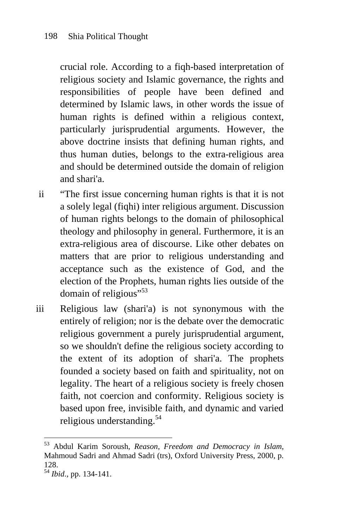crucial role. According to a fiqh-based interpretation of religious society and Islamic governance, the rights and responsibilities of people have been defined and determined by Islamic laws, in other words the issue of human rights is defined within a religious context, particularly jurisprudential arguments. However, the above doctrine insists that defining human rights, and thus human duties, belongs to the extra-religious area and should be determined outside the domain of religion and shari'a.

- ii "The first issue concerning human rights is that it is not a solely legal (fiqhi) inter religious argument. Discussion of human rights belongs to the domain of philosophical theology and philosophy in general. Furthermore, it is an extra-religious area of discourse. Like other debates on matters that are prior to religious understanding and acceptance such as the existence of God, and the election of the Prophets, human rights lies outside of the domain of religious"<sup>53</sup>
- iii Religious law (shari'a) is not synonymous with the entirely of religion; nor is the debate over the democratic religious government a purely jurisprudential argument, so we shouldn't define the religious society according to the extent of its adoption of shari'a. The prophets founded a society based on faith and spirituality, not on legality. The heart of a religious society is freely chosen faith, not coercion and conformity. Religious society is based upon free, invisible faith, and dynamic and varied religious understanding.<sup>54</sup>

<sup>53</sup> Abdul Karim Soroush, *Reason, Freedom and Democracy in Islam*, Mahmoud Sadri and Ahmad Sadri (trs), Oxford University Press, 2000, p. 128.

<sup>54</sup> *Ibid*., pp. 134-141.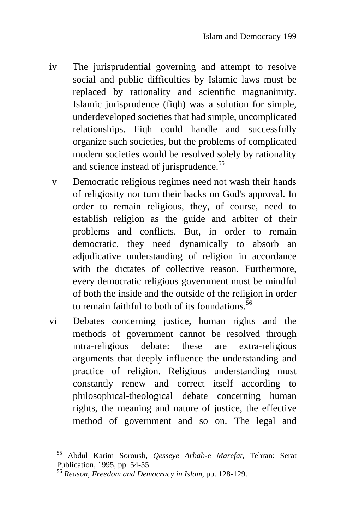- iv The jurisprudential governing and attempt to resolve social and public difficulties by Islamic laws must be replaced by rationality and scientific magnanimity. Islamic jurisprudence (fiqh) was a solution for simple, underdeveloped societies that had simple, uncomplicated relationships. Fiqh could handle and successfully organize such societies, but the problems of complicated modern societies would be resolved solely by rationality and science instead of jurisprudence.<sup>55</sup>
- v Democratic religious regimes need not wash their hands of religiosity nor turn their backs on God's approval. In order to remain religious, they, of course, need to establish religion as the guide and arbiter of their problems and conflicts. But, in order to remain democratic, they need dynamically to absorb an adjudicative understanding of religion in accordance with the dictates of collective reason. Furthermore, every democratic religious government must be mindful of both the inside and the outside of the religion in order to remain faithful to both of its foundations <sup>56</sup>
- vi Debates concerning justice, human rights and the methods of government cannot be resolved through intra-religious debate: these are extra-religious arguments that deeply influence the understanding and practice of religion. Religious understanding must constantly renew and correct itself according to philosophical-theological debate concerning human rights, the meaning and nature of justice, the effective method of government and so on. The legal and

<sup>55</sup> <sup>55</sup> Abdul Karim Soroush, *Qesseye Arbab-e Marefat*, Tehran: Serat Publication, 1995, pp. 54-55.

<sup>56</sup> *Reason, Freedom and Democracy in Islam*, pp. 128-129.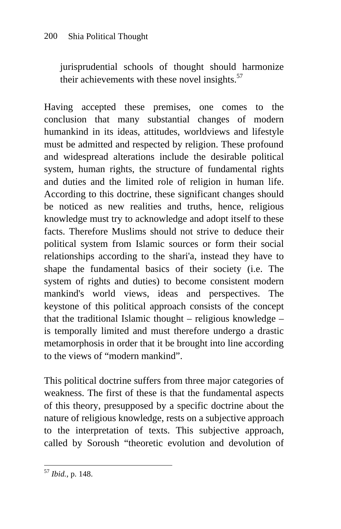jurisprudential schools of thought should harmonize their achievements with these novel insights. $57$ 

Having accepted these premises, one comes to the conclusion that many substantial changes of modern humankind in its ideas, attitudes, worldviews and lifestyle must be admitted and respected by religion. These profound and widespread alterations include the desirable political system, human rights, the structure of fundamental rights and duties and the limited role of religion in human life. According to this doctrine, these significant changes should be noticed as new realities and truths, hence, religious knowledge must try to acknowledge and adopt itself to these facts. Therefore Muslims should not strive to deduce their political system from Islamic sources or form their social relationships according to the shari'a, instead they have to shape the fundamental basics of their society (i.e. The system of rights and duties) to become consistent modern mankind's world views, ideas and perspectives. The keystone of this political approach consists of the concept that the traditional Islamic thought – religious knowledge – is temporally limited and must therefore undergo a drastic metamorphosis in order that it be brought into line according to the views of "modern mankind".

This political doctrine suffers from three major categories of weakness. The first of these is that the fundamental aspects of this theory, presupposed by a specific doctrine about the nature of religious knowledge, rests on a subjective approach to the interpretation of texts. This subjective approach, called by Soroush "theoretic evolution and devolution of

l <sup>57</sup> *Ibid.*, p. 148.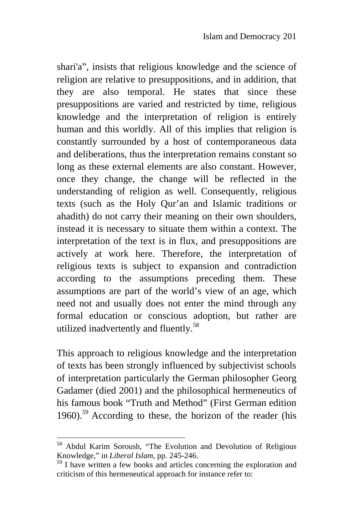shari'a", insists that religious knowledge and the science of religion are relative to presuppositions, and in addition, that they are also temporal. He states that since these presuppositions are varied and restricted by time, religious knowledge and the interpretation of religion is entirely human and this worldly. All of this implies that religion is constantly surrounded by a host of contemporaneous data and deliberations, thus the interpretation remains constant so long as these external elements are also constant. However, once they change, the change will be reflected in the understanding of religion as well. Consequently, religious texts (such as the Holy Qur'an and Islamic traditions or ahadith) do not carry their meaning on their own shoulders, instead it is necessary to situate them within a context. The interpretation of the text is in flux, and presuppositions are actively at work here. Therefore, the interpretation of religious texts is subject to expansion and contradiction according to the assumptions preceding them. These assumptions are part of the world's view of an age, which need not and usually does not enter the mind through any formal education or conscious adoption, but rather are utilized inadvertently and fluently.<sup>58</sup>

This approach to religious knowledge and the interpretation of texts has been strongly influenced by subjectivist schools of interpretation particularly the German philosopher Georg Gadamer (died 2001) and the philosophical hermeneutics of his famous book "Truth and Method" (First German edition 1960).<sup>59</sup> According to these, the horizon of the reader (his

<sup>58</sup> Abdul Karim Soroush, "The Evolution and Devolution of Religious Knowledge," in *Liberal Islam*, pp. 245-246.

<sup>&</sup>lt;sup>59</sup> I have written a few books and articles concerning the exploration and criticism of this hermeneutical approach for instance refer to: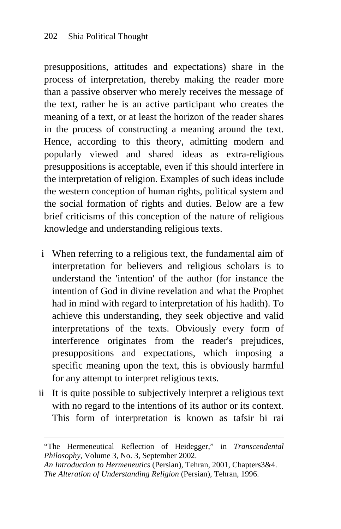presuppositions, attitudes and expectations) share in the process of interpretation, thereby making the reader more than a passive observer who merely receives the message of the text, rather he is an active participant who creates the meaning of a text, or at least the horizon of the reader shares in the process of constructing a meaning around the text. Hence, according to this theory, admitting modern and popularly viewed and shared ideas as extra-religious presuppositions is acceptable, even if this should interfere in the interpretation of religion. Examples of such ideas include the western conception of human rights, political system and the social formation of rights and duties. Below are a few brief criticisms of this conception of the nature of religious knowledge and understanding religious texts.

- i When referring to a religious text, the fundamental aim of interpretation for believers and religious scholars is to understand the 'intention' of the author (for instance the intention of God in divine revelation and what the Prophet had in mind with regard to interpretation of his hadith). To achieve this understanding, they seek objective and valid interpretations of the texts. Obviously every form of interference originates from the reader's prejudices, presuppositions and expectations, which imposing a specific meaning upon the text, this is obviously harmful for any attempt to interpret religious texts.
- ii It is quite possible to subjectively interpret a religious text with no regard to the intentions of its author or its context. This form of interpretation is known as tafsir bi rai

<sup>&</sup>quot;The Hermeneutical Reflection of Heidegger," in *Transcendental Philosophy*, Volume 3, No. 3, September 2002.

*An Introduction to Hermeneutics* (Persian), Tehran, 2001, Chapters3&4. *The Alteration of Understanding Religion* (Persian), Tehran, 1996.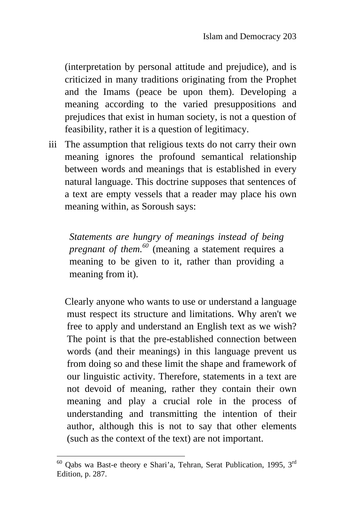(interpretation by personal attitude and prejudice), and is criticized in many traditions originating from the Prophet and the Imams (peace be upon them). Developing a meaning according to the varied presuppositions and prejudices that exist in human society, is not a question of feasibility, rather it is a question of legitimacy.

iii The assumption that religious texts do not carry their own meaning ignores the profound semantical relationship between words and meanings that is established in every natural language. This doctrine supposes that sentences of a text are empty vessels that a reader may place his own meaning within, as Soroush says:

*Statements are hungry of meanings instead of being pregnant of them.<sup>60</sup>* (meaning a statement requires a meaning to be given to it, rather than providing a meaning from it).

Clearly anyone who wants to use or understand a language must respect its structure and limitations. Why aren't we free to apply and understand an English text as we wish? The point is that the pre-established connection between words (and their meanings) in this language prevent us from doing so and these limit the shape and framework of our linguistic activity. Therefore, statements in a text are not devoid of meaning, rather they contain their own meaning and play a crucial role in the process of understanding and transmitting the intention of their author, although this is not to say that other elements (such as the context of the text) are not important.

 $60$  Qabs wa Bast-e theory e Shari'a, Tehran, Serat Publication, 1995,  $3^{rd}$ Edition, p. 287.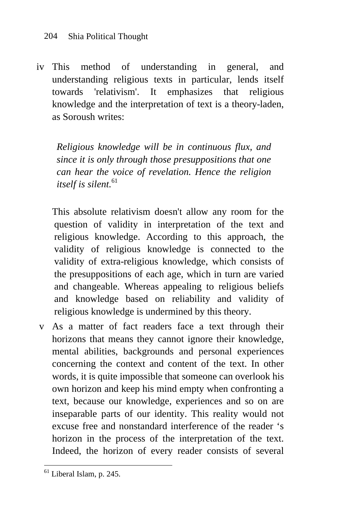iv This method of understanding in general, and understanding religious texts in particular, lends itself towards 'relativism'. It emphasizes that religious knowledge and the interpretation of text is a theory-laden, as Soroush writes:

*Religious knowledge will be in continuous flux, and since it is only through those presuppositions that one can hear the voice of revelation. Hence the religion itself is silent.*<sup>61</sup>

This absolute relativism doesn't allow any room for the question of validity in interpretation of the text and religious knowledge. According to this approach, the validity of religious knowledge is connected to the validity of extra-religious knowledge, which consists of the presuppositions of each age, which in turn are varied and changeable. Whereas appealing to religious beliefs and knowledge based on reliability and validity of religious knowledge is undermined by this theory.

v As a matter of fact readers face a text through their horizons that means they cannot ignore their knowledge, mental abilities, backgrounds and personal experiences concerning the context and content of the text. In other words, it is quite impossible that someone can overlook his own horizon and keep his mind empty when confronting a text, because our knowledge, experiences and so on are inseparable parts of our identity. This reality would not excuse free and nonstandard interference of the reader 's horizon in the process of the interpretation of the text. Indeed, the horizon of every reader consists of several

<sup>&</sup>lt;sup>61</sup> Liberal Islam, p. 245.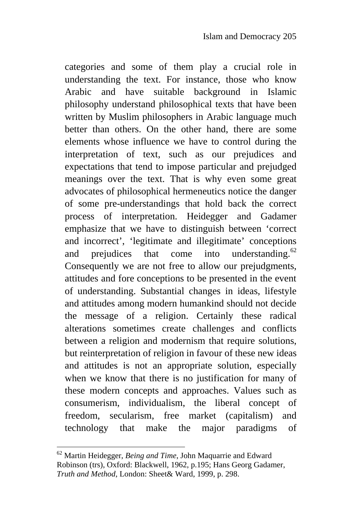categories and some of them play a crucial role in understanding the text. For instance, those who know Arabic and have suitable background in Islamic philosophy understand philosophical texts that have been written by Muslim philosophers in Arabic language much better than others. On the other hand, there are some elements whose influence we have to control during the interpretation of text, such as our prejudices and expectations that tend to impose particular and prejudged meanings over the text. That is why even some great advocates of philosophical hermeneutics notice the danger of some pre-understandings that hold back the correct process of interpretation. Heidegger and Gadamer emphasize that we have to distinguish between 'correct and incorrect', 'legitimate and illegitimate' conceptions and prejudices that come into understanding. $62$ Consequently we are not free to allow our prejudgments, attitudes and fore conceptions to be presented in the event of understanding. Substantial changes in ideas, lifestyle and attitudes among modern humankind should not decide the message of a religion. Certainly these radical alterations sometimes create challenges and conflicts between a religion and modernism that require solutions, but reinterpretation of religion in favour of these new ideas and attitudes is not an appropriate solution, especially when we know that there is no justification for many of these modern concepts and approaches. Values such as consumerism, individualism, the liberal concept of freedom, secularism, free market (capitalism) and technology that make the major paradigms of

<sup>62</sup> Martin Heidegger, *Being and Time*, John Maquarrie and Edward Robinson (trs), Oxford: Blackwell, 1962, p.195; Hans Georg Gadamer, *Truth and Method*, London: Sheet& Ward, 1999, p. 298.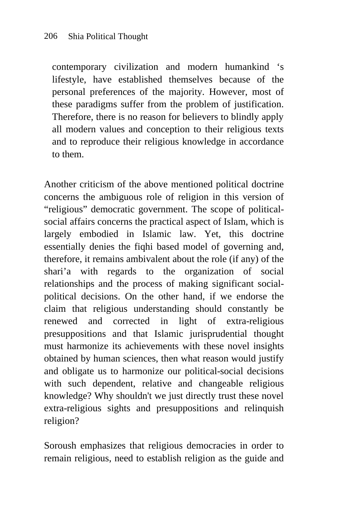contemporary civilization and modern humankind 's lifestyle, have established themselves because of the personal preferences of the majority. However, most of these paradigms suffer from the problem of justification. Therefore, there is no reason for believers to blindly apply all modern values and conception to their religious texts and to reproduce their religious knowledge in accordance to them.

Another criticism of the above mentioned political doctrine concerns the ambiguous role of religion in this version of "religious" democratic government. The scope of politicalsocial affairs concerns the practical aspect of Islam, which is largely embodied in Islamic law. Yet, this doctrine essentially denies the fiqhi based model of governing and, therefore, it remains ambivalent about the role (if any) of the shari'a with regards to the organization of social relationships and the process of making significant socialpolitical decisions. On the other hand, if we endorse the claim that religious understanding should constantly be renewed and corrected in light of extra-religious presuppositions and that Islamic jurisprudential thought must harmonize its achievements with these novel insights obtained by human sciences, then what reason would justify and obligate us to harmonize our political-social decisions with such dependent, relative and changeable religious knowledge? Why shouldn't we just directly trust these novel extra-religious sights and presuppositions and relinquish religion?

Soroush emphasizes that religious democracies in order to remain religious, need to establish religion as the guide and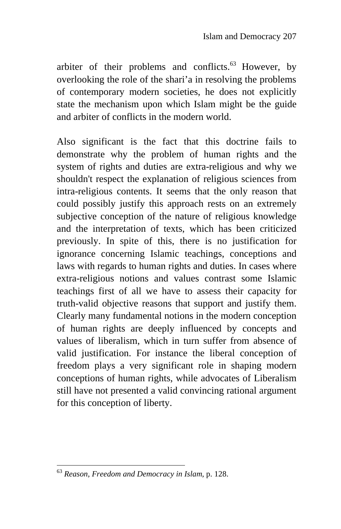arbiter of their problems and conflicts. $63$  However, by overlooking the role of the shari'a in resolving the problems of contemporary modern societies, he does not explicitly state the mechanism upon which Islam might be the guide and arbiter of conflicts in the modern world.

Also significant is the fact that this doctrine fails to demonstrate why the problem of human rights and the system of rights and duties are extra-religious and why we shouldn't respect the explanation of religious sciences from intra-religious contents. It seems that the only reason that could possibly justify this approach rests on an extremely subjective conception of the nature of religious knowledge and the interpretation of texts, which has been criticized previously. In spite of this, there is no justification for ignorance concerning Islamic teachings, conceptions and laws with regards to human rights and duties. In cases where extra-religious notions and values contrast some Islamic teachings first of all we have to assess their capacity for truth-valid objective reasons that support and justify them. Clearly many fundamental notions in the modern conception of human rights are deeply influenced by concepts and values of liberalism, which in turn suffer from absence of valid justification. For instance the liberal conception of freedom plays a very significant role in shaping modern conceptions of human rights, while advocates of Liberalism still have not presented a valid convincing rational argument for this conception of liberty.

<sup>63</sup> *Reason, Freedom and Democracy in Islam*, p. 128.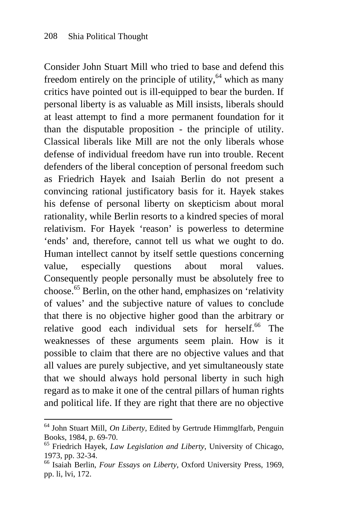Consider John Stuart Mill who tried to base and defend this freedom entirely on the principle of utility,  $64$  which as many critics have pointed out is ill-equipped to bear the burden. If personal liberty is as valuable as Mill insists, liberals should at least attempt to find a more permanent foundation for it than the disputable proposition - the principle of utility. Classical liberals like Mill are not the only liberals whose defense of individual freedom have run into trouble. Recent defenders of the liberal conception of personal freedom such as Friedrich Hayek and Isaiah Berlin do not present a convincing rational justificatory basis for it. Hayek stakes his defense of personal liberty on skepticism about moral rationality, while Berlin resorts to a kindred species of moral relativism. For Hayek 'reason' is powerless to determine 'ends' and, therefore, cannot tell us what we ought to do. Human intellect cannot by itself settle questions concerning value, especially questions about moral values. Consequently people personally must be absolutely free to choose.<sup>65</sup> Berlin, on the other hand, emphasizes on 'relativity of values' and the subjective nature of values to conclude that there is no objective higher good than the arbitrary or relative good each individual sets for herself.<sup>66</sup> The weaknesses of these arguments seem plain. How is it possible to claim that there are no objective values and that all values are purely subjective, and yet simultaneously state that we should always hold personal liberty in such high regard as to make it one of the central pillars of human rights and political life. If they are right that there are no objective

<sup>64</sup> John Stuart Mill, *On Liberty*, Edited by Gertrude Himmglfarb, Penguin Books, 1984, p. 69-70.

<sup>65</sup> Friedrich Hayek, *Law Legislation and Liberty*, University of Chicago, 1973, pp. 32-34.

<sup>66</sup> Isaiah Berlin, *Four Essays on Liberty*, Oxford University Press, 1969, pp. li, lvi, 172.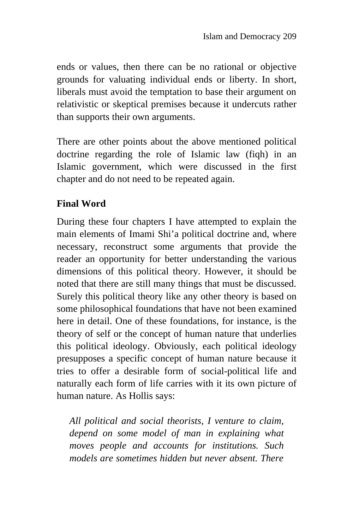ends or values, then there can be no rational or objective grounds for valuating individual ends or liberty. In short, liberals must avoid the temptation to base their argument on relativistic or skeptical premises because it undercuts rather than supports their own arguments.

There are other points about the above mentioned political doctrine regarding the role of Islamic law (fiqh) in an Islamic government, which were discussed in the first chapter and do not need to be repeated again.

## **Final Word**

During these four chapters I have attempted to explain the main elements of Imami Shi'a political doctrine and, where necessary, reconstruct some arguments that provide the reader an opportunity for better understanding the various dimensions of this political theory. However, it should be noted that there are still many things that must be discussed. Surely this political theory like any other theory is based on some philosophical foundations that have not been examined here in detail. One of these foundations, for instance, is the theory of self or the concept of human nature that underlies this political ideology. Obviously, each political ideology presupposes a specific concept of human nature because it tries to offer a desirable form of social-political life and naturally each form of life carries with it its own picture of human nature. As Hollis says:

*All political and social theorists, I venture to claim, depend on some model of man in explaining what moves people and accounts for institutions. Such models are sometimes hidden but never absent. There*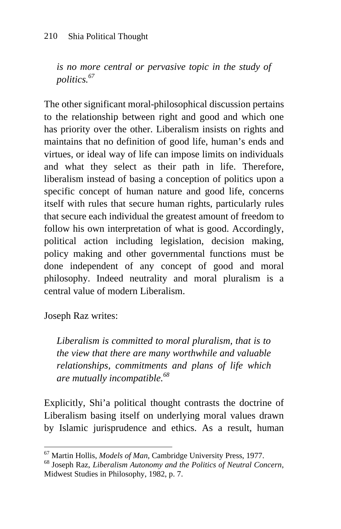*is no more central or pervasive topic in the study of politics.<sup>67</sup>*

The other significant moral-philosophical discussion pertains to the relationship between right and good and which one has priority over the other. Liberalism insists on rights and maintains that no definition of good life, human's ends and virtues, or ideal way of life can impose limits on individuals and what they select as their path in life. Therefore, liberalism instead of basing a conception of politics upon a specific concept of human nature and good life, concerns itself with rules that secure human rights, particularly rules that secure each individual the greatest amount of freedom to follow his own interpretation of what is good. Accordingly, political action including legislation, decision making, policy making and other governmental functions must be done independent of any concept of good and moral philosophy. Indeed neutrality and moral pluralism is a central value of modern Liberalism.

Joseph Raz writes:

l

*Liberalism is committed to moral pluralism, that is to the view that there are many worthwhile and valuable relationships, commitments and plans of life which are mutually incompatible.<sup>68</sup>*

Explicitly, Shi'a political thought contrasts the doctrine of Liberalism basing itself on underlying moral values drawn by Islamic jurisprudence and ethics. As a result, human

<sup>67</sup> Martin Hollis, *Models of Man*, Cambridge University Press, 1977.

<sup>68</sup> Joseph Raz, *Liberalism Autonomy and the Politics of Neutral Concern*, Midwest Studies in Philosophy, 1982, p. 7.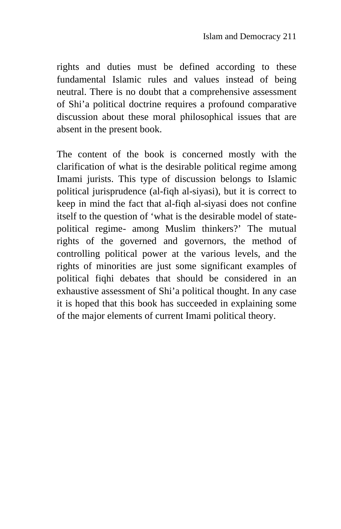rights and duties must be defined according to these fundamental Islamic rules and values instead of being neutral. There is no doubt that a comprehensive assessment of Shi'a political doctrine requires a profound comparative discussion about these moral philosophical issues that are absent in the present book.

The content of the book is concerned mostly with the clarification of what is the desirable political regime among Imami jurists. This type of discussion belongs to Islamic political jurisprudence (al-fiqh al-siyasi), but it is correct to keep in mind the fact that al-fiqh al-siyasi does not confine itself to the question of 'what is the desirable model of statepolitical regime- among Muslim thinkers?' The mutual rights of the governed and governors, the method of controlling political power at the various levels, and the rights of minorities are just some significant examples of political fiqhi debates that should be considered in an exhaustive assessment of Shi'a political thought. In any case it is hoped that this book has succeeded in explaining some of the major elements of current Imami political theory.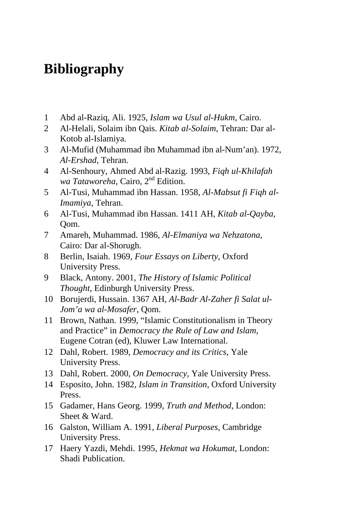# **Bibliography**

- 1 Abd al-Raziq, Ali. 1925, *Islam wa Usul al-Hukm*, Cairo.
- 2 Al-Helali, Solaim ibn Qais. *Kitab al-Solaim*, Tehran: Dar al-Kotob al-Islamiya.
- 3 Al-Mufid (Muhammad ibn Muhammad ibn al-Num'an). 1972, *Al-Ershad*, Tehran.
- 4 Al-Senhoury, Ahmed Abd al-Razig. 1993, *Fiqh ul-Khilafah wa Tataworeha*, Cairo, 2nd Edition.
- 5 Al-Tusi, Muhammad ibn Hassan. 1958, *Al-Mabsut fi Fiqh al-Imamiya*, Tehran.
- 6 Al-Tusi, Muhammad ibn Hassan. 1411 AH, *Kitab al-Qayba*, Qom.
- 7 Amareh, Muhammad. 1986, *Al-Elmaniya wa Nehzatona*, Cairo: Dar al-Shorugh.
- 8 Berlin, Isaiah. 1969, *Four Essays on Liberty*, Oxford University Press.
- 9 Black, Antony. 2001, *The History of Islamic Political Thought*, Edinburgh University Press.
- 10 Borujerdi, Hussain. 1367 AH, *Al-Badr Al-Zaher fi Salat ul-Jom'a wa al-Mosafer*, Qom.
- 11 Brown, Nathan. 1999, "Islamic Constitutionalism in Theory and Practice" in *Democracy the Rule of Law and Islam*, Eugene Cotran (ed), Kluwer Law International.
- 12 Dahl, Robert. 1989, *Democracy and its Critics*, Yale University Press.
- 13 Dahl, Robert. 2000, *On Democracy*, Yale University Press.
- 14 Esposito, John. 1982, *Islam in Transition*, Oxford University Press.
- 15 Gadamer, Hans Georg. 1999, *Truth and Method*, London: Sheet & Ward.
- 16 Galston, William A. 1991, *Liberal Purposes*, Cambridge University Press.
- 17 Haery Yazdi, Mehdi. 1995, *Hekmat wa Hokumat*, London: Shadi Publication.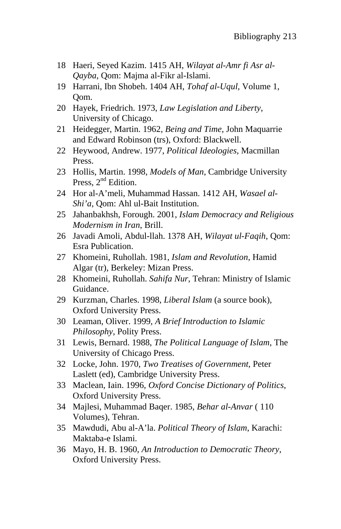- 18 Haeri, Seyed Kazim. 1415 AH, *Wilayat al-Amr fi Asr al-Qayba*, Qom: Majma al-Fikr al-Islami.
- 19 Harrani, Ibn Shobeh. 1404 AH, *Tohaf al-Uqul*, Volume 1, Qom.
- 20 Hayek, Friedrich. 1973, *Law Legislation and Liberty*, University of Chicago.
- 21 Heidegger, Martin. 1962, *Being and Time*, John Maquarrie and Edward Robinson (trs), Oxford: Blackwell.
- 22 Heywood, Andrew. 1977, *Political Ideologies*, Macmillan Press.
- 23 Hollis, Martin. 1998, *Models of Man*, Cambridge University Press, 2<sup>nd</sup> Edition.
- 24 Hor al-A'meli, Muhammad Hassan. 1412 AH, *Wasael al-Shi'a*, Qom: Ahl ul-Bait Institution.
- 25 Jahanbakhsh, Forough. 2001, *Islam Democracy and Religious Modernism in Iran*, Brill.
- 26 Javadi Amoli, Abdul-llah. 1378 AH, *Wilayat ul-Faqih*, Qom: Esra Publication.
- 27 Khomeini, Ruhollah. 1981, *Islam and Revolution*, Hamid Algar (tr), Berkeley: Mizan Press.
- 28 Khomeini, Ruhollah. *Sahifa Nur*, Tehran: Ministry of Islamic Guidance.
- 29 Kurzman, Charles. 1998, *Liberal Islam* (a source book), Oxford University Press.
- 30 Leaman, Oliver. 1999, *A Brief Introduction to Islamic Philosophy*, Polity Press.
- 31 Lewis, Bernard. 1988, *The Political Language of Islam*, The University of Chicago Press.
- 32 Locke, John. 1970, *Two Treatises of Government*, Peter Laslett (ed), Cambridge University Press.
- 33 Maclean, Iain. 1996, *Oxford Concise Dictionary of Politics*, Oxford University Press.
- 34 Majlesi, Muhammad Baqer. 1985, *Behar al-Anvar* ( 110 Volumes), Tehran.
- 35 Mawdudi, Abu al-A'la. *Political Theory of Islam*, Karachi: Maktaba-e Islami.
- 36 Mayo, H. B. 1960, *An Introduction to Democratic Theory*, Oxford University Press.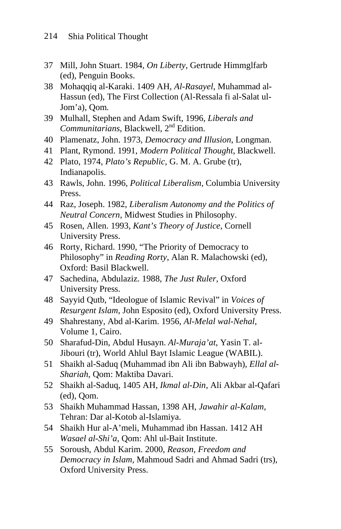#### 214 Shia Political Thought

- 37 Mill, John Stuart. 1984, *On Liberty*, Gertrude Himmglfarb (ed), Penguin Books.
- 38 Mohaqqiq al-Karaki. 1409 AH, *Al-Rasayel*, Muhammad al-Hassun (ed), The First Collection (Al-Ressala fi al-Salat ul-Jom'a), Qom.
- 39 Mulhall, Stephen and Adam Swift, 1996, *Liberals and Communitarians*, Blackwell, 2<sup>nd</sup> Edition.
- 40 Plamenatz, John. 1973, *Democracy and Illusion*, Longman.
- 41 Plant, Rymond. 1991, *Modern Political Thought*, Blackwell.
- 42 Plato, 1974, *Plato's Republic*, G. M. A. Grube (tr), Indianapolis.
- 43 Rawls, John. 1996, *Political Liberalism*, Columbia University Press.
- 44 Raz, Joseph. 1982, *Liberalism Autonomy and the Politics of Neutral Concern*, Midwest Studies in Philosophy.
- 45 Rosen, Allen. 1993, *Kant's Theory of Justice*, Cornell University Press.
- 46 Rorty, Richard. 1990, "The Priority of Democracy to Philosophy" in *Reading Rorty*, Alan R. Malachowski (ed), Oxford: Basil Blackwell.
- 47 Sachedina, Abdulaziz. 1988, *The Just Ruler*, Oxford University Press.
- 48 Sayyid Qutb, "Ideologue of Islamic Revival" in *Voices of Resurgent Islam*, John Esposito (ed), Oxford University Press.
- 49 Shahrestany, Abd al-Karim. 1956, *Al-Melal wal-Nehal*, Volume 1, Cairo.
- 50 Sharafud-Din, Abdul Husayn. *Al-Muraja'at*, Yasin T. al-Jibouri (tr), World Ahlul Bayt Islamic League (WABIL).
- 51 Shaikh al-Saduq (Muhammad ibn Ali ibn Babwayh), *Ellal al-Shariah*, Qom: Maktiba Davari.
- 52 Shaikh al-Saduq, 1405 AH, *Ikmal al-Din*, Ali Akbar al-Qafari (ed), Qom.
- 53 Shaikh Muhammad Hassan, 1398 AH, *Jawahir al-Kalam*, Tehran: Dar al-Kotob al-Islamiya.
- 54 Shaikh Hur al-A'meli, Muhammad ibn Hassan. 1412 AH *Wasael al-Shi'a*, Qom: Ahl ul-Bait Institute.
- 55 Soroush, Abdul Karim. 2000, *Reason, Freedom and Democracy in Islam,* Mahmoud Sadri and Ahmad Sadri (trs), Oxford University Press.